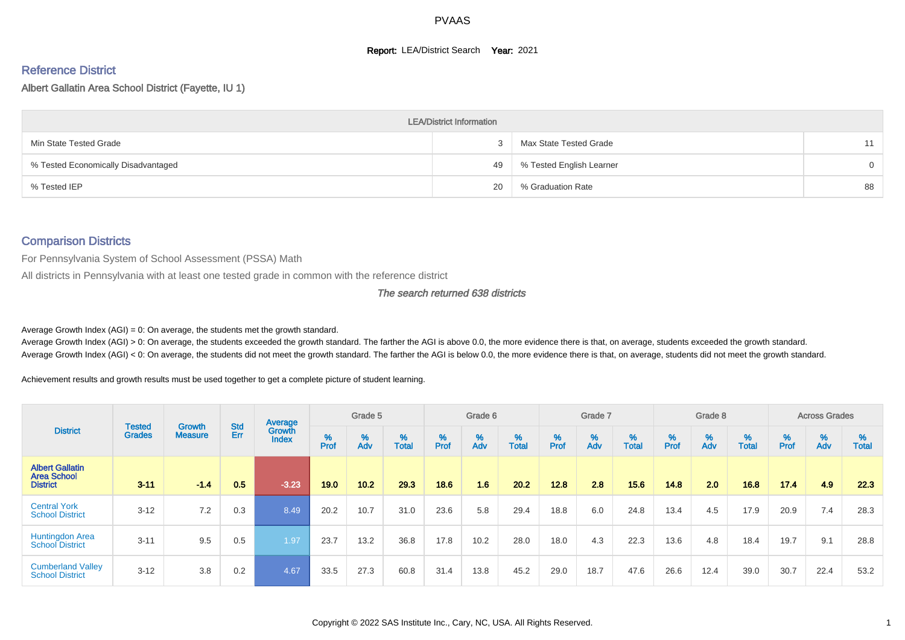#### **Report: LEA/District Search Year: 2021**

# Reference District

Albert Gallatin Area School District (Fayette, IU 1)

|                                     | <b>LEA/District Information</b> |                          |          |
|-------------------------------------|---------------------------------|--------------------------|----------|
| Min State Tested Grade              |                                 | Max State Tested Grade   | 11       |
| % Tested Economically Disadvantaged | 49                              | % Tested English Learner | $\Omega$ |
| % Tested IEP                        | 20                              | % Graduation Rate        | 88       |

#### Comparison Districts

For Pennsylvania System of School Assessment (PSSA) Math

All districts in Pennsylvania with at least one tested grade in common with the reference district

The search returned 638 districts

Average Growth Index  $(AGI) = 0$ : On average, the students met the growth standard.

Average Growth Index (AGI) > 0: On average, the students exceeded the growth standard. The farther the AGI is above 0.0, the more evidence there is that, on average, students exceeded the growth standard. Average Growth Index (AGI) < 0: On average, the students did not meet the growth standard. The farther the AGI is below 0.0, the more evidence there is that, on average, students did not meet the growth standard.

Achievement results and growth results must be used together to get a complete picture of student learning.

|                                                                 |                                |                                 |            | Average                |           | Grade 5  |                   |           | Grade 6  |                   |           | Grade 7  |                   |           | Grade 8  |                   |           | <b>Across Grades</b> |                   |
|-----------------------------------------------------------------|--------------------------------|---------------------------------|------------|------------------------|-----------|----------|-------------------|-----------|----------|-------------------|-----------|----------|-------------------|-----------|----------|-------------------|-----------|----------------------|-------------------|
| <b>District</b>                                                 | <b>Tested</b><br><b>Grades</b> | <b>Growth</b><br><b>Measure</b> | Std<br>Err | Growth<br><b>Index</b> | %<br>Prof | %<br>Adv | %<br><b>Total</b> | %<br>Prof | %<br>Adv | %<br><b>Total</b> | %<br>Prof | %<br>Adv | %<br><b>Total</b> | %<br>Prof | %<br>Adv | %<br><b>Total</b> | %<br>Prof | %<br>Adv             | %<br><b>Total</b> |
| <b>Albert Gallatin</b><br><b>Area School</b><br><b>District</b> | $3 - 11$                       | $-1.4$                          | 0.5        | $-3.23$                | 19.0      | 10.2     | 29.3              | 18.6      | 1.6      | 20.2              | 12.8      | 2.8      | 15.6              | 14.8      | 2.0      | 16.8              | 17.4      | 4.9                  | 22.3              |
| <b>Central York</b><br><b>School District</b>                   | $3 - 12$                       | 7.2                             | 0.3        | 8.49                   | 20.2      | 10.7     | 31.0              | 23.6      | 5.8      | 29.4              | 18.8      | 6.0      | 24.8              | 13.4      | 4.5      | 17.9              | 20.9      | 7.4                  | 28.3              |
| <b>Huntingdon Area</b><br><b>School District</b>                | $3 - 11$                       | 9.5                             | 0.5        | 1.97                   | 23.7      | 13.2     | 36.8              | 17.8      | 10.2     | 28.0              | 18.0      | 4.3      | 22.3              | 13.6      | 4.8      | 18.4              | 19.7      | 9.1                  | 28.8              |
| <b>Cumberland Valley</b><br><b>School District</b>              | $3 - 12$                       | 3.8                             | 0.2        | 4.67                   | 33.5      | 27.3     | 60.8              | 31.4      | 13.8     | 45.2              | 29.0      | 18.7     | 47.6              | 26.6      | 12.4     | 39.0              | 30.7      | 22.4                 | 53.2              |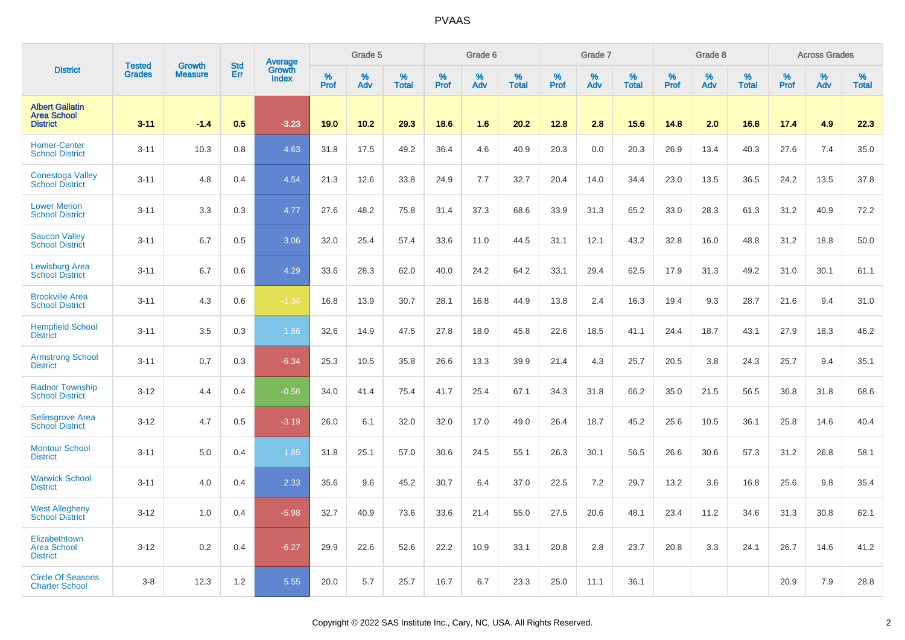|                                                                 | <b>Tested</b> | <b>Growth</b>  | <b>Std</b> |                                   |                     | Grade 5  |                   |              | Grade 6  |                   |              | Grade 7  |                   |              | Grade 8  |                   |                  | <b>Across Grades</b> |                   |
|-----------------------------------------------------------------|---------------|----------------|------------|-----------------------------------|---------------------|----------|-------------------|--------------|----------|-------------------|--------------|----------|-------------------|--------------|----------|-------------------|------------------|----------------------|-------------------|
| <b>District</b>                                                 | <b>Grades</b> | <b>Measure</b> | Err        | Average<br>Growth<br><b>Index</b> | $\%$<br><b>Prof</b> | %<br>Adv | %<br><b>Total</b> | $\%$<br>Prof | %<br>Adv | %<br><b>Total</b> | $\%$<br>Prof | %<br>Adv | %<br><b>Total</b> | $\%$<br>Prof | %<br>Adv | %<br><b>Total</b> | %<br><b>Prof</b> | %<br>Adv             | %<br><b>Total</b> |
| <b>Albert Gallatin</b><br><b>Area School</b><br><b>District</b> | $3 - 11$      | $-1.4$         | 0.5        | $-3.23$                           | 19.0                | 10.2     | 29.3              | 18.6         | 1.6      | 20.2              | 12.8         | 2.8      | 15.6              | 14.8         | 2.0      | 16.8              | 17.4             | 4.9                  | 22.3              |
| <b>Homer-Center</b><br><b>School District</b>                   | $3 - 11$      | 10.3           | 0.8        | 4.63                              | 31.8                | 17.5     | 49.2              | 36.4         | 4.6      | 40.9              | 20.3         | 0.0      | 20.3              | 26.9         | 13.4     | 40.3              | 27.6             | 7.4                  | 35.0              |
| <b>Conestoga Valley</b><br><b>School District</b>               | $3 - 11$      | 4.8            | 0.4        | 4.54                              | 21.3                | 12.6     | 33.8              | 24.9         | 7.7      | 32.7              | 20.4         | 14.0     | 34.4              | 23.0         | 13.5     | 36.5              | 24.2             | 13.5                 | 37.8              |
| <b>Lower Merion</b><br><b>School District</b>                   | $3 - 11$      | 3.3            | 0.3        | 4.77                              | 27.6                | 48.2     | 75.8              | 31.4         | 37.3     | 68.6              | 33.9         | 31.3     | 65.2              | 33.0         | 28.3     | 61.3              | 31.2             | 40.9                 | 72.2              |
| <b>Saucon Valley</b><br><b>School District</b>                  | $3 - 11$      | 6.7            | 0.5        | 3.06                              | 32.0                | 25.4     | 57.4              | 33.6         | 11.0     | 44.5              | 31.1         | 12.1     | 43.2              | 32.8         | 16.0     | 48.8              | 31.2             | 18.8                 | 50.0              |
| <b>Lewisburg Area</b><br><b>School District</b>                 | $3 - 11$      | 6.7            | 0.6        | 4.29                              | 33.6                | 28.3     | 62.0              | 40.0         | 24.2     | 64.2              | 33.1         | 29.4     | 62.5              | 17.9         | 31.3     | 49.2              | 31.0             | 30.1                 | 61.1              |
| <b>Brookville Area</b><br><b>School District</b>                | $3 - 11$      | 4.3            | 0.6        | $-1.34$                           | 16.8                | 13.9     | 30.7              | 28.1         | 16.8     | 44.9              | 13.8         | 2.4      | 16.3              | 19.4         | 9.3      | 28.7              | 21.6             | 9.4                  | 31.0              |
| <b>Hempfield School</b><br><b>District</b>                      | $3 - 11$      | 3.5            | 0.3        | 1.86                              | 32.6                | 14.9     | 47.5              | 27.8         | 18.0     | 45.8              | 22.6         | 18.5     | 41.1              | 24.4         | 18.7     | 43.1              | 27.9             | 18.3                 | 46.2              |
| <b>Armstrong School</b><br><b>District</b>                      | $3 - 11$      | 0.7            | 0.3        | $-6.34$                           | 25.3                | 10.5     | 35.8              | 26.6         | 13.3     | 39.9              | 21.4         | 4.3      | 25.7              | 20.5         | 3.8      | 24.3              | 25.7             | 9.4                  | 35.1              |
| <b>Radnor Township</b><br><b>School District</b>                | $3 - 12$      | 4.4            | 0.4        | $-0.56$                           | 34.0                | 41.4     | 75.4              | 41.7         | 25.4     | 67.1              | 34.3         | 31.8     | 66.2              | 35.0         | 21.5     | 56.5              | 36.8             | 31.8                 | 68.6              |
| <b>Selinsgrove Area</b><br><b>School</b> District               | $3 - 12$      | 4.7            | 0.5        | $-3.19$                           | 26.0                | 6.1      | 32.0              | 32.0         | 17.0     | 49.0              | 26.4         | 18.7     | 45.2              | 25.6         | 10.5     | 36.1              | 25.8             | 14.6                 | 40.4              |
| <b>Montour School</b><br><b>District</b>                        | $3 - 11$      | 5.0            | 0.4        | 1.85                              | 31.8                | 25.1     | 57.0              | 30.6         | 24.5     | 55.1              | 26.3         | 30.1     | 56.5              | 26.6         | 30.6     | 57.3              | 31.2             | 26.8                 | 58.1              |
| <b>Warwick School</b><br><b>District</b>                        | $3 - 11$      | 4.0            | 0.4        | 2.33                              | 35.6                | 9.6      | 45.2              | 30.7         | 6.4      | 37.0              | 22.5         | 7.2      | 29.7              | 13.2         | 3.6      | 16.8              | 25.6             | 9.8                  | 35.4              |
| <b>West Allegheny</b><br><b>School District</b>                 | $3 - 12$      | 1.0            | 0.4        | $-5.98$                           | 32.7                | 40.9     | 73.6              | 33.6         | 21.4     | 55.0              | 27.5         | 20.6     | 48.1              | 23.4         | 11.2     | 34.6              | 31.3             | 30.8                 | 62.1              |
| Elizabethtown<br>Area School<br><b>District</b>                 | $3 - 12$      | 0.2            | 0.4        | $-6.27$                           | 29.9                | 22.6     | 52.6              | 22.2         | 10.9     | 33.1              | 20.8         | 2.8      | 23.7              | 20.8         | 3.3      | 24.1              | 26.7             | 14.6                 | 41.2              |
| <b>Circle Of Seasons</b><br><b>Charter School</b>               | $3 - 8$       | 12.3           | 1.2        | 5.55                              | 20.0                | 5.7      | 25.7              | 16.7         | 6.7      | 23.3              | 25.0         | 11.1     | 36.1              |              |          |                   | 20.9             | 7.9                  | 28.8              |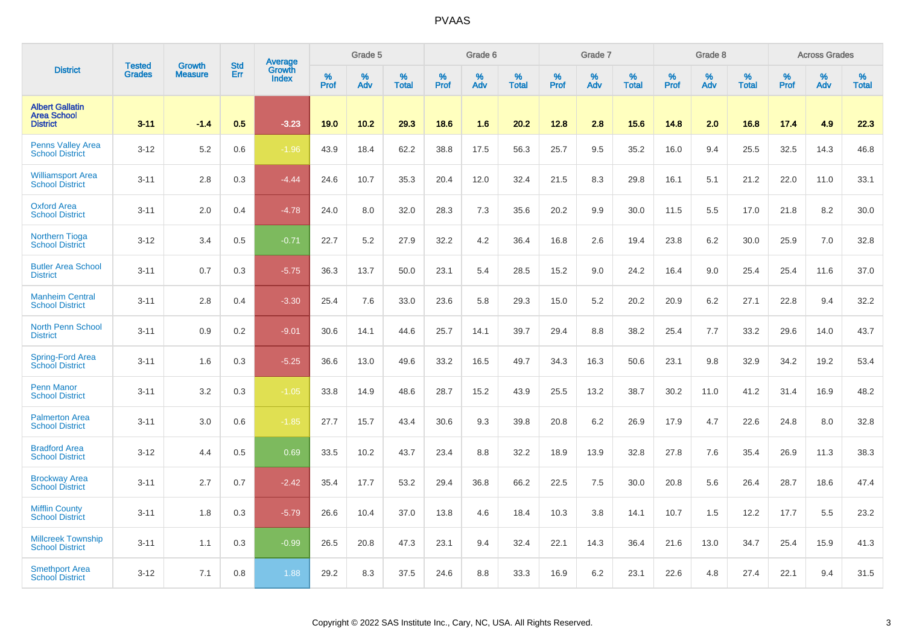|                                                                 | <b>Tested</b> | <b>Growth</b>  | <b>Std</b> | Average         |                     | Grade 5  |                   |                     | Grade 6  |                   |              | Grade 7  |                      |              | Grade 8  |                      |                     | <b>Across Grades</b> |                      |
|-----------------------------------------------------------------|---------------|----------------|------------|-----------------|---------------------|----------|-------------------|---------------------|----------|-------------------|--------------|----------|----------------------|--------------|----------|----------------------|---------------------|----------------------|----------------------|
| <b>District</b>                                                 | <b>Grades</b> | <b>Measure</b> | Err        | Growth<br>Index | $\%$<br><b>Prof</b> | %<br>Adv | %<br><b>Total</b> | $\%$<br><b>Prof</b> | %<br>Adv | %<br><b>Total</b> | $\%$<br>Prof | %<br>Adv | $\%$<br><b>Total</b> | $\%$<br>Prof | %<br>Adv | $\%$<br><b>Total</b> | $\%$<br><b>Prof</b> | $\%$<br>Adv          | $\%$<br><b>Total</b> |
| <b>Albert Gallatin</b><br><b>Area School</b><br><b>District</b> | $3 - 11$      | $-1.4$         | 0.5        | $-3.23$         | 19.0                | 10.2     | 29.3              | 18.6                | 1.6      | 20.2              | 12.8         | 2.8      | 15.6                 | 14.8         | 2.0      | 16.8                 | 17.4                | 4.9                  | 22.3                 |
| <b>Penns Valley Area</b><br><b>School District</b>              | $3-12$        | 5.2            | 0.6        | $-1.96$         | 43.9                | 18.4     | 62.2              | 38.8                | 17.5     | 56.3              | 25.7         | 9.5      | 35.2                 | 16.0         | 9.4      | 25.5                 | 32.5                | 14.3                 | 46.8                 |
| <b>Williamsport Area</b><br><b>School District</b>              | $3 - 11$      | 2.8            | 0.3        | $-4.44$         | 24.6                | 10.7     | 35.3              | 20.4                | 12.0     | 32.4              | 21.5         | 8.3      | 29.8                 | 16.1         | 5.1      | 21.2                 | 22.0                | 11.0                 | 33.1                 |
| <b>Oxford Area</b><br><b>School District</b>                    | $3 - 11$      | 2.0            | 0.4        | $-4.78$         | 24.0                | 8.0      | 32.0              | 28.3                | 7.3      | 35.6              | 20.2         | 9.9      | 30.0                 | 11.5         | 5.5      | 17.0                 | 21.8                | 8.2                  | 30.0                 |
| <b>Northern Tioga</b><br><b>School District</b>                 | $3 - 12$      | 3.4            | 0.5        | $-0.71$         | 22.7                | 5.2      | 27.9              | 32.2                | 4.2      | 36.4              | 16.8         | 2.6      | 19.4                 | 23.8         | 6.2      | 30.0                 | 25.9                | 7.0                  | 32.8                 |
| <b>Butler Area School</b><br><b>District</b>                    | $3 - 11$      | 0.7            | 0.3        | $-5.75$         | 36.3                | 13.7     | 50.0              | 23.1                | 5.4      | 28.5              | 15.2         | 9.0      | 24.2                 | 16.4         | 9.0      | 25.4                 | 25.4                | 11.6                 | 37.0                 |
| <b>Manheim Central</b><br><b>School District</b>                | $3 - 11$      | 2.8            | 0.4        | $-3.30$         | 25.4                | 7.6      | 33.0              | 23.6                | 5.8      | 29.3              | 15.0         | 5.2      | 20.2                 | 20.9         | 6.2      | 27.1                 | 22.8                | 9.4                  | 32.2                 |
| <b>North Penn School</b><br><b>District</b>                     | $3 - 11$      | 0.9            | 0.2        | $-9.01$         | 30.6                | 14.1     | 44.6              | 25.7                | 14.1     | 39.7              | 29.4         | 8.8      | 38.2                 | 25.4         | 7.7      | 33.2                 | 29.6                | 14.0                 | 43.7                 |
| Spring-Ford Area<br><b>School District</b>                      | $3 - 11$      | 1.6            | 0.3        | $-5.25$         | 36.6                | 13.0     | 49.6              | 33.2                | 16.5     | 49.7              | 34.3         | 16.3     | 50.6                 | 23.1         | 9.8      | 32.9                 | 34.2                | 19.2                 | 53.4                 |
| <b>Penn Manor</b><br><b>School District</b>                     | $3 - 11$      | 3.2            | 0.3        | $-1.05$         | 33.8                | 14.9     | 48.6              | 28.7                | 15.2     | 43.9              | 25.5         | 13.2     | 38.7                 | 30.2         | 11.0     | 41.2                 | 31.4                | 16.9                 | 48.2                 |
| <b>Palmerton Area</b><br><b>School District</b>                 | $3 - 11$      | 3.0            | 0.6        | $-1.85$         | 27.7                | 15.7     | 43.4              | 30.6                | 9.3      | 39.8              | 20.8         | 6.2      | 26.9                 | 17.9         | 4.7      | 22.6                 | 24.8                | 8.0                  | 32.8                 |
| <b>Bradford Area</b><br><b>School District</b>                  | $3 - 12$      | 4.4            | 0.5        | 0.69            | 33.5                | 10.2     | 43.7              | 23.4                | 8.8      | 32.2              | 18.9         | 13.9     | 32.8                 | 27.8         | 7.6      | 35.4                 | 26.9                | 11.3                 | 38.3                 |
| <b>Brockway Area</b><br><b>School District</b>                  | $3 - 11$      | 2.7            | 0.7        | $-2.42$         | 35.4                | 17.7     | 53.2              | 29.4                | 36.8     | 66.2              | 22.5         | 7.5      | 30.0                 | 20.8         | 5.6      | 26.4                 | 28.7                | 18.6                 | 47.4                 |
| <b>Mifflin County</b><br><b>School District</b>                 | $3 - 11$      | 1.8            | 0.3        | $-5.79$         | 26.6                | 10.4     | 37.0              | 13.8                | 4.6      | 18.4              | 10.3         | 3.8      | 14.1                 | 10.7         | 1.5      | 12.2                 | 17.7                | 5.5                  | 23.2                 |
| <b>Millcreek Township</b><br><b>School District</b>             | $3 - 11$      | 1.1            | 0.3        | $-0.99$         | 26.5                | 20.8     | 47.3              | 23.1                | 9.4      | 32.4              | 22.1         | 14.3     | 36.4                 | 21.6         | 13.0     | 34.7                 | 25.4                | 15.9                 | 41.3                 |
| <b>Smethport Area</b><br><b>School District</b>                 | $3 - 12$      | 7.1            | 0.8        | 1.88            | 29.2                | 8.3      | 37.5              | 24.6                | 8.8      | 33.3              | 16.9         | 6.2      | 23.1                 | 22.6         | 4.8      | 27.4                 | 22.1                | 9.4                  | 31.5                 |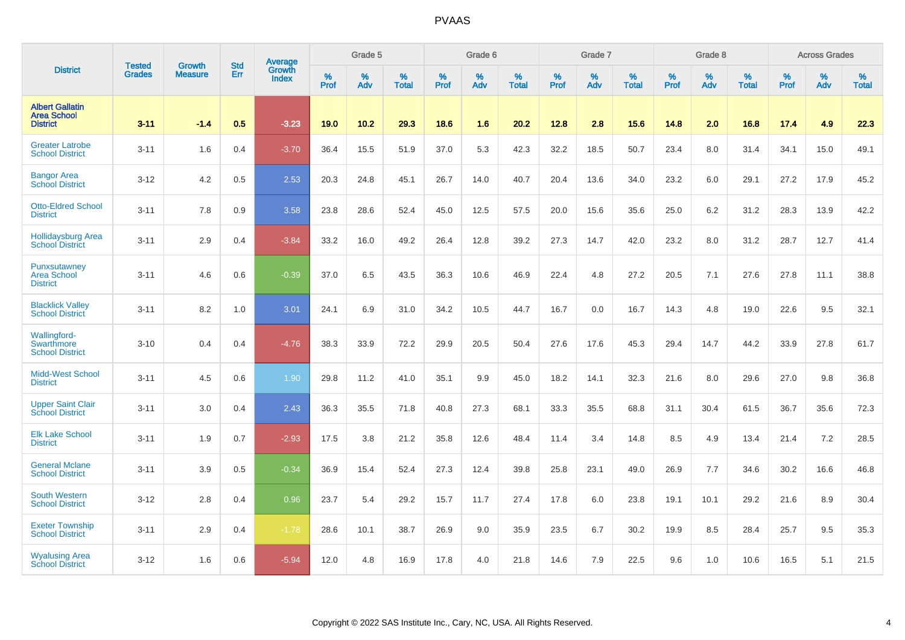|                                                                 | <b>Tested</b> | <b>Growth</b>  | <b>Std</b> | Average                       |           | Grade 5  |                   |           | Grade 6  |                   |           | Grade 7  |                   |           | Grade 8  |                   |           | <b>Across Grades</b> |                   |
|-----------------------------------------------------------------|---------------|----------------|------------|-------------------------------|-----------|----------|-------------------|-----------|----------|-------------------|-----------|----------|-------------------|-----------|----------|-------------------|-----------|----------------------|-------------------|
| <b>District</b>                                                 | <b>Grades</b> | <b>Measure</b> | Err        | <b>Growth</b><br><b>Index</b> | %<br>Prof | %<br>Adv | %<br><b>Total</b> | %<br>Prof | %<br>Adv | %<br><b>Total</b> | %<br>Prof | %<br>Adv | %<br><b>Total</b> | %<br>Prof | %<br>Adv | %<br><b>Total</b> | %<br>Prof | %<br>Adv             | %<br><b>Total</b> |
| <b>Albert Gallatin</b><br><b>Area School</b><br><b>District</b> | $3 - 11$      | $-1.4$         | 0.5        | $-3.23$                       | 19.0      | 10.2     | 29.3              | 18.6      | 1.6      | 20.2              | 12.8      | 2.8      | 15.6              | 14.8      | 2.0      | 16.8              | 17.4      | 4.9                  | 22.3              |
| <b>Greater Latrobe</b><br><b>School District</b>                | $3 - 11$      | 1.6            | 0.4        | $-3.70$                       | 36.4      | 15.5     | 51.9              | 37.0      | 5.3      | 42.3              | 32.2      | 18.5     | 50.7              | 23.4      | 8.0      | 31.4              | 34.1      | 15.0                 | 49.1              |
| <b>Bangor Area</b><br><b>School District</b>                    | $3 - 12$      | 4.2            | 0.5        | 2.53                          | 20.3      | 24.8     | 45.1              | 26.7      | 14.0     | 40.7              | 20.4      | 13.6     | 34.0              | 23.2      | 6.0      | 29.1              | 27.2      | 17.9                 | 45.2              |
| <b>Otto-Eldred School</b><br><b>District</b>                    | $3 - 11$      | 7.8            | 0.9        | 3.58                          | 23.8      | 28.6     | 52.4              | 45.0      | 12.5     | 57.5              | 20.0      | 15.6     | 35.6              | 25.0      | 6.2      | 31.2              | 28.3      | 13.9                 | 42.2              |
| <b>Hollidaysburg Area</b><br><b>School District</b>             | $3 - 11$      | 2.9            | 0.4        | $-3.84$                       | 33.2      | 16.0     | 49.2              | 26.4      | 12.8     | 39.2              | 27.3      | 14.7     | 42.0              | 23.2      | 8.0      | 31.2              | 28.7      | 12.7                 | 41.4              |
| Punxsutawney<br><b>Area School</b><br><b>District</b>           | $3 - 11$      | 4.6            | 0.6        | $-0.39$                       | 37.0      | 6.5      | 43.5              | 36.3      | 10.6     | 46.9              | 22.4      | 4.8      | 27.2              | 20.5      | 7.1      | 27.6              | 27.8      | 11.1                 | 38.8              |
| <b>Blacklick Valley</b><br><b>School District</b>               | $3 - 11$      | 8.2            | 1.0        | 3.01                          | 24.1      | 6.9      | 31.0              | 34.2      | 10.5     | 44.7              | 16.7      | 0.0      | 16.7              | 14.3      | 4.8      | 19.0              | 22.6      | 9.5                  | 32.1              |
| <b>Wallingford-</b><br>Swarthmore<br><b>School District</b>     | $3 - 10$      | 0.4            | 0.4        | $-4.76$                       | 38.3      | 33.9     | 72.2              | 29.9      | 20.5     | 50.4              | 27.6      | 17.6     | 45.3              | 29.4      | 14.7     | 44.2              | 33.9      | 27.8                 | 61.7              |
| <b>Midd-West School</b><br><b>District</b>                      | $3 - 11$      | 4.5            | 0.6        | 1.90                          | 29.8      | 11.2     | 41.0              | 35.1      | 9.9      | 45.0              | 18.2      | 14.1     | 32.3              | 21.6      | 8.0      | 29.6              | 27.0      | 9.8                  | 36.8              |
| <b>Upper Saint Clair</b><br><b>School District</b>              | $3 - 11$      | 3.0            | 0.4        | 2.43                          | 36.3      | 35.5     | 71.8              | 40.8      | 27.3     | 68.1              | 33.3      | 35.5     | 68.8              | 31.1      | 30.4     | 61.5              | 36.7      | 35.6                 | 72.3              |
| <b>Elk Lake School</b><br><b>District</b>                       | $3 - 11$      | 1.9            | 0.7        | $-2.93$                       | 17.5      | 3.8      | 21.2              | 35.8      | 12.6     | 48.4              | 11.4      | 3.4      | 14.8              | 8.5       | 4.9      | 13.4              | 21.4      | 7.2                  | 28.5              |
| <b>General Mclane</b><br><b>School District</b>                 | $3 - 11$      | 3.9            | 0.5        | $-0.34$                       | 36.9      | 15.4     | 52.4              | 27.3      | 12.4     | 39.8              | 25.8      | 23.1     | 49.0              | 26.9      | 7.7      | 34.6              | 30.2      | 16.6                 | 46.8              |
| <b>South Western</b><br><b>School District</b>                  | $3 - 12$      | 2.8            | 0.4        | 0.96                          | 23.7      | 5.4      | 29.2              | 15.7      | 11.7     | 27.4              | 17.8      | 6.0      | 23.8              | 19.1      | 10.1     | 29.2              | 21.6      | 8.9                  | 30.4              |
| <b>Exeter Township</b><br><b>School District</b>                | $3 - 11$      | 2.9            | 0.4        | $-1.78$                       | 28.6      | 10.1     | 38.7              | 26.9      | 9.0      | 35.9              | 23.5      | 6.7      | 30.2              | 19.9      | 8.5      | 28.4              | 25.7      | 9.5                  | 35.3              |
| <b>Wyalusing Area</b><br><b>School District</b>                 | $3 - 12$      | 1.6            | 0.6        | $-5.94$                       | 12.0      | 4.8      | 16.9              | 17.8      | 4.0      | 21.8              | 14.6      | 7.9      | 22.5              | 9.6       | 1.0      | 10.6              | 16.5      | 5.1                  | 21.5              |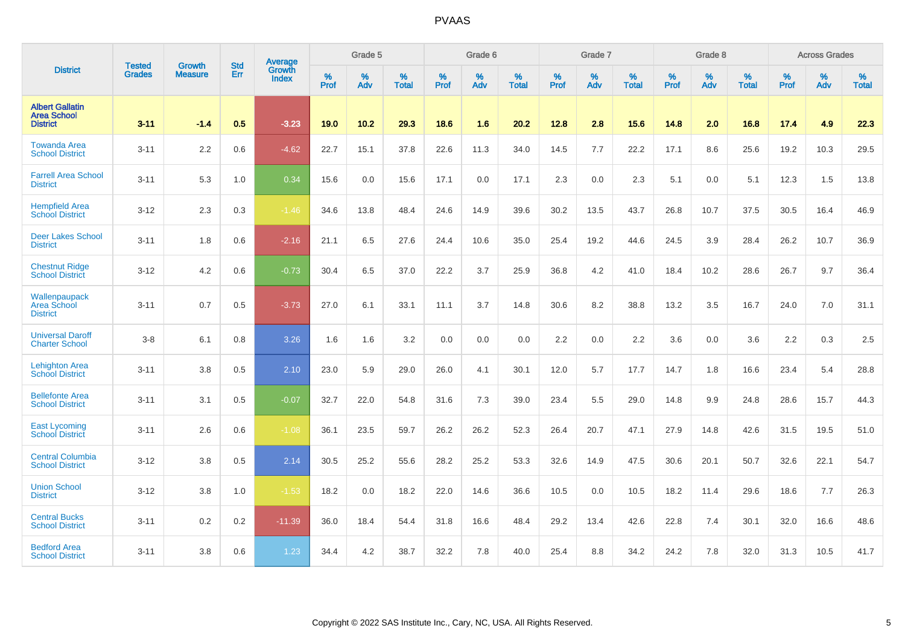|                                                                 | <b>Tested</b> | <b>Growth</b>  | <b>Std</b> | <b>Average</b>         |           | Grade 5  |                   |           | Grade 6  |                   |           | Grade 7  |                   |           | Grade 8  |                   |           | <b>Across Grades</b> |                   |
|-----------------------------------------------------------------|---------------|----------------|------------|------------------------|-----------|----------|-------------------|-----------|----------|-------------------|-----------|----------|-------------------|-----------|----------|-------------------|-----------|----------------------|-------------------|
| <b>District</b>                                                 | <b>Grades</b> | <b>Measure</b> | Err        | Growth<br><b>Index</b> | %<br>Prof | %<br>Adv | %<br><b>Total</b> | %<br>Prof | %<br>Adv | %<br><b>Total</b> | %<br>Prof | %<br>Adv | %<br><b>Total</b> | %<br>Prof | %<br>Adv | %<br><b>Total</b> | %<br>Prof | %<br>Adv             | %<br><b>Total</b> |
| <b>Albert Gallatin</b><br><b>Area School</b><br><b>District</b> | $3 - 11$      | $-1.4$         | 0.5        | $-3.23$                | 19.0      | 10.2     | 29.3              | 18.6      | 1.6      | 20.2              | 12.8      | 2.8      | 15.6              | 14.8      | 2.0      | 16.8              | 17.4      | 4.9                  | 22.3              |
| <b>Towanda Area</b><br><b>School District</b>                   | $3 - 11$      | 2.2            | 0.6        | $-4.62$                | 22.7      | 15.1     | 37.8              | 22.6      | 11.3     | 34.0              | 14.5      | 7.7      | 22.2              | 17.1      | 8.6      | 25.6              | 19.2      | 10.3                 | 29.5              |
| <b>Farrell Area School</b><br><b>District</b>                   | $3 - 11$      | 5.3            | 1.0        | 0.34                   | 15.6      | 0.0      | 15.6              | 17.1      | 0.0      | 17.1              | 2.3       | 0.0      | 2.3               | 5.1       | 0.0      | 5.1               | 12.3      | 1.5                  | 13.8              |
| <b>Hempfield Area</b><br><b>School District</b>                 | $3 - 12$      | 2.3            | 0.3        | $-1.46$                | 34.6      | 13.8     | 48.4              | 24.6      | 14.9     | 39.6              | 30.2      | 13.5     | 43.7              | 26.8      | 10.7     | 37.5              | 30.5      | 16.4                 | 46.9              |
| <b>Deer Lakes School</b><br><b>District</b>                     | $3 - 11$      | 1.8            | 0.6        | $-2.16$                | 21.1      | 6.5      | 27.6              | 24.4      | 10.6     | 35.0              | 25.4      | 19.2     | 44.6              | 24.5      | 3.9      | 28.4              | 26.2      | 10.7                 | 36.9              |
| <b>Chestnut Ridge</b><br><b>School District</b>                 | $3 - 12$      | 4.2            | 0.6        | $-0.73$                | 30.4      | 6.5      | 37.0              | 22.2      | 3.7      | 25.9              | 36.8      | 4.2      | 41.0              | 18.4      | 10.2     | 28.6              | 26.7      | 9.7                  | 36.4              |
| Wallenpaupack<br>Area School<br><b>District</b>                 | $3 - 11$      | 0.7            | 0.5        | $-3.73$                | 27.0      | 6.1      | 33.1              | 11.1      | 3.7      | 14.8              | 30.6      | 8.2      | 38.8              | 13.2      | 3.5      | 16.7              | 24.0      | 7.0                  | 31.1              |
| <b>Universal Daroff</b><br><b>Charter School</b>                | $3 - 8$       | 6.1            | 0.8        | 3.26                   | 1.6       | 1.6      | 3.2               | 0.0       | 0.0      | 0.0               | 2.2       | 0.0      | 2.2               | 3.6       | 0.0      | 3.6               | 2.2       | 0.3                  | 2.5               |
| <b>Lehighton Area</b><br><b>School District</b>                 | $3 - 11$      | 3.8            | 0.5        | 2.10                   | 23.0      | 5.9      | 29.0              | 26.0      | 4.1      | 30.1              | 12.0      | 5.7      | 17.7              | 14.7      | 1.8      | 16.6              | 23.4      | 5.4                  | 28.8              |
| <b>Bellefonte Area</b><br><b>School District</b>                | $3 - 11$      | 3.1            | 0.5        | $-0.07$                | 32.7      | 22.0     | 54.8              | 31.6      | 7.3      | 39.0              | 23.4      | 5.5      | 29.0              | 14.8      | 9.9      | 24.8              | 28.6      | 15.7                 | 44.3              |
| <b>East Lycoming</b><br><b>School District</b>                  | $3 - 11$      | 2.6            | 0.6        | $-1.08$                | 36.1      | 23.5     | 59.7              | 26.2      | 26.2     | 52.3              | 26.4      | 20.7     | 47.1              | 27.9      | 14.8     | 42.6              | 31.5      | 19.5                 | 51.0              |
| <b>Central Columbia</b><br><b>School District</b>               | $3 - 12$      | 3.8            | 0.5        | 2.14                   | 30.5      | 25.2     | 55.6              | 28.2      | 25.2     | 53.3              | 32.6      | 14.9     | 47.5              | 30.6      | 20.1     | 50.7              | 32.6      | 22.1                 | 54.7              |
| <b>Union School</b><br><b>District</b>                          | $3 - 12$      | 3.8            | 1.0        | $-1.53$                | 18.2      | 0.0      | 18.2              | 22.0      | 14.6     | 36.6              | 10.5      | 0.0      | 10.5              | 18.2      | 11.4     | 29.6              | 18.6      | 7.7                  | 26.3              |
| <b>Central Bucks</b><br><b>School District</b>                  | $3 - 11$      | 0.2            | 0.2        | $-11.39$               | 36.0      | 18.4     | 54.4              | 31.8      | 16.6     | 48.4              | 29.2      | 13.4     | 42.6              | 22.8      | 7.4      | 30.1              | 32.0      | 16.6                 | 48.6              |
| <b>Bedford Area</b><br><b>School District</b>                   | $3 - 11$      | 3.8            | 0.6        | 1.23                   | 34.4      | 4.2      | 38.7              | 32.2      | 7.8      | 40.0              | 25.4      | 8.8      | 34.2              | 24.2      | 7.8      | 32.0              | 31.3      | 10.5                 | 41.7              |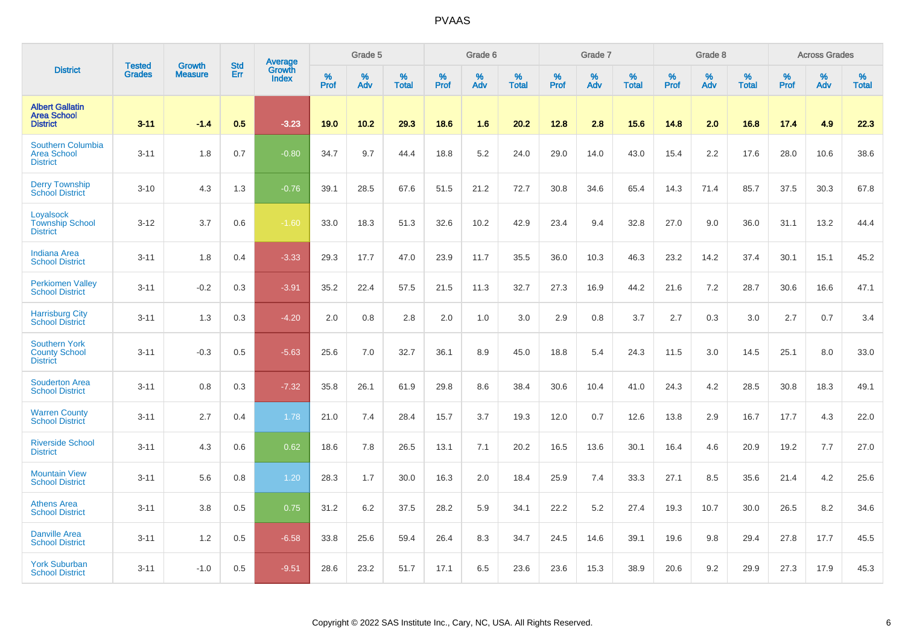|                                                                 | <b>Tested</b> |                                 | <b>Std</b> | Average                |              | Grade 5  |                   |           | Grade 6  |                   |           | Grade 7  |                   |           | Grade 8  |                   |           | <b>Across Grades</b> |                   |
|-----------------------------------------------------------------|---------------|---------------------------------|------------|------------------------|--------------|----------|-------------------|-----------|----------|-------------------|-----------|----------|-------------------|-----------|----------|-------------------|-----------|----------------------|-------------------|
| <b>District</b>                                                 | <b>Grades</b> | <b>Growth</b><br><b>Measure</b> | Err        | Growth<br><b>Index</b> | $\%$<br>Prof | %<br>Adv | %<br><b>Total</b> | %<br>Prof | %<br>Adv | %<br><b>Total</b> | %<br>Prof | %<br>Adv | %<br><b>Total</b> | %<br>Prof | %<br>Adv | %<br><b>Total</b> | %<br>Prof | %<br>Adv             | %<br><b>Total</b> |
| <b>Albert Gallatin</b><br><b>Area School</b><br><b>District</b> | $3 - 11$      | $-1.4$                          | 0.5        | $-3.23$                | 19.0         | 10.2     | 29.3              | 18.6      | 1.6      | 20.2              | 12.8      | 2.8      | 15.6              | 14.8      | 2.0      | 16.8              | 17.4      | 4.9                  | 22.3              |
| Southern Columbia<br><b>Area School</b><br><b>District</b>      | $3 - 11$      | 1.8                             | 0.7        | $-0.80$                | 34.7         | 9.7      | 44.4              | 18.8      | $5.2\,$  | 24.0              | 29.0      | 14.0     | 43.0              | 15.4      | 2.2      | 17.6              | 28.0      | 10.6                 | 38.6              |
| <b>Derry Township</b><br><b>School District</b>                 | $3 - 10$      | 4.3                             | 1.3        | $-0.76$                | 39.1         | 28.5     | 67.6              | 51.5      | 21.2     | 72.7              | 30.8      | 34.6     | 65.4              | 14.3      | 71.4     | 85.7              | 37.5      | 30.3                 | 67.8              |
| Loyalsock<br><b>Township School</b><br><b>District</b>          | $3 - 12$      | 3.7                             | 0.6        | $-1.60$                | 33.0         | 18.3     | 51.3              | 32.6      | 10.2     | 42.9              | 23.4      | 9.4      | 32.8              | 27.0      | 9.0      | 36.0              | 31.1      | 13.2                 | 44.4              |
| <b>Indiana Area</b><br><b>School District</b>                   | $3 - 11$      | 1.8                             | 0.4        | $-3.33$                | 29.3         | 17.7     | 47.0              | 23.9      | 11.7     | 35.5              | 36.0      | 10.3     | 46.3              | 23.2      | 14.2     | 37.4              | 30.1      | 15.1                 | 45.2              |
| <b>Perkiomen Valley</b><br><b>School District</b>               | $3 - 11$      | $-0.2$                          | 0.3        | $-3.91$                | 35.2         | 22.4     | 57.5              | 21.5      | 11.3     | 32.7              | 27.3      | 16.9     | 44.2              | 21.6      | 7.2      | 28.7              | 30.6      | 16.6                 | 47.1              |
| <b>Harrisburg City</b><br><b>School District</b>                | $3 - 11$      | 1.3                             | 0.3        | $-4.20$                | 2.0          | 0.8      | 2.8               | 2.0       | 1.0      | 3.0               | 2.9       | 0.8      | 3.7               | 2.7       | 0.3      | 3.0               | 2.7       | 0.7                  | 3.4               |
| <b>Southern York</b><br><b>County School</b><br><b>District</b> | $3 - 11$      | $-0.3$                          | 0.5        | $-5.63$                | 25.6         | 7.0      | 32.7              | 36.1      | 8.9      | 45.0              | 18.8      | 5.4      | 24.3              | 11.5      | 3.0      | 14.5              | 25.1      | 8.0                  | 33.0              |
| <b>Souderton Area</b><br><b>School District</b>                 | $3 - 11$      | 0.8                             | 0.3        | $-7.32$                | 35.8         | 26.1     | 61.9              | 29.8      | 8.6      | 38.4              | 30.6      | 10.4     | 41.0              | 24.3      | 4.2      | 28.5              | 30.8      | 18.3                 | 49.1              |
| <b>Warren County</b><br><b>School District</b>                  | $3 - 11$      | 2.7                             | 0.4        | 1.78                   | 21.0         | 7.4      | 28.4              | 15.7      | 3.7      | 19.3              | 12.0      | 0.7      | 12.6              | 13.8      | 2.9      | 16.7              | 17.7      | 4.3                  | 22.0              |
| <b>Riverside School</b><br><b>District</b>                      | $3 - 11$      | 4.3                             | 0.6        | 0.62                   | 18.6         | 7.8      | 26.5              | 13.1      | 7.1      | 20.2              | 16.5      | 13.6     | 30.1              | 16.4      | 4.6      | 20.9              | 19.2      | 7.7                  | 27.0              |
| <b>Mountain View</b><br><b>School District</b>                  | $3 - 11$      | 5.6                             | 0.8        | 1.20                   | 28.3         | 1.7      | 30.0              | 16.3      | 2.0      | 18.4              | 25.9      | 7.4      | 33.3              | 27.1      | 8.5      | 35.6              | 21.4      | 4.2                  | 25.6              |
| <b>Athens Area</b><br><b>School District</b>                    | $3 - 11$      | 3.8                             | 0.5        | 0.75                   | 31.2         | 6.2      | 37.5              | 28.2      | 5.9      | 34.1              | 22.2      | 5.2      | 27.4              | 19.3      | 10.7     | 30.0              | 26.5      | 8.2                  | 34.6              |
| <b>Danville Area</b><br><b>School District</b>                  | $3 - 11$      | 1.2                             | 0.5        | $-6.58$                | 33.8         | 25.6     | 59.4              | 26.4      | 8.3      | 34.7              | 24.5      | 14.6     | 39.1              | 19.6      | 9.8      | 29.4              | 27.8      | 17.7                 | 45.5              |
| <b>York Suburban</b><br><b>School District</b>                  | $3 - 11$      | $-1.0$                          | 0.5        | $-9.51$                | 28.6         | 23.2     | 51.7              | 17.1      | 6.5      | 23.6              | 23.6      | 15.3     | 38.9              | 20.6      | 9.2      | 29.9              | 27.3      | 17.9                 | 45.3              |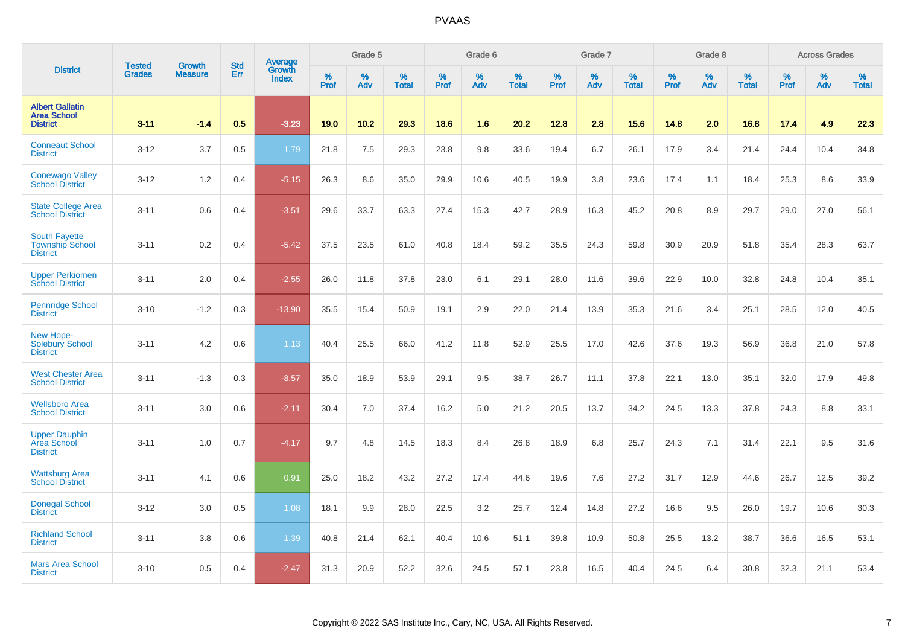|                                                                   | <b>Tested</b> | <b>Growth</b>  | <b>Std</b> | <b>Average</b><br>Growth |                     | Grade 5  |                   |           | Grade 6  |                   |                  | Grade 7  |                   |                  | Grade 8     |                   |           | <b>Across Grades</b> |                   |
|-------------------------------------------------------------------|---------------|----------------|------------|--------------------------|---------------------|----------|-------------------|-----------|----------|-------------------|------------------|----------|-------------------|------------------|-------------|-------------------|-----------|----------------------|-------------------|
| <b>District</b>                                                   | <b>Grades</b> | <b>Measure</b> | Err        | <b>Index</b>             | $\%$<br><b>Prof</b> | %<br>Adv | %<br><b>Total</b> | %<br>Prof | %<br>Adv | %<br><b>Total</b> | %<br><b>Prof</b> | %<br>Adv | %<br><b>Total</b> | %<br><b>Prof</b> | $\%$<br>Adv | %<br><b>Total</b> | %<br>Prof | %<br>Adv             | %<br><b>Total</b> |
| <b>Albert Gallatin</b><br><b>Area School</b><br><b>District</b>   | $3 - 11$      | $-1.4$         | 0.5        | $-3.23$                  | 19.0                | 10.2     | 29.3              | 18.6      | 1.6      | 20.2              | 12.8             | 2.8      | 15.6              | 14.8             | 2.0         | 16.8              | 17.4      | 4.9                  | 22.3              |
| <b>Conneaut School</b><br><b>District</b>                         | $3 - 12$      | 3.7            | 0.5        | 1.79                     | 21.8                | 7.5      | 29.3              | 23.8      | 9.8      | 33.6              | 19.4             | 6.7      | 26.1              | 17.9             | 3.4         | 21.4              | 24.4      | 10.4                 | 34.8              |
| <b>Conewago Valley</b><br><b>School District</b>                  | $3 - 12$      | 1.2            | 0.4        | $-5.15$                  | 26.3                | 8.6      | 35.0              | 29.9      | 10.6     | 40.5              | 19.9             | 3.8      | 23.6              | 17.4             | 1.1         | 18.4              | 25.3      | 8.6                  | 33.9              |
| State College Area<br><b>School District</b>                      | $3 - 11$      | 0.6            | 0.4        | $-3.51$                  | 29.6                | 33.7     | 63.3              | 27.4      | 15.3     | 42.7              | 28.9             | 16.3     | 45.2              | 20.8             | 8.9         | 29.7              | 29.0      | 27.0                 | 56.1              |
| <b>South Fayette</b><br><b>Township School</b><br><b>District</b> | $3 - 11$      | 0.2            | 0.4        | $-5.42$                  | 37.5                | 23.5     | 61.0              | 40.8      | 18.4     | 59.2              | 35.5             | 24.3     | 59.8              | 30.9             | 20.9        | 51.8              | 35.4      | 28.3                 | 63.7              |
| <b>Upper Perkiomen</b><br><b>School District</b>                  | $3 - 11$      | 2.0            | 0.4        | $-2.55$                  | 26.0                | 11.8     | 37.8              | 23.0      | 6.1      | 29.1              | 28.0             | 11.6     | 39.6              | 22.9             | 10.0        | 32.8              | 24.8      | 10.4                 | 35.1              |
| <b>Pennridge School</b><br><b>District</b>                        | $3 - 10$      | $-1.2$         | 0.3        | $-13.90$                 | 35.5                | 15.4     | 50.9              | 19.1      | 2.9      | 22.0              | 21.4             | 13.9     | 35.3              | 21.6             | 3.4         | 25.1              | 28.5      | 12.0                 | 40.5              |
| New Hope-<br><b>Solebury School</b><br><b>District</b>            | $3 - 11$      | 4.2            | 0.6        | 1.13                     | 40.4                | 25.5     | 66.0              | 41.2      | 11.8     | 52.9              | 25.5             | 17.0     | 42.6              | 37.6             | 19.3        | 56.9              | 36.8      | 21.0                 | 57.8              |
| <b>West Chester Area</b><br><b>School District</b>                | $3 - 11$      | $-1.3$         | 0.3        | $-8.57$                  | 35.0                | 18.9     | 53.9              | 29.1      | 9.5      | 38.7              | 26.7             | 11.1     | 37.8              | 22.1             | 13.0        | 35.1              | 32.0      | 17.9                 | 49.8              |
| <b>Wellsboro Area</b><br><b>School District</b>                   | $3 - 11$      | 3.0            | 0.6        | $-2.11$                  | 30.4                | 7.0      | 37.4              | 16.2      | 5.0      | 21.2              | 20.5             | 13.7     | 34.2              | 24.5             | 13.3        | 37.8              | 24.3      | 8.8                  | 33.1              |
| <b>Upper Dauphin</b><br>Area School<br><b>District</b>            | $3 - 11$      | 1.0            | 0.7        | $-4.17$                  | 9.7                 | 4.8      | 14.5              | 18.3      | 8.4      | 26.8              | 18.9             | 6.8      | 25.7              | 24.3             | 7.1         | 31.4              | 22.1      | 9.5                  | 31.6              |
| <b>Wattsburg Area</b><br><b>School District</b>                   | $3 - 11$      | 4.1            | 0.6        | 0.91                     | 25.0                | 18.2     | 43.2              | 27.2      | 17.4     | 44.6              | 19.6             | 7.6      | 27.2              | 31.7             | 12.9        | 44.6              | 26.7      | 12.5                 | 39.2              |
| <b>Donegal School</b><br><b>District</b>                          | $3 - 12$      | 3.0            | 0.5        | 1.08                     | 18.1                | 9.9      | 28.0              | 22.5      | 3.2      | 25.7              | 12.4             | 14.8     | 27.2              | 16.6             | 9.5         | 26.0              | 19.7      | 10.6                 | 30.3              |
| <b>Richland School</b><br><b>District</b>                         | $3 - 11$      | 3.8            | 0.6        | 1.39                     | 40.8                | 21.4     | 62.1              | 40.4      | 10.6     | 51.1              | 39.8             | 10.9     | 50.8              | 25.5             | 13.2        | 38.7              | 36.6      | 16.5                 | 53.1              |
| <b>Mars Area School</b><br><b>District</b>                        | $3 - 10$      | 0.5            | 0.4        | $-2.47$                  | 31.3                | 20.9     | 52.2              | 32.6      | 24.5     | 57.1              | 23.8             | 16.5     | 40.4              | 24.5             | 6.4         | 30.8              | 32.3      | 21.1                 | 53.4              |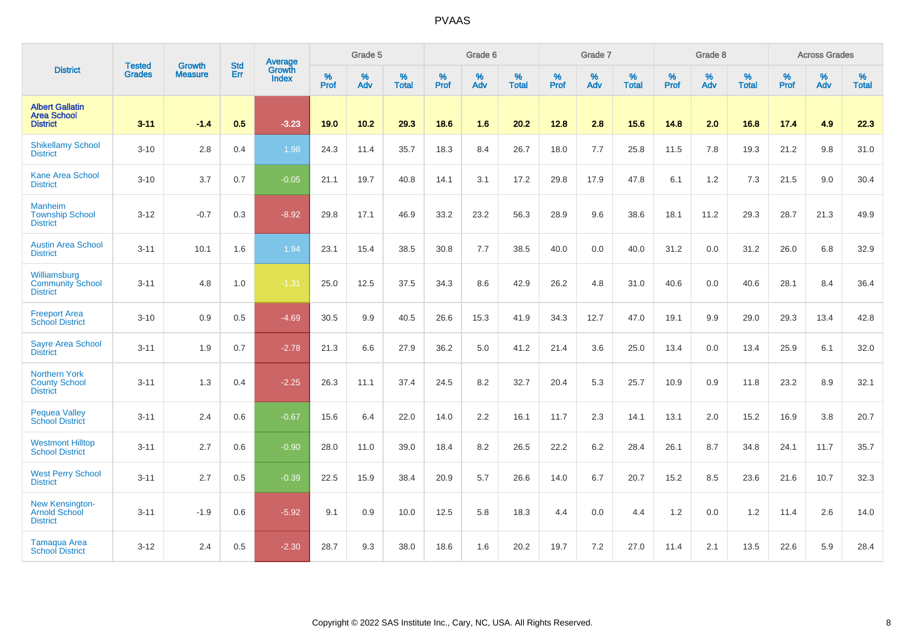|                                                                 | <b>Tested</b> | <b>Growth</b>  | <b>Std</b> | Average                |                     | Grade 5  |                   |              | Grade 6  |                   |                     | Grade 7  |                   |                     | Grade 8  |                   |                     | <b>Across Grades</b> |                   |
|-----------------------------------------------------------------|---------------|----------------|------------|------------------------|---------------------|----------|-------------------|--------------|----------|-------------------|---------------------|----------|-------------------|---------------------|----------|-------------------|---------------------|----------------------|-------------------|
| <b>District</b>                                                 | <b>Grades</b> | <b>Measure</b> | <b>Err</b> | Growth<br><b>Index</b> | $\%$<br><b>Prof</b> | %<br>Adv | %<br><b>Total</b> | $\%$<br>Prof | %<br>Adv | %<br><b>Total</b> | $\%$<br><b>Prof</b> | %<br>Adv | %<br><b>Total</b> | $\%$<br><b>Prof</b> | %<br>Adv | %<br><b>Total</b> | $\%$<br><b>Prof</b> | $\%$<br>Adv          | %<br><b>Total</b> |
| <b>Albert Gallatin</b><br><b>Area School</b><br><b>District</b> | $3 - 11$      | $-1.4$         | 0.5        | $-3.23$                | 19.0                | 10.2     | 29.3              | 18.6         | 1.6      | 20.2              | 12.8                | 2.8      | 15.6              | 14.8                | 2.0      | 16.8              | 17.4                | 4.9                  | 22.3              |
| <b>Shikellamy School</b><br><b>District</b>                     | $3 - 10$      | 2.8            | 0.4        | 1.98                   | 24.3                | 11.4     | 35.7              | 18.3         | 8.4      | 26.7              | 18.0                | 7.7      | 25.8              | 11.5                | 7.8      | 19.3              | 21.2                | 9.8                  | 31.0              |
| <b>Kane Area School</b><br><b>District</b>                      | $3 - 10$      | 3.7            | 0.7        | $-0.05$                | 21.1                | 19.7     | 40.8              | 14.1         | 3.1      | 17.2              | 29.8                | 17.9     | 47.8              | 6.1                 | 1.2      | 7.3               | 21.5                | 9.0                  | 30.4              |
| <b>Manheim</b><br><b>Township School</b><br><b>District</b>     | $3 - 12$      | $-0.7$         | 0.3        | $-8.92$                | 29.8                | 17.1     | 46.9              | 33.2         | 23.2     | 56.3              | 28.9                | 9.6      | 38.6              | 18.1                | 11.2     | 29.3              | 28.7                | 21.3                 | 49.9              |
| <b>Austin Area School</b><br><b>District</b>                    | $3 - 11$      | 10.1           | 1.6        | 1.94                   | 23.1                | 15.4     | 38.5              | 30.8         | 7.7      | 38.5              | 40.0                | 0.0      | 40.0              | 31.2                | 0.0      | 31.2              | 26.0                | 6.8                  | 32.9              |
| Williamsburg<br><b>Community School</b><br><b>District</b>      | $3 - 11$      | 4.8            | 1.0        | $-1.31$                | 25.0                | 12.5     | 37.5              | 34.3         | 8.6      | 42.9              | 26.2                | 4.8      | 31.0              | 40.6                | 0.0      | 40.6              | 28.1                | 8.4                  | 36.4              |
| <b>Freeport Area</b><br><b>School District</b>                  | $3 - 10$      | 0.9            | 0.5        | $-4.69$                | 30.5                | 9.9      | 40.5              | 26.6         | 15.3     | 41.9              | 34.3                | 12.7     | 47.0              | 19.1                | 9.9      | 29.0              | 29.3                | 13.4                 | 42.8              |
| <b>Sayre Area School</b><br><b>District</b>                     | $3 - 11$      | 1.9            | 0.7        | $-2.78$                | 21.3                | 6.6      | 27.9              | 36.2         | 5.0      | 41.2              | 21.4                | 3.6      | 25.0              | 13.4                | 0.0      | 13.4              | 25.9                | 6.1                  | 32.0              |
| <b>Northern York</b><br><b>County School</b><br><b>District</b> | $3 - 11$      | 1.3            | 0.4        | $-2.25$                | 26.3                | 11.1     | 37.4              | 24.5         | 8.2      | 32.7              | 20.4                | 5.3      | 25.7              | 10.9                | 0.9      | 11.8              | 23.2                | 8.9                  | 32.1              |
| <b>Pequea Valley</b><br><b>School District</b>                  | $3 - 11$      | 2.4            | 0.6        | $-0.67$                | 15.6                | 6.4      | 22.0              | 14.0         | 2.2      | 16.1              | 11.7                | 2.3      | 14.1              | 13.1                | 2.0      | 15.2              | 16.9                | 3.8                  | 20.7              |
| <b>Westmont Hilltop</b><br><b>School District</b>               | $3 - 11$      | 2.7            | 0.6        | $-0.90$                | 28.0                | 11.0     | 39.0              | 18.4         | 8.2      | 26.5              | 22.2                | $6.2\,$  | 28.4              | 26.1                | 8.7      | 34.8              | 24.1                | 11.7                 | 35.7              |
| <b>West Perry School</b><br><b>District</b>                     | $3 - 11$      | 2.7            | 0.5        | $-0.39$                | 22.5                | 15.9     | 38.4              | 20.9         | 5.7      | 26.6              | 14.0                | 6.7      | 20.7              | 15.2                | 8.5      | 23.6              | 21.6                | 10.7                 | 32.3              |
| New Kensington-<br><b>Arnold School</b><br><b>District</b>      | $3 - 11$      | $-1.9$         | 0.6        | $-5.92$                | 9.1                 | 0.9      | 10.0              | 12.5         | 5.8      | 18.3              | 4.4                 | 0.0      | 4.4               | 1.2                 | 0.0      | 1.2               | 11.4                | 2.6                  | 14.0              |
| <b>Tamaqua Area</b><br><b>School District</b>                   | $3 - 12$      | 2.4            | 0.5        | $-2.30$                | 28.7                | 9.3      | 38.0              | 18.6         | 1.6      | 20.2              | 19.7                | 7.2      | 27.0              | 11.4                | 2.1      | 13.5              | 22.6                | 5.9                  | 28.4              |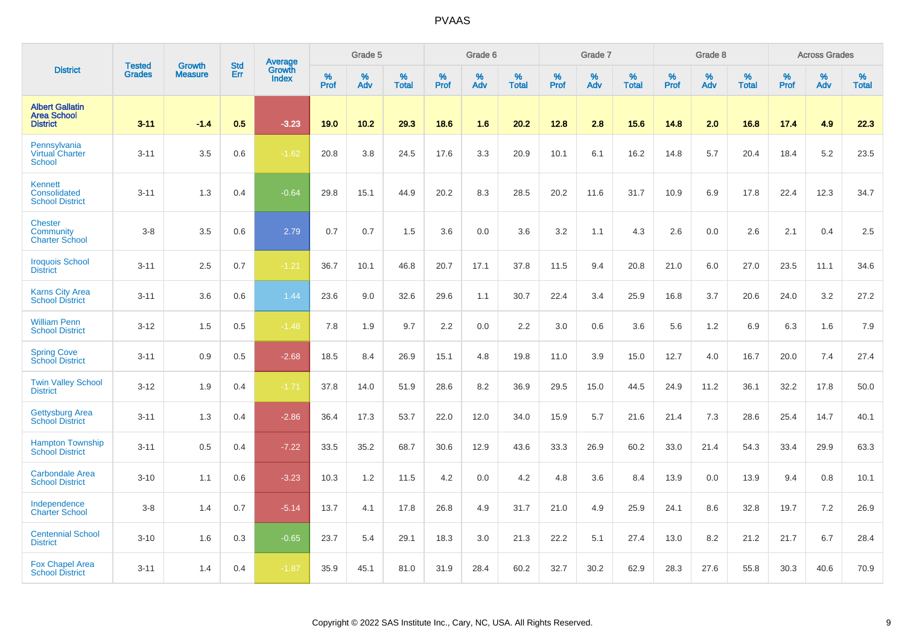|                                                                 | <b>Tested</b> | <b>Growth</b>  | <b>Std</b> | Average                |                     | Grade 5  |                   |                     | Grade 6  |                   |           | Grade 7  |                   |           | Grade 8  |                   |                  | <b>Across Grades</b> |                   |
|-----------------------------------------------------------------|---------------|----------------|------------|------------------------|---------------------|----------|-------------------|---------------------|----------|-------------------|-----------|----------|-------------------|-----------|----------|-------------------|------------------|----------------------|-------------------|
| <b>District</b>                                                 | <b>Grades</b> | <b>Measure</b> | Err        | Growth<br><b>Index</b> | $\%$<br><b>Prof</b> | %<br>Adv | %<br><b>Total</b> | $\%$<br><b>Prof</b> | %<br>Adv | %<br><b>Total</b> | %<br>Prof | %<br>Adv | %<br><b>Total</b> | %<br>Prof | %<br>Adv | %<br><b>Total</b> | %<br><b>Prof</b> | %<br>Adv             | %<br><b>Total</b> |
| <b>Albert Gallatin</b><br><b>Area School</b><br><b>District</b> | $3 - 11$      | $-1.4$         | 0.5        | $-3.23$                | 19.0                | 10.2     | 29.3              | 18.6                | 1.6      | 20.2              | 12.8      | 2.8      | 15.6              | 14.8      | 2.0      | 16.8              | 17.4             | 4.9                  | 22.3              |
| Pennsylvania<br><b>Virtual Charter</b><br><b>School</b>         | $3 - 11$      | 3.5            | 0.6        | $-1.62$                | 20.8                | 3.8      | 24.5              | 17.6                | 3.3      | 20.9              | 10.1      | 6.1      | 16.2              | 14.8      | 5.7      | 20.4              | 18.4             | 5.2                  | 23.5              |
| Kennett<br>Consolidated<br><b>School District</b>               | $3 - 11$      | 1.3            | 0.4        | $-0.64$                | 29.8                | 15.1     | 44.9              | 20.2                | 8.3      | 28.5              | 20.2      | 11.6     | 31.7              | 10.9      | 6.9      | 17.8              | 22.4             | 12.3                 | 34.7              |
| <b>Chester</b><br>Community<br><b>Charter School</b>            | $3 - 8$       | 3.5            | 0.6        | 2.79                   | 0.7                 | 0.7      | 1.5               | 3.6                 | 0.0      | 3.6               | 3.2       | 1.1      | 4.3               | 2.6       | 0.0      | 2.6               | 2.1              | 0.4                  | 2.5               |
| <b>Iroquois School</b><br><b>District</b>                       | $3 - 11$      | 2.5            | 0.7        | $-1.21$                | 36.7                | 10.1     | 46.8              | 20.7                | 17.1     | 37.8              | 11.5      | 9.4      | 20.8              | 21.0      | 6.0      | 27.0              | 23.5             | 11.1                 | 34.6              |
| <b>Karns City Area</b><br><b>School District</b>                | $3 - 11$      | 3.6            | 0.6        | 1.44                   | 23.6                | 9.0      | 32.6              | 29.6                | 1.1      | 30.7              | 22.4      | 3.4      | 25.9              | 16.8      | 3.7      | 20.6              | 24.0             | 3.2                  | 27.2              |
| <b>William Penn</b><br><b>School District</b>                   | $3 - 12$      | 1.5            | 0.5        | $-1.48$                | 7.8                 | 1.9      | 9.7               | 2.2                 | 0.0      | 2.2               | 3.0       | 0.6      | 3.6               | 5.6       | 1.2      | 6.9               | 6.3              | 1.6                  | 7.9               |
| <b>Spring Cove</b><br><b>School District</b>                    | $3 - 11$      | 0.9            | 0.5        | $-2.68$                | 18.5                | 8.4      | 26.9              | 15.1                | 4.8      | 19.8              | 11.0      | 3.9      | 15.0              | 12.7      | 4.0      | 16.7              | 20.0             | 7.4                  | 27.4              |
| <b>Twin Valley School</b><br><b>District</b>                    | $3 - 12$      | 1.9            | 0.4        | $-1.71$                | 37.8                | 14.0     | 51.9              | 28.6                | 8.2      | 36.9              | 29.5      | 15.0     | 44.5              | 24.9      | 11.2     | 36.1              | 32.2             | 17.8                 | 50.0              |
| <b>Gettysburg Area</b><br><b>School District</b>                | $3 - 11$      | 1.3            | 0.4        | $-2.86$                | 36.4                | 17.3     | 53.7              | 22.0                | 12.0     | 34.0              | 15.9      | 5.7      | 21.6              | 21.4      | 7.3      | 28.6              | 25.4             | 14.7                 | 40.1              |
| <b>Hampton Township</b><br><b>School District</b>               | $3 - 11$      | 0.5            | 0.4        | $-7.22$                | 33.5                | 35.2     | 68.7              | 30.6                | 12.9     | 43.6              | 33.3      | 26.9     | 60.2              | 33.0      | 21.4     | 54.3              | 33.4             | 29.9                 | 63.3              |
| <b>Carbondale Area</b><br><b>School District</b>                | $3 - 10$      | 1.1            | 0.6        | $-3.23$                | 10.3                | 1.2      | 11.5              | 4.2                 | 0.0      | 4.2               | 4.8       | 3.6      | 8.4               | 13.9      | 0.0      | 13.9              | 9.4              | 0.8                  | 10.1              |
| Independence<br><b>Charter School</b>                           | $3 - 8$       | 1.4            | 0.7        | $-5.14$                | 13.7                | 4.1      | 17.8              | 26.8                | 4.9      | 31.7              | 21.0      | 4.9      | 25.9              | 24.1      | 8.6      | 32.8              | 19.7             | 7.2                  | 26.9              |
| <b>Centennial School</b><br><b>District</b>                     | $3 - 10$      | 1.6            | 0.3        | $-0.65$                | 23.7                | 5.4      | 29.1              | 18.3                | 3.0      | 21.3              | 22.2      | 5.1      | 27.4              | 13.0      | 8.2      | 21.2              | 21.7             | 6.7                  | 28.4              |
| <b>Fox Chapel Area</b><br><b>School District</b>                | $3 - 11$      | 1.4            | 0.4        | $-1.87$                | 35.9                | 45.1     | 81.0              | 31.9                | 28.4     | 60.2              | 32.7      | 30.2     | 62.9              | 28.3      | 27.6     | 55.8              | 30.3             | 40.6                 | 70.9              |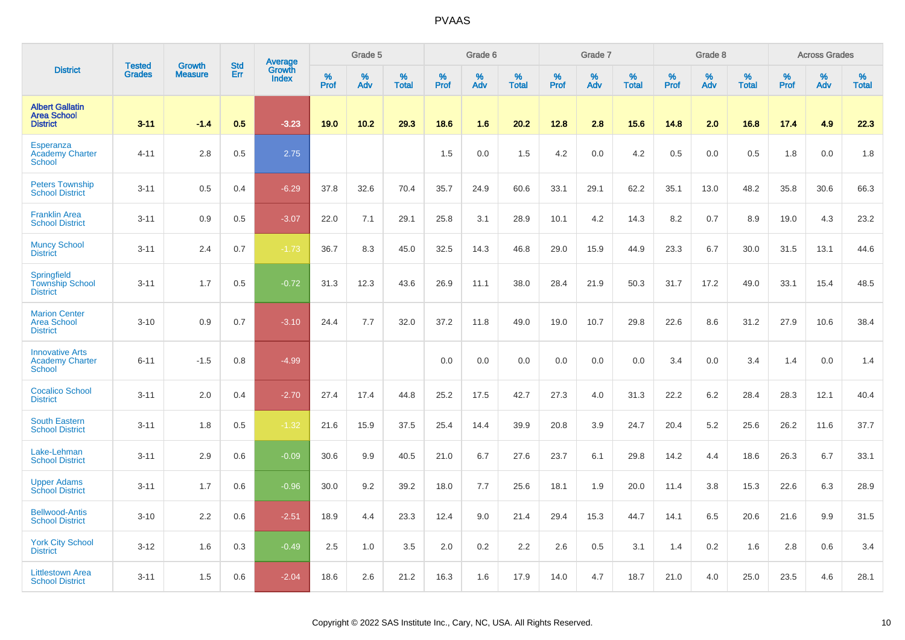|                                                                   | <b>Tested</b> | <b>Growth</b>  | <b>Std</b> |                                   |           | Grade 5  |                   |           | Grade 6  |                   |           | Grade 7  |                   |           | Grade 8  |                   |           | <b>Across Grades</b> |                   |
|-------------------------------------------------------------------|---------------|----------------|------------|-----------------------------------|-----------|----------|-------------------|-----------|----------|-------------------|-----------|----------|-------------------|-----------|----------|-------------------|-----------|----------------------|-------------------|
| <b>District</b>                                                   | <b>Grades</b> | <b>Measure</b> | Err        | Average<br>Growth<br><b>Index</b> | %<br>Prof | %<br>Adv | %<br><b>Total</b> | %<br>Prof | %<br>Adv | %<br><b>Total</b> | %<br>Prof | %<br>Adv | %<br><b>Total</b> | %<br>Prof | %<br>Adv | %<br><b>Total</b> | %<br>Prof | %<br>Adv             | %<br><b>Total</b> |
| <b>Albert Gallatin</b><br><b>Area School</b><br><b>District</b>   | $3 - 11$      | $-1.4$         | 0.5        | $-3.23$                           | 19.0      | 10.2     | 29.3              | 18.6      | 1.6      | 20.2              | 12.8      | 2.8      | 15.6              | 14.8      | 2.0      | 16.8              | 17.4      | 4.9                  | 22.3              |
| Esperanza<br><b>Academy Charter</b><br><b>School</b>              | $4 - 11$      | 2.8            | 0.5        | 2.75                              |           |          |                   | 1.5       | 0.0      | 1.5               | 4.2       | 0.0      | 4.2               | 0.5       | 0.0      | 0.5               | 1.8       | 0.0                  | 1.8               |
| <b>Peters Township</b><br><b>School District</b>                  | $3 - 11$      | 0.5            | 0.4        | $-6.29$                           | 37.8      | 32.6     | 70.4              | 35.7      | 24.9     | 60.6              | 33.1      | 29.1     | 62.2              | 35.1      | 13.0     | 48.2              | 35.8      | 30.6                 | 66.3              |
| <b>Franklin Area</b><br><b>School District</b>                    | $3 - 11$      | 0.9            | 0.5        | $-3.07$                           | 22.0      | 7.1      | 29.1              | 25.8      | 3.1      | 28.9              | 10.1      | 4.2      | 14.3              | 8.2       | 0.7      | 8.9               | 19.0      | 4.3                  | 23.2              |
| <b>Muncy School</b><br><b>District</b>                            | $3 - 11$      | 2.4            | 0.7        | $-1.73$                           | 36.7      | 8.3      | 45.0              | 32.5      | 14.3     | 46.8              | 29.0      | 15.9     | 44.9              | 23.3      | 6.7      | 30.0              | 31.5      | 13.1                 | 44.6              |
| Springfield<br><b>Township School</b><br><b>District</b>          | $3 - 11$      | 1.7            | 0.5        | $-0.72$                           | 31.3      | 12.3     | 43.6              | 26.9      | 11.1     | 38.0              | 28.4      | 21.9     | 50.3              | 31.7      | 17.2     | 49.0              | 33.1      | 15.4                 | 48.5              |
| <b>Marion Center</b><br><b>Area School</b><br><b>District</b>     | $3 - 10$      | 0.9            | 0.7        | $-3.10$                           | 24.4      | 7.7      | 32.0              | 37.2      | 11.8     | 49.0              | 19.0      | 10.7     | 29.8              | 22.6      | 8.6      | 31.2              | 27.9      | 10.6                 | 38.4              |
| <b>Innovative Arts</b><br><b>Academy Charter</b><br><b>School</b> | $6 - 11$      | $-1.5$         | 0.8        | $-4.99$                           |           |          |                   | 0.0       | 0.0      | 0.0               | 0.0       | 0.0      | 0.0               | 3.4       | 0.0      | 3.4               | 1.4       | 0.0                  | 1.4               |
| <b>Cocalico School</b><br><b>District</b>                         | $3 - 11$      | 2.0            | 0.4        | $-2.70$                           | 27.4      | 17.4     | 44.8              | 25.2      | 17.5     | 42.7              | 27.3      | 4.0      | 31.3              | 22.2      | 6.2      | 28.4              | 28.3      | 12.1                 | 40.4              |
| <b>South Eastern</b><br><b>School District</b>                    | $3 - 11$      | 1.8            | 0.5        | $-1.32$                           | 21.6      | 15.9     | 37.5              | 25.4      | 14.4     | 39.9              | 20.8      | 3.9      | 24.7              | 20.4      | 5.2      | 25.6              | 26.2      | 11.6                 | 37.7              |
| Lake-Lehman<br><b>School District</b>                             | $3 - 11$      | 2.9            | 0.6        | $-0.09$                           | 30.6      | 9.9      | 40.5              | 21.0      | 6.7      | 27.6              | 23.7      | 6.1      | 29.8              | 14.2      | 4.4      | 18.6              | 26.3      | 6.7                  | 33.1              |
| <b>Upper Adams</b><br><b>School District</b>                      | $3 - 11$      | 1.7            | 0.6        | $-0.96$                           | 30.0      | 9.2      | 39.2              | 18.0      | 7.7      | 25.6              | 18.1      | 1.9      | 20.0              | 11.4      | 3.8      | 15.3              | 22.6      | 6.3                  | 28.9              |
| <b>Bellwood-Antis</b><br><b>School District</b>                   | $3 - 10$      | 2.2            | 0.6        | $-2.51$                           | 18.9      | 4.4      | 23.3              | 12.4      | 9.0      | 21.4              | 29.4      | 15.3     | 44.7              | 14.1      | 6.5      | 20.6              | 21.6      | 9.9                  | 31.5              |
| <b>York City School</b><br><b>District</b>                        | $3 - 12$      | 1.6            | 0.3        | $-0.49$                           | 2.5       | 1.0      | 3.5               | 2.0       | 0.2      | 2.2               | 2.6       | 0.5      | 3.1               | 1.4       | 0.2      | 1.6               | 2.8       | 0.6                  | 3.4               |
| <b>Littlestown Area</b><br><b>School District</b>                 | $3 - 11$      | 1.5            | 0.6        | $-2.04$                           | 18.6      | 2.6      | 21.2              | 16.3      | 1.6      | 17.9              | 14.0      | 4.7      | 18.7              | 21.0      | 4.0      | 25.0              | 23.5      | 4.6                  | 28.1              |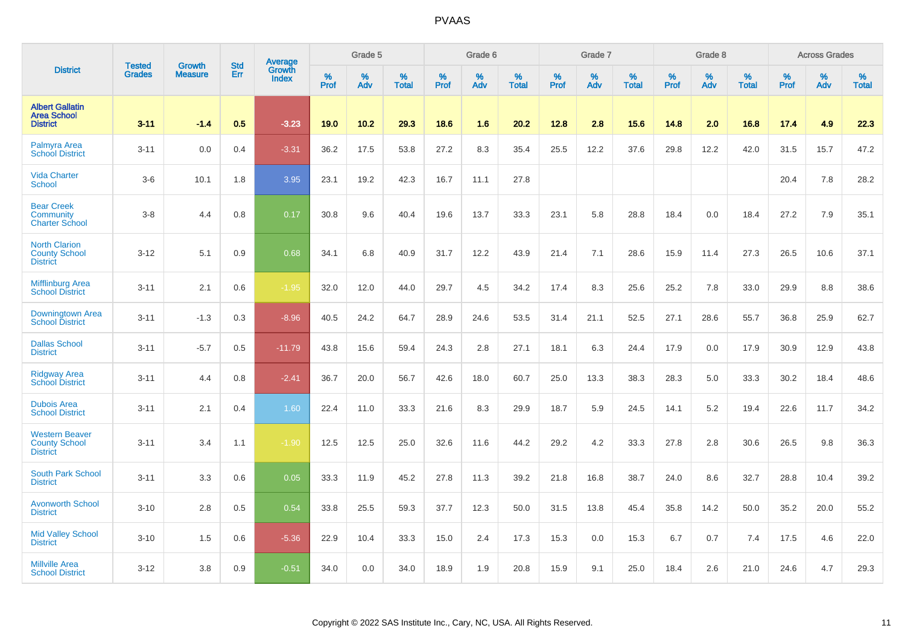|                                                                  |                         |                                 | <b>Std</b> | Average                |              | Grade 5  |                   |           | Grade 6  |                   |           | Grade 7  |                   |           | Grade 8  |                   |           | <b>Across Grades</b> |                   |
|------------------------------------------------------------------|-------------------------|---------------------------------|------------|------------------------|--------------|----------|-------------------|-----------|----------|-------------------|-----------|----------|-------------------|-----------|----------|-------------------|-----------|----------------------|-------------------|
| <b>District</b>                                                  | <b>Tested</b><br>Grades | <b>Growth</b><br><b>Measure</b> | Err        | Growth<br><b>Index</b> | $\%$<br>Prof | %<br>Adv | %<br><b>Total</b> | %<br>Prof | %<br>Adv | %<br><b>Total</b> | %<br>Prof | %<br>Adv | %<br><b>Total</b> | %<br>Prof | %<br>Adv | %<br><b>Total</b> | %<br>Prof | %<br>Adv             | %<br><b>Total</b> |
| <b>Albert Gallatin</b><br><b>Area School</b><br><b>District</b>  | $3 - 11$                | $-1.4$                          | 0.5        | $-3.23$                | 19.0         | 10.2     | 29.3              | 18.6      | 1.6      | 20.2              | 12.8      | 2.8      | 15.6              | 14.8      | 2.0      | 16.8              | 17.4      | 4.9                  | 22.3              |
| Palmyra Area<br><b>School District</b>                           | $3 - 11$                | 0.0                             | 0.4        | $-3.31$                | 36.2         | 17.5     | 53.8              | 27.2      | 8.3      | 35.4              | 25.5      | 12.2     | 37.6              | 29.8      | 12.2     | 42.0              | 31.5      | 15.7                 | 47.2              |
| <b>Vida Charter</b><br><b>School</b>                             | $3-6$                   | 10.1                            | 1.8        | 3.95                   | 23.1         | 19.2     | 42.3              | 16.7      | 11.1     | 27.8              |           |          |                   |           |          |                   | 20.4      | 7.8                  | 28.2              |
| <b>Bear Creek</b><br>Community<br><b>Charter School</b>          | $3-8$                   | 4.4                             | 0.8        | 0.17                   | 30.8         | 9.6      | 40.4              | 19.6      | 13.7     | 33.3              | 23.1      | 5.8      | 28.8              | 18.4      | 0.0      | 18.4              | 27.2      | 7.9                  | 35.1              |
| <b>North Clarion</b><br><b>County School</b><br><b>District</b>  | $3 - 12$                | 5.1                             | 0.9        | 0.68                   | 34.1         | 6.8      | 40.9              | 31.7      | 12.2     | 43.9              | 21.4      | 7.1      | 28.6              | 15.9      | 11.4     | 27.3              | 26.5      | 10.6                 | 37.1              |
| <b>Mifflinburg Area</b><br><b>School District</b>                | $3 - 11$                | 2.1                             | 0.6        | $-1.95$                | 32.0         | 12.0     | 44.0              | 29.7      | 4.5      | 34.2              | 17.4      | 8.3      | 25.6              | 25.2      | 7.8      | 33.0              | 29.9      | 8.8                  | 38.6              |
| <b>Downingtown Area</b><br><b>School District</b>                | $3 - 11$                | $-1.3$                          | 0.3        | $-8.96$                | 40.5         | 24.2     | 64.7              | 28.9      | 24.6     | 53.5              | 31.4      | 21.1     | 52.5              | 27.1      | 28.6     | 55.7              | 36.8      | 25.9                 | 62.7              |
| <b>Dallas School</b><br><b>District</b>                          | $3 - 11$                | $-5.7$                          | 0.5        | $-11.79$               | 43.8         | 15.6     | 59.4              | 24.3      | 2.8      | 27.1              | 18.1      | 6.3      | 24.4              | 17.9      | 0.0      | 17.9              | 30.9      | 12.9                 | 43.8              |
| <b>Ridgway Area</b><br><b>School District</b>                    | $3 - 11$                | 4.4                             | 0.8        | $-2.41$                | 36.7         | 20.0     | 56.7              | 42.6      | 18.0     | 60.7              | 25.0      | 13.3     | 38.3              | 28.3      | 5.0      | 33.3              | 30.2      | 18.4                 | 48.6              |
| <b>Dubois Area</b><br><b>School District</b>                     | $3 - 11$                | 2.1                             | 0.4        | 1.60                   | 22.4         | 11.0     | 33.3              | 21.6      | 8.3      | 29.9              | 18.7      | 5.9      | 24.5              | 14.1      | 5.2      | 19.4              | 22.6      | 11.7                 | 34.2              |
| <b>Western Beaver</b><br><b>County School</b><br><b>District</b> | $3 - 11$                | 3.4                             | 1.1        | $-1.90$                | 12.5         | 12.5     | 25.0              | 32.6      | 11.6     | 44.2              | 29.2      | 4.2      | 33.3              | 27.8      | 2.8      | 30.6              | 26.5      | 9.8                  | 36.3              |
| South Park School<br><b>District</b>                             | $3 - 11$                | 3.3                             | 0.6        | 0.05                   | 33.3         | 11.9     | 45.2              | 27.8      | 11.3     | 39.2              | 21.8      | 16.8     | 38.7              | 24.0      | 8.6      | 32.7              | 28.8      | 10.4                 | 39.2              |
| <b>Avonworth School</b><br><b>District</b>                       | $3 - 10$                | 2.8                             | 0.5        | 0.54                   | 33.8         | 25.5     | 59.3              | 37.7      | 12.3     | 50.0              | 31.5      | 13.8     | 45.4              | 35.8      | 14.2     | 50.0              | 35.2      | 20.0                 | 55.2              |
| <b>Mid Valley School</b><br><b>District</b>                      | $3 - 10$                | 1.5                             | 0.6        | $-5.36$                | 22.9         | 10.4     | 33.3              | 15.0      | 2.4      | 17.3              | 15.3      | 0.0      | 15.3              | 6.7       | 0.7      | 7.4               | 17.5      | 4.6                  | 22.0              |
| <b>Millville Area</b><br><b>School District</b>                  | $3 - 12$                | 3.8                             | 0.9        | $-0.51$                | 34.0         | 0.0      | 34.0              | 18.9      | 1.9      | 20.8              | 15.9      | 9.1      | 25.0              | 18.4      | 2.6      | 21.0              | 24.6      | 4.7                  | 29.3              |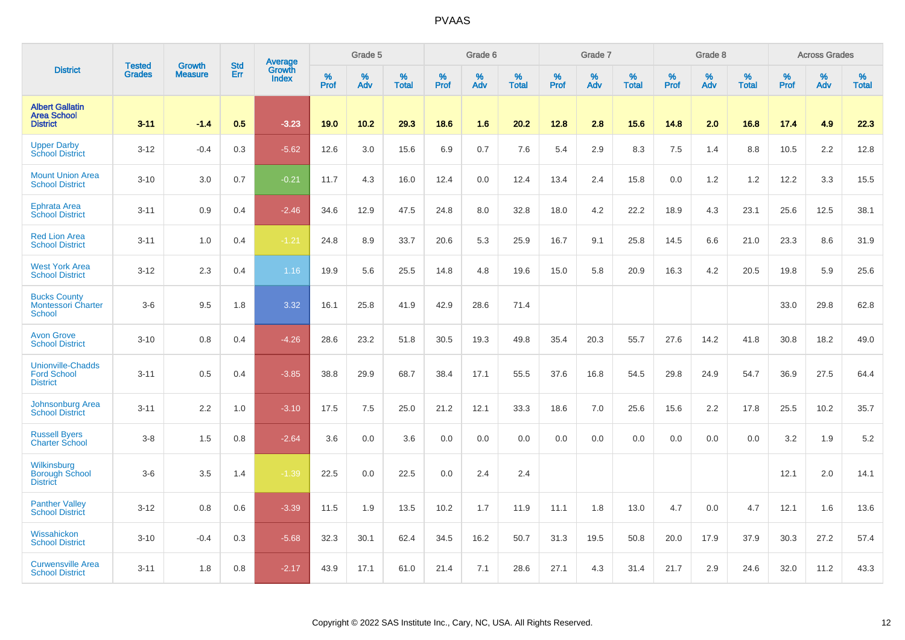|                                                                   |                                |                                 | <b>Std</b> | Average         |              | Grade 5  |                   |           | Grade 6  |                   |           | Grade 7  |                   |           | Grade 8  |                   |           | <b>Across Grades</b> |                   |
|-------------------------------------------------------------------|--------------------------------|---------------------------------|------------|-----------------|--------------|----------|-------------------|-----------|----------|-------------------|-----------|----------|-------------------|-----------|----------|-------------------|-----------|----------------------|-------------------|
| <b>District</b>                                                   | <b>Tested</b><br><b>Grades</b> | <b>Growth</b><br><b>Measure</b> | Err        | Growth<br>Index | $\%$<br>Prof | %<br>Adv | %<br><b>Total</b> | %<br>Prof | %<br>Adv | %<br><b>Total</b> | %<br>Prof | %<br>Adv | %<br><b>Total</b> | %<br>Prof | %<br>Adv | %<br><b>Total</b> | %<br>Prof | %<br>Adv             | %<br><b>Total</b> |
| <b>Albert Gallatin</b><br><b>Area School</b><br><b>District</b>   | $3 - 11$                       | $-1.4$                          | 0.5        | $-3.23$         | 19.0         | 10.2     | 29.3              | 18.6      | 1.6      | 20.2              | 12.8      | 2.8      | 15.6              | 14.8      | 2.0      | 16.8              | 17.4      | 4.9                  | 22.3              |
| <b>Upper Darby</b><br><b>School District</b>                      | $3 - 12$                       | $-0.4$                          | 0.3        | $-5.62$         | 12.6         | 3.0      | 15.6              | 6.9       | 0.7      | 7.6               | 5.4       | 2.9      | 8.3               | 7.5       | 1.4      | 8.8               | 10.5      | 2.2                  | 12.8              |
| <b>Mount Union Area</b><br><b>School District</b>                 | $3 - 10$                       | 3.0                             | 0.7        | $-0.21$         | 11.7         | 4.3      | 16.0              | 12.4      | 0.0      | 12.4              | 13.4      | 2.4      | 15.8              | 0.0       | 1.2      | 1.2               | 12.2      | 3.3                  | 15.5              |
| Ephrata Area<br><b>School District</b>                            | $3 - 11$                       | 0.9                             | 0.4        | $-2.46$         | 34.6         | 12.9     | 47.5              | 24.8      | 8.0      | 32.8              | 18.0      | 4.2      | 22.2              | 18.9      | 4.3      | 23.1              | 25.6      | 12.5                 | 38.1              |
| <b>Red Lion Area</b><br><b>School District</b>                    | $3 - 11$                       | 1.0                             | 0.4        | $-1.21$         | 24.8         | 8.9      | 33.7              | 20.6      | 5.3      | 25.9              | 16.7      | 9.1      | 25.8              | 14.5      | 6.6      | 21.0              | 23.3      | 8.6                  | 31.9              |
| <b>West York Area</b><br><b>School District</b>                   | $3 - 12$                       | 2.3                             | 0.4        | 1.16            | 19.9         | 5.6      | 25.5              | 14.8      | 4.8      | 19.6              | 15.0      | 5.8      | 20.9              | 16.3      | 4.2      | 20.5              | 19.8      | 5.9                  | 25.6              |
| <b>Bucks County</b><br><b>Montessori Charter</b><br><b>School</b> | $3-6$                          | 9.5                             | 1.8        | 3.32            | 16.1         | 25.8     | 41.9              | 42.9      | 28.6     | 71.4              |           |          |                   |           |          |                   | 33.0      | 29.8                 | 62.8              |
| <b>Avon Grove</b><br><b>School District</b>                       | $3 - 10$                       | 0.8                             | 0.4        | $-4.26$         | 28.6         | 23.2     | 51.8              | 30.5      | 19.3     | 49.8              | 35.4      | 20.3     | 55.7              | 27.6      | 14.2     | 41.8              | 30.8      | 18.2                 | 49.0              |
| <b>Unionville-Chadds</b><br><b>Ford School</b><br><b>District</b> | $3 - 11$                       | 0.5                             | 0.4        | $-3.85$         | 38.8         | 29.9     | 68.7              | 38.4      | 17.1     | 55.5              | 37.6      | 16.8     | 54.5              | 29.8      | 24.9     | 54.7              | 36.9      | 27.5                 | 64.4              |
| <b>Johnsonburg Area</b><br><b>School District</b>                 | $3 - 11$                       | 2.2                             | 1.0        | $-3.10$         | 17.5         | 7.5      | 25.0              | 21.2      | 12.1     | 33.3              | 18.6      | 7.0      | 25.6              | 15.6      | 2.2      | 17.8              | 25.5      | 10.2                 | 35.7              |
| <b>Russell Byers</b><br><b>Charter School</b>                     | $3-8$                          | 1.5                             | 0.8        | $-2.64$         | 3.6          | 0.0      | 3.6               | 0.0       | 0.0      | 0.0               | 0.0       | 0.0      | 0.0               | 0.0       | 0.0      | 0.0               | 3.2       | 1.9                  | 5.2               |
| Wilkinsburg<br><b>Borough School</b><br><b>District</b>           | $3-6$                          | 3.5                             | 1.4        | $-1.39$         | 22.5         | 0.0      | 22.5              | 0.0       | 2.4      | 2.4               |           |          |                   |           |          |                   | 12.1      | 2.0                  | 14.1              |
| <b>Panther Valley</b><br><b>School District</b>                   | $3 - 12$                       | 0.8                             | 0.6        | $-3.39$         | 11.5         | 1.9      | 13.5              | 10.2      | 1.7      | 11.9              | 11.1      | 1.8      | 13.0              | 4.7       | 0.0      | 4.7               | 12.1      | 1.6                  | 13.6              |
| Wissahickon<br><b>School District</b>                             | $3 - 10$                       | $-0.4$                          | 0.3        | $-5.68$         | 32.3         | 30.1     | 62.4              | 34.5      | 16.2     | 50.7              | 31.3      | 19.5     | 50.8              | 20.0      | 17.9     | 37.9              | 30.3      | 27.2                 | 57.4              |
| <b>Curwensville Area</b><br><b>School District</b>                | $3 - 11$                       | 1.8                             | 0.8        | $-2.17$         | 43.9         | 17.1     | 61.0              | 21.4      | 7.1      | 28.6              | 27.1      | 4.3      | 31.4              | 21.7      | 2.9      | 24.6              | 32.0      | 11.2                 | 43.3              |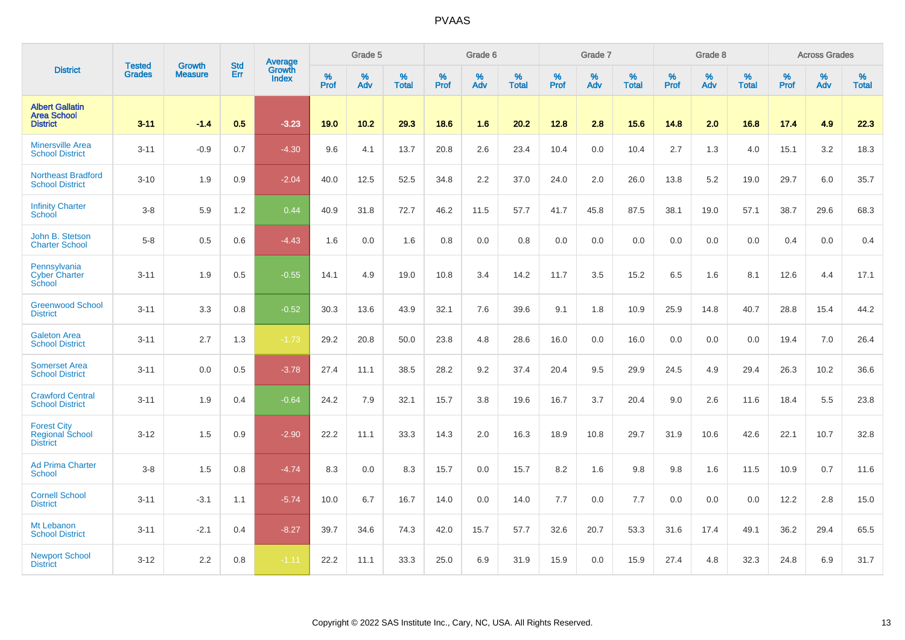|                                                                 | <b>Tested</b> | <b>Growth</b>  | <b>Std</b> | Average                       |           | Grade 5  |                   |           | Grade 6  |                   |           | Grade 7  |                   |           | Grade 8  |                   |           | <b>Across Grades</b> |                   |
|-----------------------------------------------------------------|---------------|----------------|------------|-------------------------------|-----------|----------|-------------------|-----------|----------|-------------------|-----------|----------|-------------------|-----------|----------|-------------------|-----------|----------------------|-------------------|
| <b>District</b>                                                 | <b>Grades</b> | <b>Measure</b> | Err        | <b>Growth</b><br><b>Index</b> | %<br>Prof | %<br>Adv | %<br><b>Total</b> | %<br>Prof | %<br>Adv | %<br><b>Total</b> | %<br>Prof | %<br>Adv | %<br><b>Total</b> | %<br>Prof | %<br>Adv | %<br><b>Total</b> | %<br>Prof | %<br>Adv             | %<br><b>Total</b> |
| <b>Albert Gallatin</b><br><b>Area School</b><br><b>District</b> | $3 - 11$      | $-1.4$         | 0.5        | $-3.23$                       | 19.0      | 10.2     | 29.3              | 18.6      | 1.6      | 20.2              | 12.8      | 2.8      | 15.6              | 14.8      | 2.0      | 16.8              | 17.4      | 4.9                  | 22.3              |
| <b>Minersville Area</b><br><b>School District</b>               | $3 - 11$      | $-0.9$         | 0.7        | $-4.30$                       | 9.6       | 4.1      | 13.7              | 20.8      | 2.6      | 23.4              | 10.4      | 0.0      | 10.4              | 2.7       | 1.3      | 4.0               | 15.1      | 3.2                  | 18.3              |
| Northeast Bradford<br><b>School District</b>                    | $3 - 10$      | 1.9            | 0.9        | $-2.04$                       | 40.0      | 12.5     | 52.5              | 34.8      | 2.2      | 37.0              | 24.0      | 2.0      | 26.0              | 13.8      | 5.2      | 19.0              | 29.7      | 6.0                  | 35.7              |
| <b>Infinity Charter</b><br>School                               | $3-8$         | 5.9            | 1.2        | 0.44                          | 40.9      | 31.8     | 72.7              | 46.2      | 11.5     | 57.7              | 41.7      | 45.8     | 87.5              | 38.1      | 19.0     | 57.1              | 38.7      | 29.6                 | 68.3              |
| John B. Stetson<br><b>Charter School</b>                        | $5-8$         | 0.5            | 0.6        | $-4.43$                       | 1.6       | 0.0      | 1.6               | 0.8       | 0.0      | 0.8               | 0.0       | 0.0      | 0.0               | 0.0       | 0.0      | 0.0               | 0.4       | 0.0                  | 0.4               |
| Pennsylvania<br><b>Cyber Charter</b><br>School                  | $3 - 11$      | 1.9            | 0.5        | $-0.55$                       | 14.1      | 4.9      | 19.0              | 10.8      | 3.4      | 14.2              | 11.7      | 3.5      | 15.2              | 6.5       | 1.6      | 8.1               | 12.6      | 4.4                  | 17.1              |
| <b>Greenwood School</b><br><b>District</b>                      | $3 - 11$      | 3.3            | 0.8        | $-0.52$                       | 30.3      | 13.6     | 43.9              | 32.1      | 7.6      | 39.6              | 9.1       | 1.8      | 10.9              | 25.9      | 14.8     | 40.7              | 28.8      | 15.4                 | 44.2              |
| <b>Galeton Area</b><br><b>School District</b>                   | $3 - 11$      | 2.7            | 1.3        | $-1.73$                       | 29.2      | 20.8     | 50.0              | 23.8      | 4.8      | 28.6              | 16.0      | 0.0      | 16.0              | 0.0       | 0.0      | 0.0               | 19.4      | 7.0                  | 26.4              |
| <b>Somerset Area</b><br><b>School District</b>                  | $3 - 11$      | 0.0            | 0.5        | $-3.78$                       | 27.4      | 11.1     | 38.5              | 28.2      | 9.2      | 37.4              | 20.4      | 9.5      | 29.9              | 24.5      | 4.9      | 29.4              | 26.3      | 10.2                 | 36.6              |
| <b>Crawford Central</b><br><b>School District</b>               | $3 - 11$      | 1.9            | 0.4        | $-0.64$                       | 24.2      | 7.9      | 32.1              | 15.7      | 3.8      | 19.6              | 16.7      | 3.7      | 20.4              | 9.0       | 2.6      | 11.6              | 18.4      | 5.5                  | 23.8              |
| <b>Forest City</b><br><b>Regional School</b><br><b>District</b> | $3 - 12$      | 1.5            | 0.9        | $-2.90$                       | 22.2      | 11.1     | 33.3              | 14.3      | 2.0      | 16.3              | 18.9      | 10.8     | 29.7              | 31.9      | 10.6     | 42.6              | 22.1      | 10.7                 | 32.8              |
| <b>Ad Prima Charter</b><br><b>School</b>                        | $3-8$         | 1.5            | 0.8        | $-4.74$                       | 8.3       | 0.0      | 8.3               | 15.7      | 0.0      | 15.7              | 8.2       | 1.6      | 9.8               | 9.8       | 1.6      | 11.5              | 10.9      | 0.7                  | 11.6              |
| <b>Cornell School</b><br><b>District</b>                        | $3 - 11$      | $-3.1$         | 1.1        | $-5.74$                       | 10.0      | 6.7      | 16.7              | 14.0      | 0.0      | 14.0              | 7.7       | 0.0      | 7.7               | 0.0       | 0.0      | 0.0               | 12.2      | 2.8                  | 15.0              |
| Mt Lebanon<br><b>School District</b>                            | $3 - 11$      | $-2.1$         | 0.4        | $-8.27$                       | 39.7      | 34.6     | 74.3              | 42.0      | 15.7     | 57.7              | 32.6      | 20.7     | 53.3              | 31.6      | 17.4     | 49.1              | 36.2      | 29.4                 | 65.5              |
| <b>Newport School</b><br><b>District</b>                        | $3 - 12$      | 2.2            | 0.8        | $-1.11$                       | 22.2      | 11.1     | 33.3              | 25.0      | 6.9      | 31.9              | 15.9      | 0.0      | 15.9              | 27.4      | 4.8      | 32.3              | 24.8      | 6.9                  | 31.7              |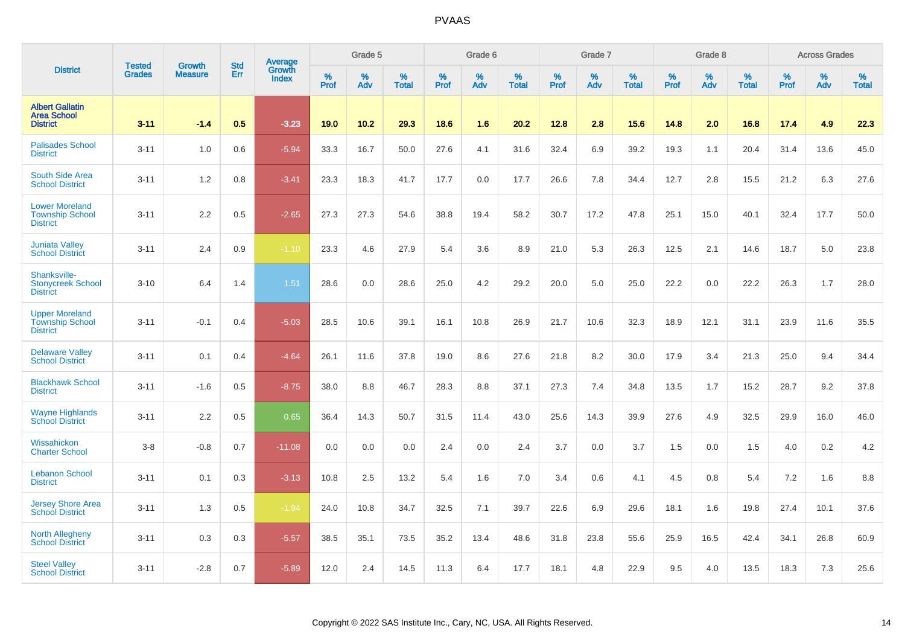|                                                                    |                                | <b>Growth</b>  | <b>Std</b> | Average                |              | Grade 5  |                   |           | Grade 6  |                   |           | Grade 7  |                   |           | Grade 8  |                   |           | <b>Across Grades</b> |                   |
|--------------------------------------------------------------------|--------------------------------|----------------|------------|------------------------|--------------|----------|-------------------|-----------|----------|-------------------|-----------|----------|-------------------|-----------|----------|-------------------|-----------|----------------------|-------------------|
| <b>District</b>                                                    | <b>Tested</b><br><b>Grades</b> | <b>Measure</b> | Err        | Growth<br><b>Index</b> | $\%$<br>Prof | %<br>Adv | %<br><b>Total</b> | %<br>Prof | %<br>Adv | %<br><b>Total</b> | %<br>Prof | %<br>Adv | %<br><b>Total</b> | %<br>Prof | %<br>Adv | %<br><b>Total</b> | %<br>Prof | $\%$<br>Adv          | %<br><b>Total</b> |
| <b>Albert Gallatin</b><br><b>Area School</b><br><b>District</b>    | $3 - 11$                       | $-1.4$         | 0.5        | $-3.23$                | 19.0         | 10.2     | 29.3              | 18.6      | 1.6      | 20.2              | 12.8      | 2.8      | 15.6              | 14.8      | 2.0      | 16.8              | 17.4      | 4.9                  | 22.3              |
| <b>Palisades School</b><br><b>District</b>                         | $3 - 11$                       | 1.0            | 0.6        | $-5.94$                | 33.3         | 16.7     | 50.0              | 27.6      | 4.1      | 31.6              | 32.4      | 6.9      | 39.2              | 19.3      | 1.1      | 20.4              | 31.4      | 13.6                 | 45.0              |
| South Side Area<br><b>School District</b>                          | $3 - 11$                       | 1.2            | 0.8        | $-3.41$                | 23.3         | 18.3     | 41.7              | 17.7      | 0.0      | 17.7              | 26.6      | 7.8      | 34.4              | 12.7      | 2.8      | 15.5              | 21.2      | 6.3                  | 27.6              |
| <b>Lower Moreland</b><br><b>Township School</b><br><b>District</b> | $3 - 11$                       | 2.2            | 0.5        | $-2.65$                | 27.3         | 27.3     | 54.6              | 38.8      | 19.4     | 58.2              | 30.7      | 17.2     | 47.8              | 25.1      | 15.0     | 40.1              | 32.4      | 17.7                 | 50.0              |
| <b>Juniata Valley</b><br><b>School District</b>                    | $3 - 11$                       | 2.4            | 0.9        | $-1.10$                | 23.3         | 4.6      | 27.9              | 5.4       | 3.6      | 8.9               | 21.0      | 5.3      | 26.3              | 12.5      | 2.1      | 14.6              | 18.7      | 5.0                  | 23.8              |
| Shanksville-<br><b>Stonycreek School</b><br><b>District</b>        | $3 - 10$                       | 6.4            | 1.4        | 1.51                   | 28.6         | 0.0      | 28.6              | 25.0      | 4.2      | 29.2              | 20.0      | 5.0      | 25.0              | 22.2      | 0.0      | 22.2              | 26.3      | 1.7                  | 28.0              |
| <b>Upper Moreland</b><br><b>Township School</b><br><b>District</b> | $3 - 11$                       | $-0.1$         | 0.4        | $-5.03$                | 28.5         | 10.6     | 39.1              | 16.1      | 10.8     | 26.9              | 21.7      | 10.6     | 32.3              | 18.9      | 12.1     | 31.1              | 23.9      | 11.6                 | 35.5              |
| <b>Delaware Valley</b><br><b>School District</b>                   | $3 - 11$                       | 0.1            | 0.4        | $-4.64$                | 26.1         | 11.6     | 37.8              | 19.0      | 8.6      | 27.6              | 21.8      | 8.2      | 30.0              | 17.9      | 3.4      | 21.3              | 25.0      | 9.4                  | 34.4              |
| <b>Blackhawk School</b><br><b>District</b>                         | $3 - 11$                       | $-1.6$         | 0.5        | $-8.75$                | 38.0         | 8.8      | 46.7              | 28.3      | 8.8      | 37.1              | 27.3      | 7.4      | 34.8              | 13.5      | 1.7      | 15.2              | 28.7      | 9.2                  | 37.8              |
| <b>Wayne Highlands</b><br><b>School District</b>                   | $3 - 11$                       | 2.2            | 0.5        | 0.65                   | 36.4         | 14.3     | 50.7              | 31.5      | 11.4     | 43.0              | 25.6      | 14.3     | 39.9              | 27.6      | 4.9      | 32.5              | 29.9      | 16.0                 | 46.0              |
| Wissahickon<br><b>Charter School</b>                               | $3 - 8$                        | $-0.8$         | 0.7        | $-11.08$               | 0.0          | 0.0      | 0.0               | 2.4       | 0.0      | 2.4               | 3.7       | 0.0      | 3.7               | 1.5       | 0.0      | 1.5               | 4.0       | 0.2                  | 4.2               |
| <b>Lebanon School</b><br><b>District</b>                           | $3 - 11$                       | 0.1            | 0.3        | $-3.13$                | 10.8         | 2.5      | 13.2              | 5.4       | 1.6      | 7.0               | 3.4       | 0.6      | 4.1               | 4.5       | 0.8      | 5.4               | 7.2       | 1.6                  | 8.8               |
| <b>Jersey Shore Area</b><br><b>School District</b>                 | $3 - 11$                       | 1.3            | 0.5        | $-1.94$                | 24.0         | 10.8     | 34.7              | 32.5      | 7.1      | 39.7              | 22.6      | 6.9      | 29.6              | 18.1      | 1.6      | 19.8              | 27.4      | 10.1                 | 37.6              |
| <b>North Allegheny</b><br><b>School District</b>                   | $3 - 11$                       | 0.3            | 0.3        | $-5.57$                | 38.5         | 35.1     | 73.5              | 35.2      | 13.4     | 48.6              | 31.8      | 23.8     | 55.6              | 25.9      | 16.5     | 42.4              | 34.1      | 26.8                 | 60.9              |
| <b>Steel Valley</b><br><b>School District</b>                      | $3 - 11$                       | $-2.8$         | 0.7        | $-5.89$                | 12.0         | 2.4      | 14.5              | 11.3      | 6.4      | 17.7              | 18.1      | 4.8      | 22.9              | 9.5       | 4.0      | 13.5              | 18.3      | 7.3                  | 25.6              |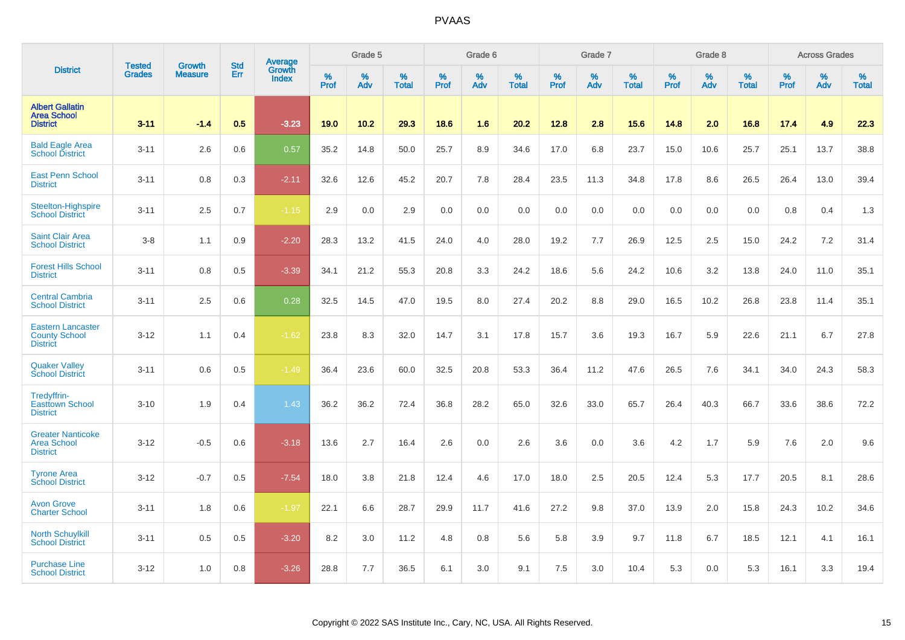|                                                                     |                                |                                 | <b>Std</b> | Average                |                     | Grade 5  |                   |           | Grade 6  |                   |              | Grade 7  |                   |           | Grade 8  |                   |           | <b>Across Grades</b> |                   |
|---------------------------------------------------------------------|--------------------------------|---------------------------------|------------|------------------------|---------------------|----------|-------------------|-----------|----------|-------------------|--------------|----------|-------------------|-----------|----------|-------------------|-----------|----------------------|-------------------|
| <b>District</b>                                                     | <b>Tested</b><br><b>Grades</b> | <b>Growth</b><br><b>Measure</b> | Err        | Growth<br><b>Index</b> | $\%$<br><b>Prof</b> | %<br>Adv | %<br><b>Total</b> | %<br>Prof | %<br>Adv | %<br><b>Total</b> | $\%$<br>Prof | %<br>Adv | %<br><b>Total</b> | %<br>Prof | %<br>Adv | %<br><b>Total</b> | %<br>Prof | %<br>Adv             | %<br><b>Total</b> |
| <b>Albert Gallatin</b><br><b>Area School</b><br><b>District</b>     | $3 - 11$                       | $-1.4$                          | 0.5        | $-3.23$                | 19.0                | 10.2     | 29.3              | 18.6      | 1.6      | 20.2              | 12.8         | 2.8      | 15.6              | 14.8      | 2.0      | 16.8              | 17.4      | 4.9                  | 22.3              |
| <b>Bald Eagle Area</b><br><b>School District</b>                    | $3 - 11$                       | 2.6                             | 0.6        | 0.57                   | 35.2                | 14.8     | 50.0              | 25.7      | 8.9      | 34.6              | 17.0         | 6.8      | 23.7              | 15.0      | 10.6     | 25.7              | 25.1      | 13.7                 | 38.8              |
| <b>East Penn School</b><br><b>District</b>                          | $3 - 11$                       | 0.8                             | 0.3        | $-2.11$                | 32.6                | 12.6     | 45.2              | 20.7      | 7.8      | 28.4              | 23.5         | 11.3     | 34.8              | 17.8      | 8.6      | 26.5              | 26.4      | 13.0                 | 39.4              |
| Steelton-Highspire<br><b>School District</b>                        | $3 - 11$                       | 2.5                             | 0.7        | $-1.15$                | 2.9                 | 0.0      | 2.9               | 0.0       | 0.0      | 0.0               | 0.0          | 0.0      | 0.0               | 0.0       | 0.0      | 0.0               | 0.8       | 0.4                  | 1.3               |
| <b>Saint Clair Area</b><br><b>School District</b>                   | $3-8$                          | 1.1                             | 0.9        | $-2.20$                | 28.3                | 13.2     | 41.5              | 24.0      | 4.0      | 28.0              | 19.2         | 7.7      | 26.9              | 12.5      | 2.5      | 15.0              | 24.2      | 7.2                  | 31.4              |
| <b>Forest Hills School</b><br><b>District</b>                       | $3 - 11$                       | 0.8                             | 0.5        | $-3.39$                | 34.1                | 21.2     | 55.3              | 20.8      | 3.3      | 24.2              | 18.6         | 5.6      | 24.2              | 10.6      | 3.2      | 13.8              | 24.0      | 11.0                 | 35.1              |
| <b>Central Cambria</b><br><b>School District</b>                    | $3 - 11$                       | 2.5                             | 0.6        | 0.28                   | 32.5                | 14.5     | 47.0              | 19.5      | 8.0      | 27.4              | 20.2         | 8.8      | 29.0              | 16.5      | 10.2     | 26.8              | 23.8      | 11.4                 | 35.1              |
| <b>Eastern Lancaster</b><br><b>County School</b><br><b>District</b> | $3 - 12$                       | 1.1                             | 0.4        | $-1.62$                | 23.8                | 8.3      | 32.0              | 14.7      | 3.1      | 17.8              | 15.7         | 3.6      | 19.3              | 16.7      | 5.9      | 22.6              | 21.1      | 6.7                  | 27.8              |
| <b>Quaker Vallev</b><br><b>School District</b>                      | $3 - 11$                       | 0.6                             | 0.5        | $-1.49$                | 36.4                | 23.6     | 60.0              | 32.5      | 20.8     | 53.3              | 36.4         | 11.2     | 47.6              | 26.5      | 7.6      | 34.1              | 34.0      | 24.3                 | 58.3              |
| Tredyffrin-<br><b>Easttown School</b><br><b>District</b>            | $3 - 10$                       | 1.9                             | 0.4        | 1.43                   | 36.2                | 36.2     | 72.4              | 36.8      | 28.2     | 65.0              | 32.6         | 33.0     | 65.7              | 26.4      | 40.3     | 66.7              | 33.6      | 38.6                 | 72.2              |
| <b>Greater Nanticoke</b><br><b>Area School</b><br><b>District</b>   | $3 - 12$                       | $-0.5$                          | 0.6        | $-3.18$                | 13.6                | 2.7      | 16.4              | 2.6       | 0.0      | 2.6               | 3.6          | 0.0      | 3.6               | 4.2       | 1.7      | 5.9               | 7.6       | 2.0                  | 9.6               |
| <b>Tyrone Area</b><br><b>School District</b>                        | $3 - 12$                       | $-0.7$                          | 0.5        | $-7.54$                | 18.0                | 3.8      | 21.8              | 12.4      | 4.6      | 17.0              | 18.0         | 2.5      | 20.5              | 12.4      | 5.3      | 17.7              | 20.5      | 8.1                  | 28.6              |
| <b>Avon Grove</b><br><b>Charter School</b>                          | $3 - 11$                       | 1.8                             | 0.6        | $-1.97$                | 22.1                | 6.6      | 28.7              | 29.9      | 11.7     | 41.6              | 27.2         | 9.8      | 37.0              | 13.9      | 2.0      | 15.8              | 24.3      | 10.2                 | 34.6              |
| <b>North Schuylkill</b><br><b>School District</b>                   | $3 - 11$                       | 0.5                             | 0.5        | $-3.20$                | 8.2                 | 3.0      | 11.2              | 4.8       | 0.8      | 5.6               | 5.8          | 3.9      | 9.7               | 11.8      | 6.7      | 18.5              | 12.1      | 4.1                  | 16.1              |
| <b>Purchase Line</b><br><b>School District</b>                      | $3 - 12$                       | 1.0                             | 0.8        | $-3.26$                | 28.8                | 7.7      | 36.5              | 6.1       | 3.0      | 9.1               | 7.5          | 3.0      | 10.4              | 5.3       | 0.0      | 5.3               | 16.1      | 3.3                  | 19.4              |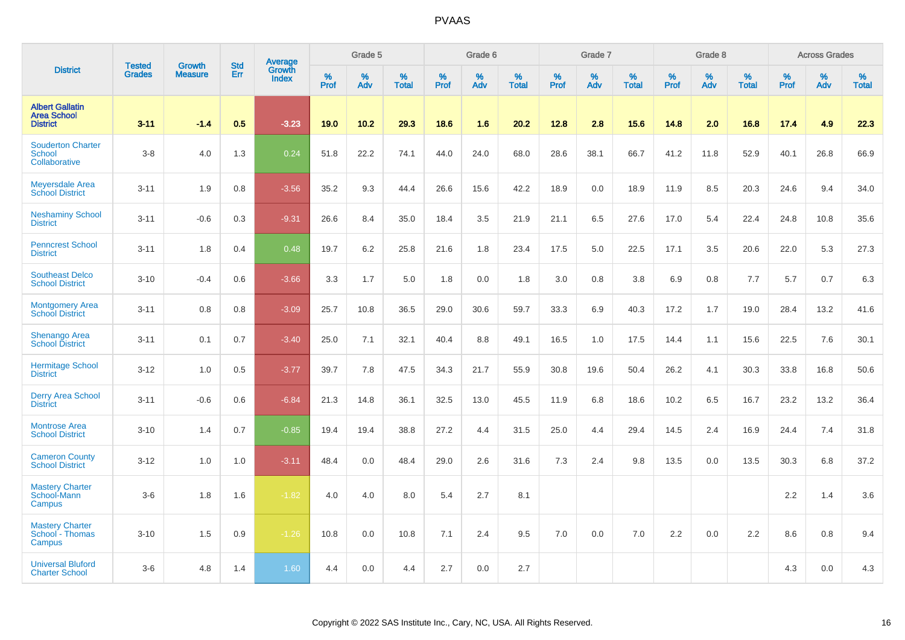|                                                                 | <b>Tested</b> | <b>Growth</b>  | <b>Std</b> | Average                |                     | Grade 5  |                   |                  | Grade 6  |                   |              | Grade 7  |                   |           | Grade 8  |                   |           | <b>Across Grades</b> |                   |
|-----------------------------------------------------------------|---------------|----------------|------------|------------------------|---------------------|----------|-------------------|------------------|----------|-------------------|--------------|----------|-------------------|-----------|----------|-------------------|-----------|----------------------|-------------------|
| <b>District</b>                                                 | <b>Grades</b> | <b>Measure</b> | Err        | Growth<br><b>Index</b> | $\%$<br><b>Prof</b> | %<br>Adv | %<br><b>Total</b> | %<br><b>Prof</b> | %<br>Adv | %<br><b>Total</b> | $\%$<br>Prof | %<br>Adv | %<br><b>Total</b> | %<br>Prof | %<br>Adv | %<br><b>Total</b> | %<br>Prof | $\%$<br>Adv          | %<br><b>Total</b> |
| <b>Albert Gallatin</b><br><b>Area School</b><br><b>District</b> | $3 - 11$      | $-1.4$         | 0.5        | $-3.23$                | 19.0                | 10.2     | 29.3              | 18.6             | 1.6      | 20.2              | 12.8         | 2.8      | 15.6              | 14.8      | 2.0      | 16.8              | 17.4      | 4.9                  | 22.3              |
| <b>Souderton Charter</b><br>School<br>Collaborative             | $3 - 8$       | 4.0            | 1.3        | 0.24                   | 51.8                | 22.2     | 74.1              | 44.0             | 24.0     | 68.0              | 28.6         | 38.1     | 66.7              | 41.2      | 11.8     | 52.9              | 40.1      | 26.8                 | 66.9              |
| Meyersdale Area<br><b>School District</b>                       | $3 - 11$      | 1.9            | 0.8        | $-3.56$                | 35.2                | 9.3      | 44.4              | 26.6             | 15.6     | 42.2              | 18.9         | 0.0      | 18.9              | 11.9      | 8.5      | 20.3              | 24.6      | 9.4                  | 34.0              |
| <b>Neshaminy School</b><br><b>District</b>                      | $3 - 11$      | $-0.6$         | 0.3        | $-9.31$                | 26.6                | 8.4      | 35.0              | 18.4             | 3.5      | 21.9              | 21.1         | 6.5      | 27.6              | 17.0      | 5.4      | 22.4              | 24.8      | 10.8                 | 35.6              |
| <b>Penncrest School</b><br><b>District</b>                      | $3 - 11$      | 1.8            | 0.4        | 0.48                   | 19.7                | 6.2      | 25.8              | 21.6             | 1.8      | 23.4              | 17.5         | 5.0      | 22.5              | 17.1      | 3.5      | 20.6              | 22.0      | 5.3                  | 27.3              |
| <b>Southeast Delco</b><br><b>School District</b>                | $3 - 10$      | $-0.4$         | 0.6        | $-3.66$                | 3.3                 | 1.7      | 5.0               | 1.8              | 0.0      | 1.8               | 3.0          | 0.8      | 3.8               | 6.9       | 0.8      | 7.7               | 5.7       | 0.7                  | 6.3               |
| <b>Montgomery Area</b><br><b>School District</b>                | $3 - 11$      | 0.8            | 0.8        | $-3.09$                | 25.7                | 10.8     | 36.5              | 29.0             | 30.6     | 59.7              | 33.3         | 6.9      | 40.3              | 17.2      | 1.7      | 19.0              | 28.4      | 13.2                 | 41.6              |
| Shenango Area<br><b>School District</b>                         | $3 - 11$      | 0.1            | 0.7        | $-3.40$                | 25.0                | 7.1      | 32.1              | 40.4             | 8.8      | 49.1              | 16.5         | 1.0      | 17.5              | 14.4      | 1.1      | 15.6              | 22.5      | 7.6                  | 30.1              |
| <b>Hermitage School</b><br><b>District</b>                      | $3 - 12$      | 1.0            | 0.5        | $-3.77$                | 39.7                | 7.8      | 47.5              | 34.3             | 21.7     | 55.9              | 30.8         | 19.6     | 50.4              | 26.2      | 4.1      | 30.3              | 33.8      | 16.8                 | 50.6              |
| <b>Derry Area School</b><br><b>District</b>                     | $3 - 11$      | $-0.6$         | 0.6        | $-6.84$                | 21.3                | 14.8     | 36.1              | 32.5             | 13.0     | 45.5              | 11.9         | 6.8      | 18.6              | 10.2      | 6.5      | 16.7              | 23.2      | 13.2                 | 36.4              |
| <b>Montrose Area</b><br><b>School District</b>                  | $3 - 10$      | 1.4            | 0.7        | $-0.85$                | 19.4                | 19.4     | 38.8              | 27.2             | 4.4      | 31.5              | 25.0         | 4.4      | 29.4              | 14.5      | 2.4      | 16.9              | 24.4      | 7.4                  | 31.8              |
| <b>Cameron County</b><br><b>School District</b>                 | $3 - 12$      | 1.0            | 1.0        | $-3.11$                | 48.4                | 0.0      | 48.4              | 29.0             | 2.6      | 31.6              | 7.3          | 2.4      | 9.8               | 13.5      | 0.0      | 13.5              | 30.3      | 6.8                  | 37.2              |
| <b>Mastery Charter</b><br>School-Mann<br>Campus                 | $3-6$         | 1.8            | 1.6        | $-1.82$                | 4.0                 | 4.0      | 8.0               | 5.4              | 2.7      | 8.1               |              |          |                   |           |          |                   | 2.2       | 1.4                  | 3.6               |
| <b>Mastery Charter</b><br>School - Thomas<br>Campus             | $3 - 10$      | 1.5            | 0.9        | $-1.26$                | 10.8                | 0.0      | 10.8              | 7.1              | 2.4      | 9.5               | 7.0          | 0.0      | 7.0               | 2.2       | 0.0      | 2.2               | 8.6       | 0.8                  | 9.4               |
| <b>Universal Bluford</b><br><b>Charter School</b>               | $3-6$         | 4.8            | 1.4        | 1.60                   | 4.4                 | 0.0      | 4.4               | 2.7              | 0.0      | 2.7               |              |          |                   |           |          |                   | 4.3       | 0.0                  | 4.3               |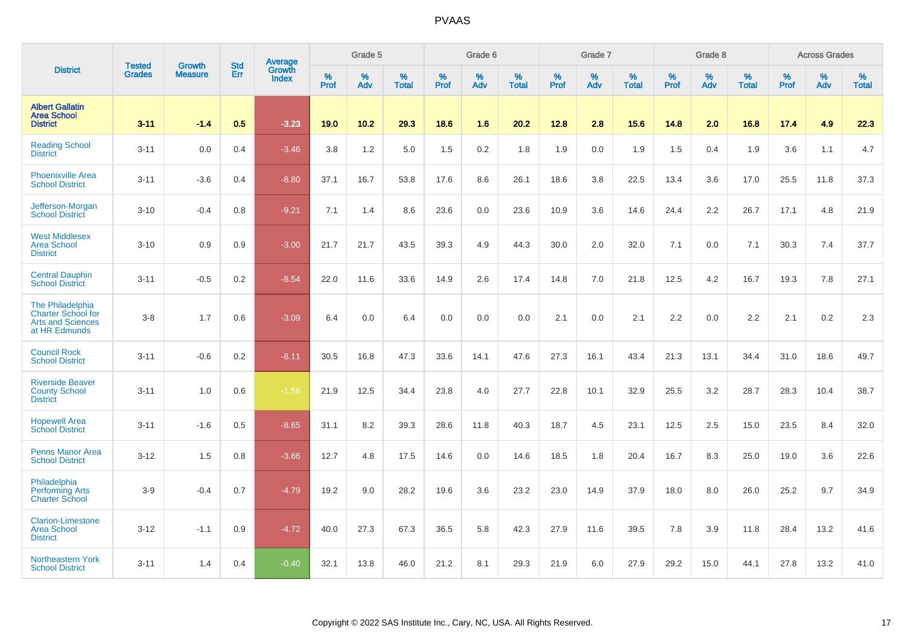|                                                                                            |                                |                                 | <b>Std</b> | Average                |                  | Grade 5  |                   |           | Grade 6  |                   |           | Grade 7  |                   |           | Grade 8  |                   |           | <b>Across Grades</b> |                   |
|--------------------------------------------------------------------------------------------|--------------------------------|---------------------------------|------------|------------------------|------------------|----------|-------------------|-----------|----------|-------------------|-----------|----------|-------------------|-----------|----------|-------------------|-----------|----------------------|-------------------|
| <b>District</b>                                                                            | <b>Tested</b><br><b>Grades</b> | <b>Growth</b><br><b>Measure</b> | Err        | Growth<br><b>Index</b> | %<br><b>Prof</b> | %<br>Adv | %<br><b>Total</b> | %<br>Prof | %<br>Adv | %<br><b>Total</b> | %<br>Prof | %<br>Adv | %<br><b>Total</b> | %<br>Prof | %<br>Adv | %<br><b>Total</b> | %<br>Prof | %<br>Adv             | %<br><b>Total</b> |
| <b>Albert Gallatin</b><br><b>Area School</b><br><b>District</b>                            | $3 - 11$                       | $-1.4$                          | 0.5        | $-3.23$                | 19.0             | 10.2     | 29.3              | 18.6      | 1.6      | 20.2              | 12.8      | 2.8      | 15.6              | 14.8      | 2.0      | 16.8              | 17.4      | 4.9                  | 22.3              |
| <b>Reading School</b><br><b>District</b>                                                   | $3 - 11$                       | 0.0                             | 0.4        | $-3.46$                | 3.8              | 1.2      | 5.0               | 1.5       | 0.2      | 1.8               | 1.9       | 0.0      | 1.9               | 1.5       | 0.4      | 1.9               | 3.6       | 1.1                  | 4.7               |
| <b>Phoenixville Area</b><br><b>School District</b>                                         | $3 - 11$                       | $-3.6$                          | 0.4        | $-8.80$                | 37.1             | 16.7     | 53.8              | 17.6      | 8.6      | 26.1              | 18.6      | 3.8      | 22.5              | 13.4      | 3.6      | 17.0              | 25.5      | 11.8                 | 37.3              |
| Jefferson-Morgan<br><b>School District</b>                                                 | $3 - 10$                       | $-0.4$                          | 0.8        | $-9.21$                | 7.1              | 1.4      | 8.6               | 23.6      | 0.0      | 23.6              | 10.9      | 3.6      | 14.6              | 24.4      | 2.2      | 26.7              | 17.1      | 4.8                  | 21.9              |
| <b>West Middlesex</b><br><b>Area School</b><br><b>District</b>                             | $3 - 10$                       | 0.9                             | 0.9        | $-3.00$                | 21.7             | 21.7     | 43.5              | 39.3      | 4.9      | 44.3              | 30.0      | 2.0      | 32.0              | 7.1       | 0.0      | 7.1               | 30.3      | 7.4                  | 37.7              |
| <b>Central Dauphin</b><br><b>School District</b>                                           | $3 - 11$                       | $-0.5$                          | 0.2        | $-8.54$                | 22.0             | 11.6     | 33.6              | 14.9      | 2.6      | 17.4              | 14.8      | 7.0      | 21.8              | 12.5      | 4.2      | 16.7              | 19.3      | 7.8                  | 27.1              |
| The Philadelphia<br><b>Charter School for</b><br><b>Arts and Sciences</b><br>at HR Edmunds | $3-8$                          | 1.7                             | 0.6        | $-3.09$                | 6.4              | 0.0      | 6.4               | 0.0       | 0.0      | 0.0               | 2.1       | 0.0      | 2.1               | 2.2       | 0.0      | 2.2               | 2.1       | 0.2                  | 2.3               |
| <b>Council Rock</b><br><b>School District</b>                                              | $3 - 11$                       | $-0.6$                          | 0.2        | $-8.11$                | 30.5             | 16.8     | 47.3              | 33.6      | 14.1     | 47.6              | 27.3      | 16.1     | 43.4              | 21.3      | 13.1     | 34.4              | 31.0      | 18.6                 | 49.7              |
| <b>Riverside Beaver</b><br><b>County School</b><br><b>District</b>                         | $3 - 11$                       | 1.0                             | 0.6        | $-1.56$                | 21.9             | 12.5     | 34.4              | 23.8      | 4.0      | 27.7              | 22.8      | 10.1     | 32.9              | 25.5      | 3.2      | 28.7              | 28.3      | 10.4                 | 38.7              |
| <b>Hopewell Area</b><br><b>School District</b>                                             | $3 - 11$                       | $-1.6$                          | 0.5        | $-8.65$                | 31.1             | 8.2      | 39.3              | 28.6      | 11.8     | 40.3              | 18.7      | 4.5      | 23.1              | 12.5      | 2.5      | 15.0              | 23.5      | 8.4                  | 32.0              |
| <b>Penns Manor Area</b><br><b>School District</b>                                          | $3 - 12$                       | 1.5                             | 0.8        | $-3.66$                | 12.7             | 4.8      | 17.5              | 14.6      | 0.0      | 14.6              | 18.5      | 1.8      | 20.4              | 16.7      | 8.3      | 25.0              | 19.0      | 3.6                  | 22.6              |
| Philadelphia<br><b>Performing Arts</b><br><b>Charter School</b>                            | $3-9$                          | $-0.4$                          | 0.7        | $-4.79$                | 19.2             | 9.0      | 28.2              | 19.6      | 3.6      | 23.2              | 23.0      | 14.9     | 37.9              | 18.0      | 8.0      | 26.0              | 25.2      | 9.7                  | 34.9              |
| <b>Clarion-Limestone</b><br><b>Area School</b><br><b>District</b>                          | $3 - 12$                       | $-1.1$                          | 0.9        | $-4.72$                | 40.0             | 27.3     | 67.3              | 36.5      | 5.8      | 42.3              | 27.9      | 11.6     | 39.5              | 7.8       | 3.9      | 11.8              | 28.4      | 13.2                 | 41.6              |
| Northeastern York<br><b>School District</b>                                                | $3 - 11$                       | 1.4                             | 0.4        | $-0.40$                | 32.1             | 13.8     | 46.0              | 21.2      | 8.1      | 29.3              | 21.9      | 6.0      | 27.9              | 29.2      | 15.0     | 44.1              | 27.8      | 13.2                 | 41.0              |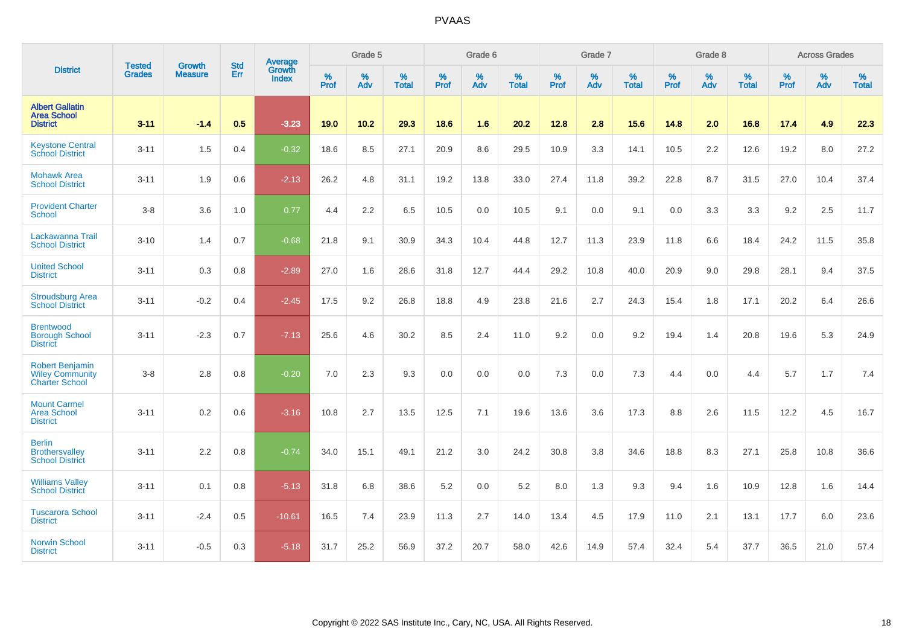|                                                                           | <b>Tested</b> | <b>Growth</b>  | <b>Std</b> | Average                |                     | Grade 5  |                   |              | Grade 6  |                   |                     | Grade 7  |                   |                     | Grade 8  |                   |                     | <b>Across Grades</b> |                   |
|---------------------------------------------------------------------------|---------------|----------------|------------|------------------------|---------------------|----------|-------------------|--------------|----------|-------------------|---------------------|----------|-------------------|---------------------|----------|-------------------|---------------------|----------------------|-------------------|
| <b>District</b>                                                           | <b>Grades</b> | <b>Measure</b> | <b>Err</b> | Growth<br><b>Index</b> | $\%$<br><b>Prof</b> | %<br>Adv | %<br><b>Total</b> | $\%$<br>Prof | %<br>Adv | %<br><b>Total</b> | $\%$<br><b>Prof</b> | %<br>Adv | %<br><b>Total</b> | $\%$<br><b>Prof</b> | %<br>Adv | %<br><b>Total</b> | $\%$<br><b>Prof</b> | %<br>Adv             | %<br><b>Total</b> |
| <b>Albert Gallatin</b><br><b>Area School</b><br><b>District</b>           | $3 - 11$      | $-1.4$         | 0.5        | $-3.23$                | 19.0                | 10.2     | 29.3              | 18.6         | 1.6      | 20.2              | 12.8                | 2.8      | 15.6              | 14.8                | 2.0      | 16.8              | 17.4                | 4.9                  | 22.3              |
| <b>Keystone Central</b><br><b>School District</b>                         | $3 - 11$      | 1.5            | 0.4        | $-0.32$                | 18.6                | 8.5      | 27.1              | 20.9         | 8.6      | 29.5              | 10.9                | 3.3      | 14.1              | 10.5                | 2.2      | 12.6              | 19.2                | 8.0                  | 27.2              |
| <b>Mohawk Area</b><br><b>School District</b>                              | $3 - 11$      | 1.9            | 0.6        | $-2.13$                | 26.2                | 4.8      | 31.1              | 19.2         | 13.8     | 33.0              | 27.4                | 11.8     | 39.2              | 22.8                | 8.7      | 31.5              | 27.0                | 10.4                 | 37.4              |
| <b>Provident Charter</b><br><b>School</b>                                 | $3-8$         | 3.6            | 1.0        | 0.77                   | 4.4                 | 2.2      | 6.5               | 10.5         | 0.0      | 10.5              | 9.1                 | 0.0      | 9.1               | 0.0                 | 3.3      | 3.3               | 9.2                 | 2.5                  | 11.7              |
| Lackawanna Trail<br><b>School District</b>                                | $3 - 10$      | 1.4            | 0.7        | $-0.68$                | 21.8                | 9.1      | 30.9              | 34.3         | 10.4     | 44.8              | 12.7                | 11.3     | 23.9              | 11.8                | 6.6      | 18.4              | 24.2                | 11.5                 | 35.8              |
| <b>United School</b><br><b>District</b>                                   | $3 - 11$      | 0.3            | 0.8        | $-2.89$                | 27.0                | 1.6      | 28.6              | 31.8         | 12.7     | 44.4              | 29.2                | 10.8     | 40.0              | 20.9                | 9.0      | 29.8              | 28.1                | 9.4                  | 37.5              |
| <b>Stroudsburg Area</b><br><b>School District</b>                         | $3 - 11$      | $-0.2$         | 0.4        | $-2.45$                | 17.5                | 9.2      | 26.8              | 18.8         | 4.9      | 23.8              | 21.6                | 2.7      | 24.3              | 15.4                | 1.8      | 17.1              | 20.2                | 6.4                  | 26.6              |
| <b>Brentwood</b><br><b>Borough School</b><br><b>District</b>              | $3 - 11$      | $-2.3$         | 0.7        | $-7.13$                | 25.6                | 4.6      | 30.2              | 8.5          | 2.4      | 11.0              | 9.2                 | 0.0      | 9.2               | 19.4                | 1.4      | 20.8              | 19.6                | 5.3                  | 24.9              |
| <b>Robert Benjamin</b><br><b>Wiley Community</b><br><b>Charter School</b> | $3-8$         | 2.8            | 0.8        | $-0.20$                | 7.0                 | 2.3      | 9.3               | 0.0          | 0.0      | 0.0               | 7.3                 | 0.0      | 7.3               | 4.4                 | 0.0      | 4.4               | 5.7                 | 1.7                  | 7.4               |
| <b>Mount Carmel</b><br><b>Area School</b><br><b>District</b>              | $3 - 11$      | 0.2            | 0.6        | $-3.16$                | 10.8                | 2.7      | 13.5              | 12.5         | 7.1      | 19.6              | 13.6                | 3.6      | 17.3              | 8.8                 | 2.6      | 11.5              | 12.2                | 4.5                  | 16.7              |
| <b>Berlin</b><br><b>Brothersvalley</b><br><b>School District</b>          | $3 - 11$      | 2.2            | 0.8        | $-0.74$                | 34.0                | 15.1     | 49.1              | 21.2         | 3.0      | 24.2              | 30.8                | 3.8      | 34.6              | 18.8                | 8.3      | 27.1              | 25.8                | 10.8                 | 36.6              |
| <b>Williams Valley</b><br><b>School District</b>                          | $3 - 11$      | 0.1            | 0.8        | $-5.13$                | 31.8                | 6.8      | 38.6              | 5.2          | 0.0      | 5.2               | 8.0                 | 1.3      | 9.3               | 9.4                 | 1.6      | 10.9              | 12.8                | 1.6                  | 14.4              |
| <b>Tuscarora School</b><br><b>District</b>                                | $3 - 11$      | $-2.4$         | 0.5        | $-10.61$               | 16.5                | 7.4      | 23.9              | 11.3         | 2.7      | 14.0              | 13.4                | 4.5      | 17.9              | 11.0                | 2.1      | 13.1              | 17.7                | 6.0                  | 23.6              |
| <b>Norwin School</b><br><b>District</b>                                   | $3 - 11$      | $-0.5$         | 0.3        | $-5.18$                | 31.7                | 25.2     | 56.9              | 37.2         | 20.7     | 58.0              | 42.6                | 14.9     | 57.4              | 32.4                | 5.4      | 37.7              | 36.5                | 21.0                 | 57.4              |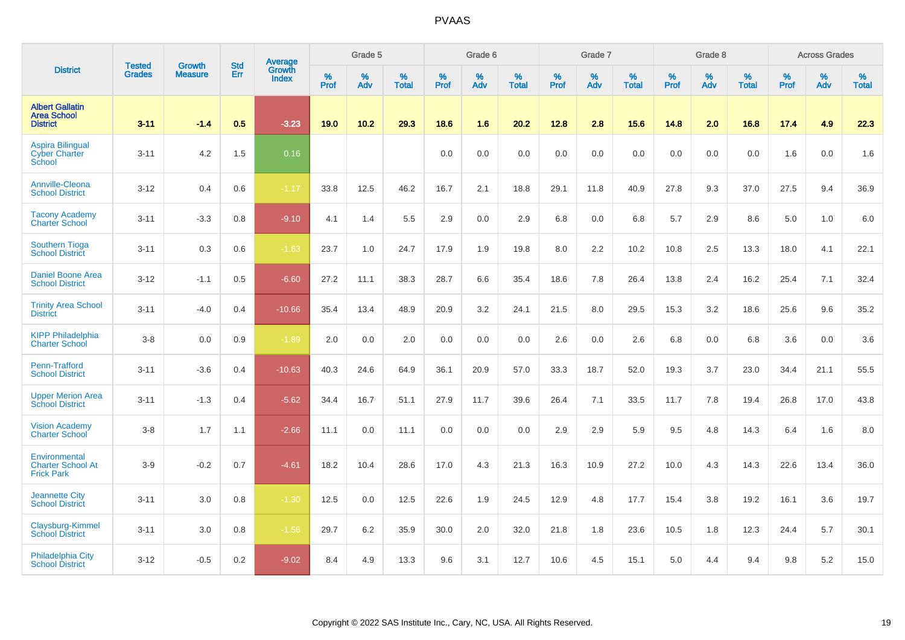|                                                                 | <b>Tested</b> | <b>Growth</b>  | <b>Std</b> | Average         |              | Grade 5  |                   |           | Grade 6  |                   |           | Grade 7  |                   |           | Grade 8  |                   |           | <b>Across Grades</b> |                   |
|-----------------------------------------------------------------|---------------|----------------|------------|-----------------|--------------|----------|-------------------|-----------|----------|-------------------|-----------|----------|-------------------|-----------|----------|-------------------|-----------|----------------------|-------------------|
| <b>District</b>                                                 | <b>Grades</b> | <b>Measure</b> | Err        | Growth<br>Index | $\%$<br>Prof | %<br>Adv | %<br><b>Total</b> | %<br>Prof | %<br>Adv | %<br><b>Total</b> | %<br>Prof | %<br>Adv | %<br><b>Total</b> | %<br>Prof | %<br>Adv | %<br><b>Total</b> | %<br>Prof | %<br>Adv             | %<br><b>Total</b> |
| <b>Albert Gallatin</b><br><b>Area School</b><br><b>District</b> | $3 - 11$      | $-1.4$         | 0.5        | $-3.23$         | 19.0         | 10.2     | 29.3              | 18.6      | 1.6      | 20.2              | 12.8      | 2.8      | 15.6              | 14.8      | 2.0      | 16.8              | 17.4      | 4.9                  | 22.3              |
| <b>Aspira Bilingual</b><br><b>Cyber Charter</b><br>School       | $3 - 11$      | 4.2            | 1.5        | 0.16            |              |          |                   | 0.0       | 0.0      | 0.0               | 0.0       | 0.0      | 0.0               | 0.0       | 0.0      | 0.0               | 1.6       | 0.0                  | 1.6               |
| Annville-Cleona<br><b>School District</b>                       | $3 - 12$      | 0.4            | 0.6        | $-1.17$         | 33.8         | 12.5     | 46.2              | 16.7      | 2.1      | 18.8              | 29.1      | 11.8     | 40.9              | 27.8      | 9.3      | 37.0              | 27.5      | 9.4                  | 36.9              |
| <b>Tacony Academy</b><br><b>Charter School</b>                  | $3 - 11$      | $-3.3$         | 0.8        | $-9.10$         | 4.1          | 1.4      | 5.5               | 2.9       | 0.0      | 2.9               | 6.8       | 0.0      | 6.8               | 5.7       | 2.9      | 8.6               | 5.0       | 1.0                  | 6.0               |
| <b>Southern Tioga</b><br><b>School District</b>                 | $3 - 11$      | 0.3            | 0.6        | $-1.63$         | 23.7         | 1.0      | 24.7              | 17.9      | 1.9      | 19.8              | 8.0       | 2.2      | 10.2              | 10.8      | 2.5      | 13.3              | 18.0      | 4.1                  | 22.1              |
| <b>Daniel Boone Area</b><br><b>School District</b>              | $3 - 12$      | $-1.1$         | 0.5        | $-6.60$         | 27.2         | 11.1     | 38.3              | 28.7      | 6.6      | 35.4              | 18.6      | 7.8      | 26.4              | 13.8      | 2.4      | 16.2              | 25.4      | 7.1                  | 32.4              |
| <b>Trinity Area School</b><br><b>District</b>                   | $3 - 11$      | $-4.0$         | 0.4        | $-10.66$        | 35.4         | 13.4     | 48.9              | 20.9      | 3.2      | 24.1              | 21.5      | 8.0      | 29.5              | 15.3      | 3.2      | 18.6              | 25.6      | 9.6                  | 35.2              |
| <b>KIPP Philadelphia</b><br><b>Charter School</b>               | $3 - 8$       | 0.0            | 0.9        | $-1.89$         | 2.0          | 0.0      | 2.0               | 0.0       | 0.0      | 0.0               | 2.6       | 0.0      | 2.6               | 6.8       | 0.0      | 6.8               | 3.6       | 0.0                  | 3.6               |
| Penn-Trafford<br><b>School District</b>                         | $3 - 11$      | $-3.6$         | 0.4        | $-10.63$        | 40.3         | 24.6     | 64.9              | 36.1      | 20.9     | 57.0              | 33.3      | 18.7     | 52.0              | 19.3      | 3.7      | 23.0              | 34.4      | 21.1                 | 55.5              |
| <b>Upper Merion Area</b><br><b>School District</b>              | $3 - 11$      | $-1.3$         | 0.4        | $-5.62$         | 34.4         | 16.7     | 51.1              | 27.9      | 11.7     | 39.6              | 26.4      | 7.1      | 33.5              | 11.7      | 7.8      | 19.4              | 26.8      | 17.0                 | 43.8              |
| <b>Vision Academy</b><br><b>Charter School</b>                  | $3 - 8$       | 1.7            | 1.1        | $-2.66$         | 11.1         | 0.0      | 11.1              | 0.0       | 0.0      | 0.0               | 2.9       | 2.9      | 5.9               | 9.5       | 4.8      | 14.3              | 6.4       | 1.6                  | 8.0               |
| Environmental<br><b>Charter School At</b><br><b>Frick Park</b>  | $3-9$         | $-0.2$         | 0.7        | $-4.61$         | 18.2         | 10.4     | 28.6              | 17.0      | 4.3      | 21.3              | 16.3      | 10.9     | 27.2              | 10.0      | 4.3      | 14.3              | 22.6      | 13.4                 | 36.0              |
| <b>Jeannette City</b><br><b>School District</b>                 | $3 - 11$      | 3.0            | 0.8        | $-1.30$         | 12.5         | 0.0      | 12.5              | 22.6      | 1.9      | 24.5              | 12.9      | 4.8      | 17.7              | 15.4      | 3.8      | 19.2              | 16.1      | 3.6                  | 19.7              |
| Claysburg-Kimmel<br><b>School District</b>                      | $3 - 11$      | 3.0            | 0.8        | $-1.56$         | 29.7         | 6.2      | 35.9              | 30.0      | 2.0      | 32.0              | 21.8      | 1.8      | 23.6              | 10.5      | 1.8      | 12.3              | 24.4      | 5.7                  | 30.1              |
| Philadelphia City<br><b>School District</b>                     | $3 - 12$      | $-0.5$         | 0.2        | $-9.02$         | 8.4          | 4.9      | 13.3              | 9.6       | 3.1      | 12.7              | 10.6      | 4.5      | 15.1              | 5.0       | 4.4      | 9.4               | 9.8       | 5.2                  | 15.0              |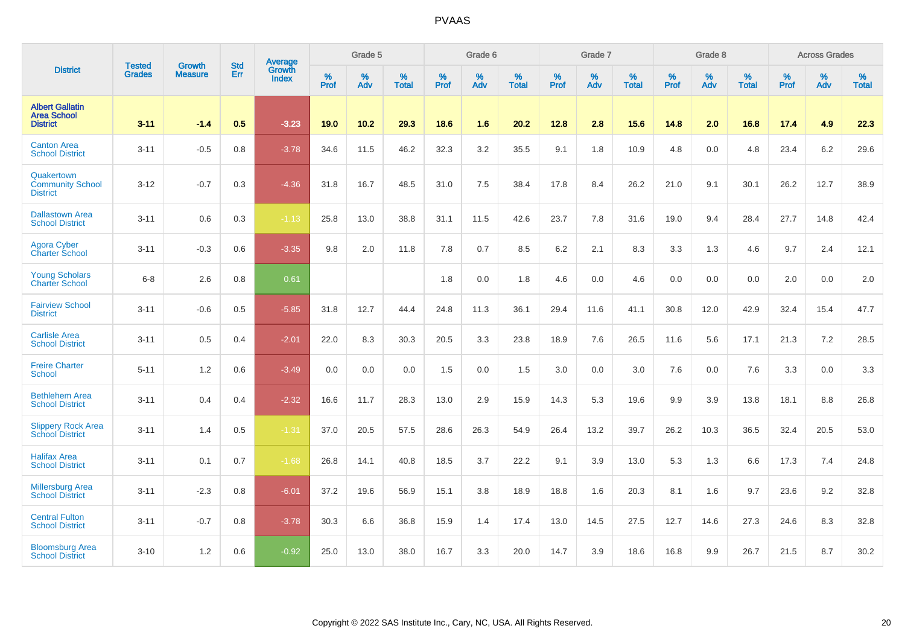|                                                                 | <b>Tested</b> | <b>Growth</b>  | <b>Std</b> | Average                |           | Grade 5  |                   |           | Grade 6  |                   |           | Grade 7  |                   |           | Grade 8  |                   |           | <b>Across Grades</b> |                   |
|-----------------------------------------------------------------|---------------|----------------|------------|------------------------|-----------|----------|-------------------|-----------|----------|-------------------|-----------|----------|-------------------|-----------|----------|-------------------|-----------|----------------------|-------------------|
| <b>District</b>                                                 | <b>Grades</b> | <b>Measure</b> | Err        | Growth<br><b>Index</b> | %<br>Prof | %<br>Adv | %<br><b>Total</b> | %<br>Prof | %<br>Adv | %<br><b>Total</b> | %<br>Prof | %<br>Adv | %<br><b>Total</b> | %<br>Prof | %<br>Adv | %<br><b>Total</b> | %<br>Prof | %<br>Adv             | %<br><b>Total</b> |
| <b>Albert Gallatin</b><br><b>Area School</b><br><b>District</b> | $3 - 11$      | $-1.4$         | 0.5        | $-3.23$                | 19.0      | 10.2     | 29.3              | 18.6      | 1.6      | 20.2              | 12.8      | 2.8      | 15.6              | 14.8      | 2.0      | 16.8              | 17.4      | 4.9                  | 22.3              |
| <b>Canton Area</b><br><b>School District</b>                    | $3 - 11$      | $-0.5$         | 0.8        | $-3.78$                | 34.6      | 11.5     | 46.2              | 32.3      | 3.2      | 35.5              | 9.1       | 1.8      | 10.9              | 4.8       | 0.0      | 4.8               | 23.4      | 6.2                  | 29.6              |
| Quakertown<br><b>Community School</b><br><b>District</b>        | $3 - 12$      | $-0.7$         | 0.3        | $-4.36$                | 31.8      | 16.7     | 48.5              | 31.0      | 7.5      | 38.4              | 17.8      | 8.4      | 26.2              | 21.0      | 9.1      | 30.1              | 26.2      | 12.7                 | 38.9              |
| <b>Dallastown Area</b><br><b>School District</b>                | $3 - 11$      | 0.6            | 0.3        | $-1.13$                | 25.8      | 13.0     | 38.8              | 31.1      | 11.5     | 42.6              | 23.7      | 7.8      | 31.6              | 19.0      | 9.4      | 28.4              | 27.7      | 14.8                 | 42.4              |
| <b>Agora Cyber</b><br><b>Charter School</b>                     | $3 - 11$      | $-0.3$         | 0.6        | $-3.35$                | 9.8       | 2.0      | 11.8              | 7.8       | 0.7      | 8.5               | 6.2       | 2.1      | 8.3               | 3.3       | 1.3      | 4.6               | 9.7       | 2.4                  | 12.1              |
| <b>Young Scholars</b><br><b>Charter School</b>                  | $6 - 8$       | 2.6            | 0.8        | 0.61                   |           |          |                   | 1.8       | 0.0      | 1.8               | 4.6       | 0.0      | 4.6               | 0.0       | 0.0      | 0.0               | 2.0       | 0.0                  | $2.0\,$           |
| <b>Fairview School</b><br><b>District</b>                       | $3 - 11$      | $-0.6$         | 0.5        | $-5.85$                | 31.8      | 12.7     | 44.4              | 24.8      | 11.3     | 36.1              | 29.4      | 11.6     | 41.1              | 30.8      | 12.0     | 42.9              | 32.4      | 15.4                 | 47.7              |
| <b>Carlisle Area</b><br><b>School District</b>                  | $3 - 11$      | 0.5            | 0.4        | $-2.01$                | 22.0      | 8.3      | 30.3              | 20.5      | 3.3      | 23.8              | 18.9      | 7.6      | 26.5              | 11.6      | 5.6      | 17.1              | 21.3      | 7.2                  | 28.5              |
| <b>Freire Charter</b><br><b>School</b>                          | $5 - 11$      | 1.2            | 0.6        | $-3.49$                | 0.0       | 0.0      | 0.0               | 1.5       | 0.0      | 1.5               | 3.0       | 0.0      | 3.0               | 7.6       | 0.0      | 7.6               | 3.3       | 0.0                  | 3.3               |
| <b>Bethlehem Area</b><br><b>School District</b>                 | $3 - 11$      | 0.4            | 0.4        | $-2.32$                | 16.6      | 11.7     | 28.3              | 13.0      | 2.9      | 15.9              | 14.3      | 5.3      | 19.6              | 9.9       | 3.9      | 13.8              | 18.1      | 8.8                  | 26.8              |
| <b>Slippery Rock Area</b><br><b>School District</b>             | $3 - 11$      | 1.4            | 0.5        | $-1.31$                | 37.0      | 20.5     | 57.5              | 28.6      | 26.3     | 54.9              | 26.4      | 13.2     | 39.7              | 26.2      | 10.3     | 36.5              | 32.4      | 20.5                 | 53.0              |
| <b>Halifax Area</b><br><b>School District</b>                   | $3 - 11$      | 0.1            | 0.7        | $-1.68$                | 26.8      | 14.1     | 40.8              | 18.5      | 3.7      | 22.2              | 9.1       | 3.9      | 13.0              | 5.3       | 1.3      | 6.6               | 17.3      | 7.4                  | 24.8              |
| <b>Millersburg Area</b><br><b>School District</b>               | $3 - 11$      | $-2.3$         | 0.8        | $-6.01$                | 37.2      | 19.6     | 56.9              | 15.1      | 3.8      | 18.9              | 18.8      | 1.6      | 20.3              | 8.1       | 1.6      | 9.7               | 23.6      | 9.2                  | 32.8              |
| <b>Central Fulton</b><br><b>School District</b>                 | $3 - 11$      | $-0.7$         | 0.8        | $-3.78$                | 30.3      | 6.6      | 36.8              | 15.9      | 1.4      | 17.4              | 13.0      | 14.5     | 27.5              | 12.7      | 14.6     | 27.3              | 24.6      | 8.3                  | 32.8              |
| <b>Bloomsburg Area</b><br><b>School District</b>                | $3 - 10$      | 1.2            | 0.6        | $-0.92$                | 25.0      | 13.0     | 38.0              | 16.7      | 3.3      | 20.0              | 14.7      | 3.9      | 18.6              | 16.8      | 9.9      | 26.7              | 21.5      | 8.7                  | 30.2              |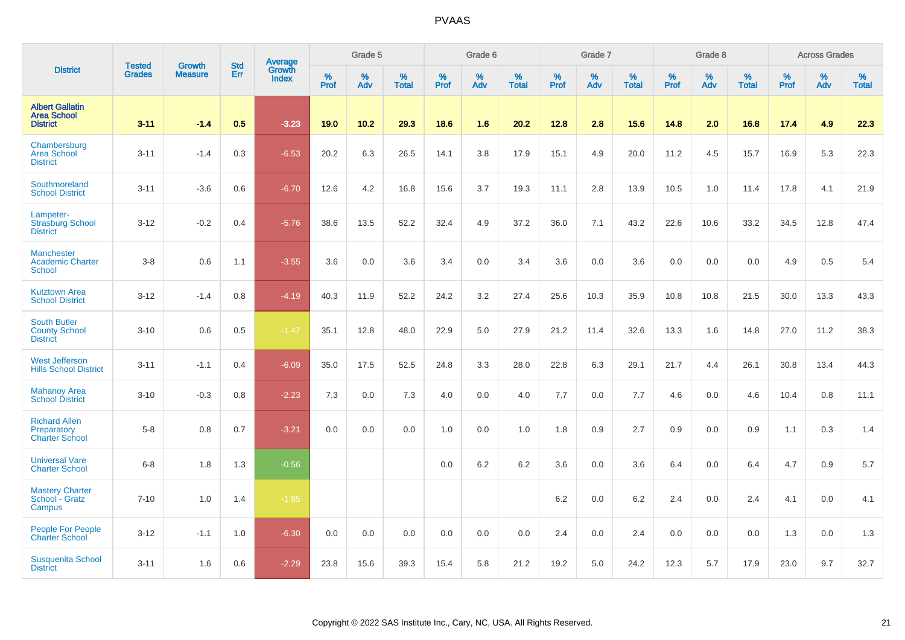|                                                                 |                                |                                 | <b>Std</b> | Average                |           | Grade 5  |                      |           | Grade 6  |                   |           | Grade 7  |                   |           | Grade 8  |                   |           | <b>Across Grades</b> |                   |
|-----------------------------------------------------------------|--------------------------------|---------------------------------|------------|------------------------|-----------|----------|----------------------|-----------|----------|-------------------|-----------|----------|-------------------|-----------|----------|-------------------|-----------|----------------------|-------------------|
| <b>District</b>                                                 | <b>Tested</b><br><b>Grades</b> | <b>Growth</b><br><b>Measure</b> | Err        | Growth<br><b>Index</b> | %<br>Prof | %<br>Adv | $\%$<br><b>Total</b> | %<br>Prof | %<br>Adv | %<br><b>Total</b> | %<br>Prof | %<br>Adv | %<br><b>Total</b> | %<br>Prof | %<br>Adv | %<br><b>Total</b> | %<br>Prof | %<br>Adv             | %<br><b>Total</b> |
| <b>Albert Gallatin</b><br><b>Area School</b><br><b>District</b> | $3 - 11$                       | $-1.4$                          | 0.5        | $-3.23$                | 19.0      | 10.2     | 29.3                 | 18.6      | 1.6      | 20.2              | 12.8      | 2.8      | 15.6              | 14.8      | 2.0      | 16.8              | 17.4      | 4.9                  | 22.3              |
| Chambersburg<br>Area School<br><b>District</b>                  | $3 - 11$                       | $-1.4$                          | 0.3        | $-6.53$                | 20.2      | 6.3      | 26.5                 | 14.1      | 3.8      | 17.9              | 15.1      | 4.9      | 20.0              | 11.2      | 4.5      | 15.7              | 16.9      | 5.3                  | 22.3              |
| Southmoreland<br><b>School District</b>                         | $3 - 11$                       | $-3.6$                          | 0.6        | $-6.70$                | 12.6      | 4.2      | 16.8                 | 15.6      | 3.7      | 19.3              | 11.1      | 2.8      | 13.9              | 10.5      | 1.0      | 11.4              | 17.8      | 4.1                  | 21.9              |
| Lampeter-<br><b>Strasburg School</b><br><b>District</b>         | $3 - 12$                       | $-0.2$                          | 0.4        | $-5.76$                | 38.6      | 13.5     | 52.2                 | 32.4      | 4.9      | 37.2              | 36.0      | 7.1      | 43.2              | 22.6      | 10.6     | 33.2              | 34.5      | 12.8                 | 47.4              |
| Manchester<br><b>Academic Charter</b><br><b>School</b>          | $3-8$                          | 0.6                             | 1.1        | $-3.55$                | 3.6       | 0.0      | 3.6                  | 3.4       | 0.0      | 3.4               | 3.6       | 0.0      | 3.6               | 0.0       | 0.0      | 0.0               | 4.9       | 0.5                  | 5.4               |
| <b>Kutztown Area</b><br><b>School District</b>                  | $3-12$                         | $-1.4$                          | 0.8        | $-4.19$                | 40.3      | 11.9     | 52.2                 | 24.2      | 3.2      | 27.4              | 25.6      | 10.3     | 35.9              | 10.8      | 10.8     | 21.5              | 30.0      | 13.3                 | 43.3              |
| <b>South Butler</b><br><b>County School</b><br><b>District</b>  | $3 - 10$                       | 0.6                             | 0.5        | $-1.47$                | 35.1      | 12.8     | 48.0                 | 22.9      | 5.0      | 27.9              | 21.2      | 11.4     | 32.6              | 13.3      | 1.6      | 14.8              | 27.0      | 11.2                 | 38.3              |
| <b>West Jefferson</b><br><b>Hills School District</b>           | $3 - 11$                       | $-1.1$                          | 0.4        | $-6.09$                | 35.0      | 17.5     | 52.5                 | 24.8      | 3.3      | 28.0              | 22.8      | 6.3      | 29.1              | 21.7      | 4.4      | 26.1              | 30.8      | 13.4                 | 44.3              |
| <b>Mahanoy Area</b><br><b>School District</b>                   | $3 - 10$                       | $-0.3$                          | 0.8        | $-2.23$                | 7.3       | 0.0      | 7.3                  | 4.0       | 0.0      | 4.0               | 7.7       | 0.0      | 7.7               | 4.6       | 0.0      | 4.6               | 10.4      | 0.8                  | 11.1              |
| <b>Richard Allen</b><br>Preparatory<br><b>Charter School</b>    | $5 - 8$                        | 0.8                             | 0.7        | $-3.21$                | 0.0       | 0.0      | 0.0                  | 1.0       | 0.0      | 1.0               | 1.8       | 0.9      | 2.7               | 0.9       | 0.0      | 0.9               | 1.1       | 0.3                  | 1.4               |
| <b>Universal Vare</b><br><b>Charter School</b>                  | $6-8$                          | 1.8                             | 1.3        | $-0.56$                |           |          |                      | 0.0       | 6.2      | 6.2               | 3.6       | 0.0      | 3.6               | 6.4       | 0.0      | 6.4               | 4.7       | 0.9                  | 5.7               |
| <b>Mastery Charter</b><br>School - Gratz<br>Campus              | $7 - 10$                       | 1.0                             | 1.4        | $-1.85$                |           |          |                      |           |          |                   | 6.2       | 0.0      | 6.2               | 2.4       | 0.0      | 2.4               | 4.1       | 0.0                  | 4.1               |
| <b>People For People</b><br><b>Charter School</b>               | $3 - 12$                       | $-1.1$                          | 1.0        | $-6.30$                | 0.0       | 0.0      | 0.0                  | 0.0       | 0.0      | 0.0               | 2.4       | 0.0      | 2.4               | 0.0       | 0.0      | 0.0               | 1.3       | 0.0                  | 1.3               |
| <b>Susquenita School</b><br><b>District</b>                     | $3 - 11$                       | 1.6                             | 0.6        | $-2.29$                | 23.8      | 15.6     | 39.3                 | 15.4      | 5.8      | 21.2              | 19.2      | 5.0      | 24.2              | 12.3      | 5.7      | 17.9              | 23.0      | 9.7                  | 32.7              |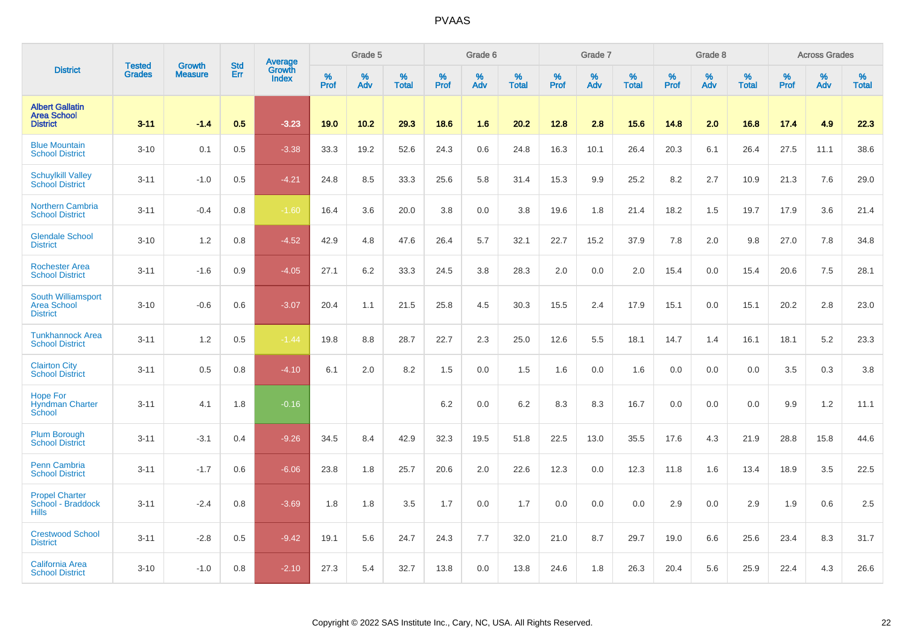|                                                                 |                         |                                 | <b>Std</b> | Average                |              | Grade 5  |                   |           | Grade 6  |                   |           | Grade 7  |                   |           | Grade 8  |                   |           | <b>Across Grades</b> |                   |
|-----------------------------------------------------------------|-------------------------|---------------------------------|------------|------------------------|--------------|----------|-------------------|-----------|----------|-------------------|-----------|----------|-------------------|-----------|----------|-------------------|-----------|----------------------|-------------------|
| <b>District</b>                                                 | <b>Tested</b><br>Grades | <b>Growth</b><br><b>Measure</b> | Err        | Growth<br><b>Index</b> | $\%$<br>Prof | %<br>Adv | %<br><b>Total</b> | %<br>Prof | %<br>Adv | %<br><b>Total</b> | %<br>Prof | %<br>Adv | %<br><b>Total</b> | %<br>Prof | %<br>Adv | %<br><b>Total</b> | %<br>Prof | %<br>Adv             | %<br><b>Total</b> |
| <b>Albert Gallatin</b><br><b>Area School</b><br><b>District</b> | $3 - 11$                | $-1.4$                          | 0.5        | $-3.23$                | 19.0         | 10.2     | 29.3              | 18.6      | 1.6      | 20.2              | 12.8      | 2.8      | 15.6              | 14.8      | 2.0      | 16.8              | 17.4      | 4.9                  | 22.3              |
| <b>Blue Mountain</b><br><b>School District</b>                  | $3 - 10$                | 0.1                             | 0.5        | $-3.38$                | 33.3         | 19.2     | 52.6              | 24.3      | 0.6      | 24.8              | 16.3      | 10.1     | 26.4              | 20.3      | 6.1      | 26.4              | 27.5      | 11.1                 | 38.6              |
| <b>Schuylkill Valley</b><br><b>School District</b>              | $3 - 11$                | $-1.0$                          | 0.5        | $-4.21$                | 24.8         | 8.5      | 33.3              | 25.6      | 5.8      | 31.4              | 15.3      | 9.9      | 25.2              | 8.2       | 2.7      | 10.9              | 21.3      | 7.6                  | 29.0              |
| <b>Northern Cambria</b><br><b>School District</b>               | $3 - 11$                | $-0.4$                          | 0.8        | $-1.60$                | 16.4         | 3.6      | 20.0              | 3.8       | 0.0      | 3.8               | 19.6      | 1.8      | 21.4              | 18.2      | 1.5      | 19.7              | 17.9      | 3.6                  | 21.4              |
| <b>Glendale School</b><br><b>District</b>                       | $3 - 10$                | 1.2                             | 0.8        | $-4.52$                | 42.9         | 4.8      | 47.6              | 26.4      | 5.7      | 32.1              | 22.7      | 15.2     | 37.9              | 7.8       | 2.0      | 9.8               | 27.0      | 7.8                  | 34.8              |
| <b>Rochester Area</b><br><b>School District</b>                 | $3 - 11$                | $-1.6$                          | 0.9        | $-4.05$                | 27.1         | 6.2      | 33.3              | 24.5      | 3.8      | 28.3              | 2.0       | 0.0      | 2.0               | 15.4      | 0.0      | 15.4              | 20.6      | 7.5                  | 28.1              |
| <b>South Williamsport</b><br>Area School<br><b>District</b>     | $3 - 10$                | $-0.6$                          | 0.6        | $-3.07$                | 20.4         | 1.1      | 21.5              | 25.8      | 4.5      | 30.3              | 15.5      | 2.4      | 17.9              | 15.1      | 0.0      | 15.1              | 20.2      | 2.8                  | 23.0              |
| <b>Tunkhannock Area</b><br><b>School District</b>               | $3 - 11$                | 1.2                             | 0.5        | $-1.44$                | 19.8         | 8.8      | 28.7              | 22.7      | 2.3      | 25.0              | 12.6      | 5.5      | 18.1              | 14.7      | 1.4      | 16.1              | 18.1      | 5.2                  | 23.3              |
| <b>Clairton City</b><br><b>School District</b>                  | $3 - 11$                | 0.5                             | 0.8        | $-4.10$                | 6.1          | 2.0      | 8.2               | 1.5       | 0.0      | 1.5               | 1.6       | 0.0      | 1.6               | 0.0       | 0.0      | 0.0               | 3.5       | 0.3                  | 3.8               |
| <b>Hope For</b><br><b>Hyndman Charter</b><br>School             | $3 - 11$                | 4.1                             | 1.8        | $-0.16$                |              |          |                   | 6.2       | 0.0      | 6.2               | 8.3       | 8.3      | 16.7              | 0.0       | 0.0      | 0.0               | 9.9       | $1.2$                | 11.1              |
| <b>Plum Borough</b><br><b>School District</b>                   | $3 - 11$                | $-3.1$                          | 0.4        | $-9.26$                | 34.5         | 8.4      | 42.9              | 32.3      | 19.5     | 51.8              | 22.5      | 13.0     | 35.5              | 17.6      | 4.3      | 21.9              | 28.8      | 15.8                 | 44.6              |
| Penn Cambria<br><b>School District</b>                          | $3 - 11$                | $-1.7$                          | 0.6        | $-6.06$                | 23.8         | 1.8      | 25.7              | 20.6      | 2.0      | 22.6              | 12.3      | 0.0      | 12.3              | 11.8      | 1.6      | 13.4              | 18.9      | 3.5                  | 22.5              |
| <b>Propel Charter</b><br>School - Braddock<br><b>Hills</b>      | $3 - 11$                | $-2.4$                          | 0.8        | $-3.69$                | 1.8          | 1.8      | 3.5               | 1.7       | 0.0      | 1.7               | 0.0       | 0.0      | 0.0               | 2.9       | 0.0      | 2.9               | 1.9       | 0.6                  | 2.5               |
| <b>Crestwood School</b><br><b>District</b>                      | $3 - 11$                | $-2.8$                          | 0.5        | $-9.42$                | 19.1         | 5.6      | 24.7              | 24.3      | 7.7      | 32.0              | 21.0      | 8.7      | 29.7              | 19.0      | 6.6      | 25.6              | 23.4      | 8.3                  | 31.7              |
| California Area<br><b>School District</b>                       | $3 - 10$                | $-1.0$                          | 0.8        | $-2.10$                | 27.3         | 5.4      | 32.7              | 13.8      | 0.0      | 13.8              | 24.6      | 1.8      | 26.3              | 20.4      | 5.6      | 25.9              | 22.4      | 4.3                  | 26.6              |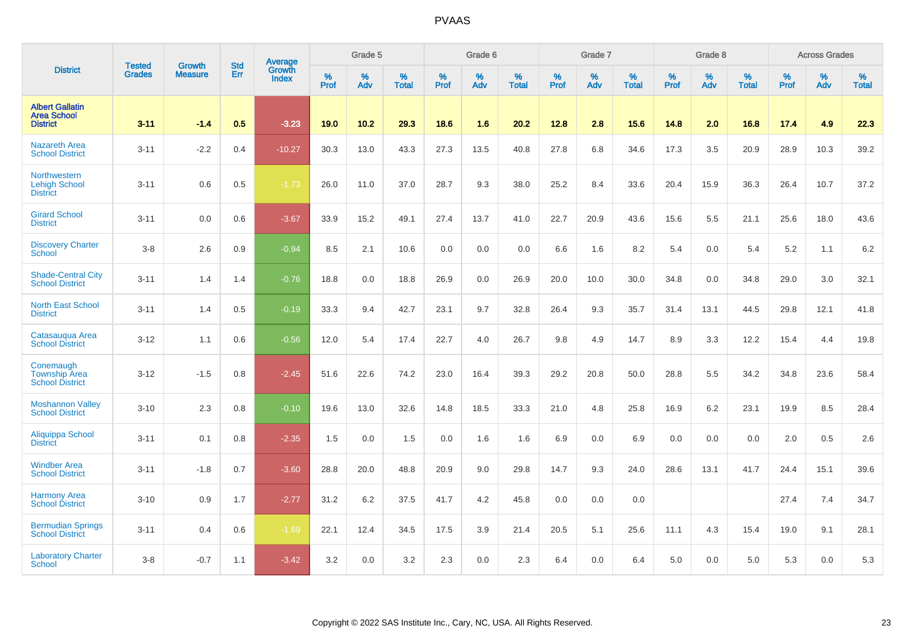|                                                                 | <b>Tested</b> | <b>Growth</b>  | <b>Std</b> | Average                       |           | Grade 5  |                   |           | Grade 6  |                   |           | Grade 7  |                   |           | Grade 8  |                   |           | <b>Across Grades</b> |                   |
|-----------------------------------------------------------------|---------------|----------------|------------|-------------------------------|-----------|----------|-------------------|-----------|----------|-------------------|-----------|----------|-------------------|-----------|----------|-------------------|-----------|----------------------|-------------------|
| <b>District</b>                                                 | <b>Grades</b> | <b>Measure</b> | Err        | <b>Growth</b><br><b>Index</b> | %<br>Prof | %<br>Adv | %<br><b>Total</b> | %<br>Prof | %<br>Adv | %<br><b>Total</b> | %<br>Prof | %<br>Adv | %<br><b>Total</b> | %<br>Prof | %<br>Adv | %<br><b>Total</b> | %<br>Prof | %<br>Adv             | %<br><b>Total</b> |
| <b>Albert Gallatin</b><br><b>Area School</b><br><b>District</b> | $3 - 11$      | $-1.4$         | 0.5        | $-3.23$                       | 19.0      | $10.2$   | 29.3              | 18.6      | 1.6      | 20.2              | 12.8      | 2.8      | 15.6              | 14.8      | 2.0      | 16.8              | 17.4      | 4.9                  | 22.3              |
| <b>Nazareth Area</b><br><b>School District</b>                  | $3 - 11$      | $-2.2$         | 0.4        | $-10.27$                      | 30.3      | 13.0     | 43.3              | 27.3      | 13.5     | 40.8              | 27.8      | 6.8      | 34.6              | 17.3      | 3.5      | 20.9              | 28.9      | 10.3                 | 39.2              |
| <b>Northwestern</b><br><b>Lehigh School</b><br><b>District</b>  | $3 - 11$      | 0.6            | 0.5        | $-1.73$                       | 26.0      | 11.0     | 37.0              | 28.7      | 9.3      | 38.0              | 25.2      | 8.4      | 33.6              | 20.4      | 15.9     | 36.3              | 26.4      | 10.7                 | 37.2              |
| <b>Girard School</b><br><b>District</b>                         | $3 - 11$      | 0.0            | 0.6        | $-3.67$                       | 33.9      | 15.2     | 49.1              | 27.4      | 13.7     | 41.0              | 22.7      | 20.9     | 43.6              | 15.6      | 5.5      | 21.1              | 25.6      | 18.0                 | 43.6              |
| <b>Discovery Charter</b><br>School                              | $3 - 8$       | 2.6            | 0.9        | $-0.94$                       | 8.5       | 2.1      | 10.6              | 0.0       | 0.0      | 0.0               | 6.6       | 1.6      | 8.2               | 5.4       | 0.0      | 5.4               | 5.2       | 1.1                  | 6.2               |
| <b>Shade-Central City</b><br><b>School District</b>             | $3 - 11$      | 1.4            | 1.4        | $-0.76$                       | 18.8      | 0.0      | 18.8              | 26.9      | 0.0      | 26.9              | 20.0      | 10.0     | 30.0              | 34.8      | 0.0      | 34.8              | 29.0      | 3.0                  | 32.1              |
| <b>North East School</b><br><b>District</b>                     | $3 - 11$      | 1.4            | 0.5        | $-0.19$                       | 33.3      | 9.4      | 42.7              | 23.1      | 9.7      | 32.8              | 26.4      | 9.3      | 35.7              | 31.4      | 13.1     | 44.5              | 29.8      | 12.1                 | 41.8              |
| Catasauqua Area<br><b>School District</b>                       | $3 - 12$      | 1.1            | 0.6        | $-0.56$                       | 12.0      | 5.4      | 17.4              | 22.7      | 4.0      | 26.7              | 9.8       | 4.9      | 14.7              | 8.9       | 3.3      | 12.2              | 15.4      | 4.4                  | 19.8              |
| Conemaugh<br><b>Township Area</b><br><b>School District</b>     | $3 - 12$      | $-1.5$         | 0.8        | $-2.45$                       | 51.6      | 22.6     | 74.2              | 23.0      | 16.4     | 39.3              | 29.2      | 20.8     | 50.0              | 28.8      | 5.5      | 34.2              | 34.8      | 23.6                 | 58.4              |
| <b>Moshannon Valley</b><br><b>School District</b>               | $3 - 10$      | 2.3            | 0.8        | $-0.10$                       | 19.6      | 13.0     | 32.6              | 14.8      | 18.5     | 33.3              | 21.0      | 4.8      | 25.8              | 16.9      | 6.2      | 23.1              | 19.9      | 8.5                  | 28.4              |
| Aliquippa School<br><b>District</b>                             | $3 - 11$      | 0.1            | 0.8        | $-2.35$                       | 1.5       | 0.0      | 1.5               | 0.0       | 1.6      | 1.6               | 6.9       | 0.0      | 6.9               | 0.0       | 0.0      | 0.0               | 2.0       | 0.5                  | 2.6               |
| <b>Windber Area</b><br><b>School District</b>                   | $3 - 11$      | $-1.8$         | 0.7        | $-3.60$                       | 28.8      | 20.0     | 48.8              | 20.9      | 9.0      | 29.8              | 14.7      | 9.3      | 24.0              | 28.6      | 13.1     | 41.7              | 24.4      | 15.1                 | 39.6              |
| <b>Harmony Area</b><br><b>School District</b>                   | $3 - 10$      | 0.9            | 1.7        | $-2.77$                       | 31.2      | 6.2      | 37.5              | 41.7      | 4.2      | 45.8              | 0.0       | 0.0      | 0.0               |           |          |                   | 27.4      | 7.4                  | 34.7              |
| <b>Bermudian Springs</b><br><b>School District</b>              | $3 - 11$      | 0.4            | 0.6        | $-1.69$                       | 22.1      | 12.4     | 34.5              | 17.5      | 3.9      | 21.4              | 20.5      | 5.1      | 25.6              | 11.1      | 4.3      | 15.4              | 19.0      | 9.1                  | 28.1              |
| <b>Laboratory Charter</b><br>School                             | $3 - 8$       | $-0.7$         | 1.1        | $-3.42$                       | 3.2       | 0.0      | 3.2               | 2.3       | 0.0      | 2.3               | 6.4       | 0.0      | 6.4               | 5.0       | 0.0      | 5.0               | 5.3       | 0.0                  | 5.3               |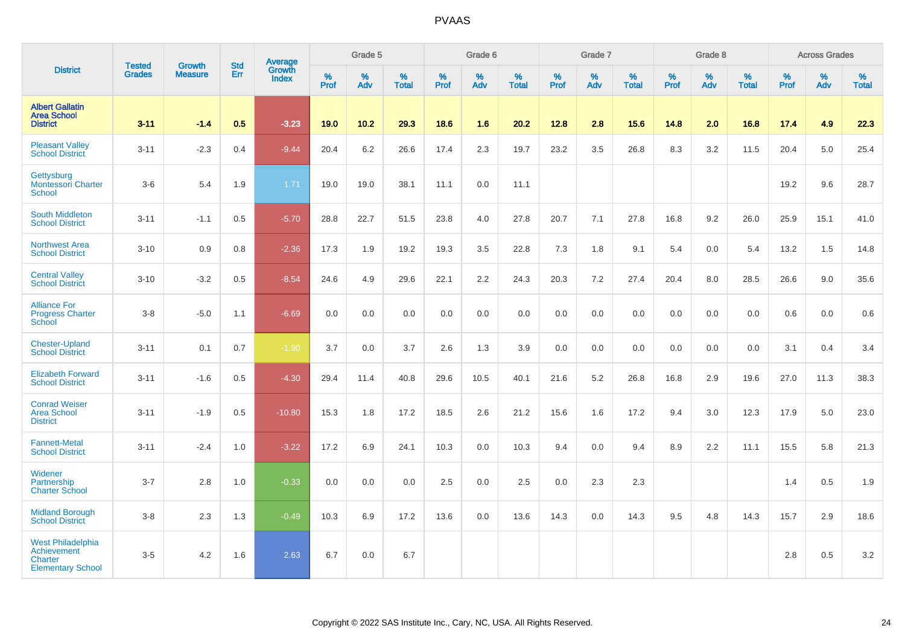|                                                                                |                                |                                 | <b>Std</b> | Average                |           | Grade 5  |                   |           | Grade 6  |                   |           | Grade 7  |                   |           | Grade 8  |                   |           | <b>Across Grades</b> |                   |
|--------------------------------------------------------------------------------|--------------------------------|---------------------------------|------------|------------------------|-----------|----------|-------------------|-----------|----------|-------------------|-----------|----------|-------------------|-----------|----------|-------------------|-----------|----------------------|-------------------|
| <b>District</b>                                                                | <b>Tested</b><br><b>Grades</b> | <b>Growth</b><br><b>Measure</b> | Err        | Growth<br><b>Index</b> | %<br>Prof | %<br>Adv | %<br><b>Total</b> | %<br>Prof | %<br>Adv | %<br><b>Total</b> | %<br>Prof | %<br>Adv | %<br><b>Total</b> | %<br>Prof | %<br>Adv | %<br><b>Total</b> | %<br>Prof | %<br>Adv             | %<br><b>Total</b> |
| <b>Albert Gallatin</b><br><b>Area School</b><br><b>District</b>                | $3 - 11$                       | $-1.4$                          | 0.5        | $-3.23$                | 19.0      | 10.2     | 29.3              | 18.6      | 1.6      | 20.2              | 12.8      | 2.8      | 15.6              | 14.8      | 2.0      | 16.8              | 17.4      | 4.9                  | 22.3              |
| <b>Pleasant Valley</b><br><b>School District</b>                               | $3 - 11$                       | $-2.3$                          | 0.4        | $-9.44$                | 20.4      | 6.2      | 26.6              | 17.4      | 2.3      | 19.7              | 23.2      | 3.5      | 26.8              | 8.3       | 3.2      | 11.5              | 20.4      | 5.0                  | 25.4              |
| Gettysburg<br><b>Montessori Charter</b><br>School                              | $3-6$                          | 5.4                             | 1.9        | 1.71                   | 19.0      | 19.0     | 38.1              | 11.1      | 0.0      | 11.1              |           |          |                   |           |          |                   | 19.2      | 9.6                  | 28.7              |
| <b>South Middleton</b><br><b>School District</b>                               | $3 - 11$                       | $-1.1$                          | 0.5        | $-5.70$                | 28.8      | 22.7     | 51.5              | 23.8      | 4.0      | 27.8              | 20.7      | 7.1      | 27.8              | 16.8      | 9.2      | 26.0              | 25.9      | 15.1                 | 41.0              |
| <b>Northwest Area</b><br><b>School District</b>                                | $3 - 10$                       | 0.9                             | 0.8        | $-2.36$                | 17.3      | 1.9      | 19.2              | 19.3      | 3.5      | 22.8              | 7.3       | 1.8      | 9.1               | 5.4       | 0.0      | 5.4               | 13.2      | 1.5                  | 14.8              |
| <b>Central Valley</b><br><b>School District</b>                                | $3 - 10$                       | $-3.2$                          | 0.5        | $-8.54$                | 24.6      | 4.9      | 29.6              | 22.1      | $2.2\,$  | 24.3              | 20.3      | 7.2      | 27.4              | 20.4      | 8.0      | 28.5              | 26.6      | 9.0                  | 35.6              |
| <b>Alliance For</b><br><b>Progress Charter</b><br>School                       | $3-8$                          | $-5.0$                          | 1.1        | $-6.69$                | 0.0       | 0.0      | 0.0               | $0.0\,$   | $0.0\,$  | 0.0               | 0.0       | 0.0      | 0.0               | 0.0       | 0.0      | 0.0               | 0.6       | 0.0                  | 0.6               |
| <b>Chester-Upland</b><br><b>School District</b>                                | $3 - 11$                       | 0.1                             | 0.7        | $-1.90$                | 3.7       | 0.0      | 3.7               | 2.6       | 1.3      | 3.9               | 0.0       | 0.0      | 0.0               | 0.0       | 0.0      | 0.0               | 3.1       | 0.4                  | 3.4               |
| <b>Elizabeth Forward</b><br><b>School District</b>                             | $3 - 11$                       | $-1.6$                          | 0.5        | $-4.30$                | 29.4      | 11.4     | 40.8              | 29.6      | 10.5     | 40.1              | 21.6      | 5.2      | 26.8              | 16.8      | 2.9      | 19.6              | 27.0      | 11.3                 | 38.3              |
| <b>Conrad Weiser</b><br><b>Area School</b><br><b>District</b>                  | $3 - 11$                       | $-1.9$                          | 0.5        | $-10.80$               | 15.3      | 1.8      | 17.2              | 18.5      | 2.6      | 21.2              | 15.6      | 1.6      | 17.2              | 9.4       | 3.0      | 12.3              | 17.9      | 5.0                  | 23.0              |
| <b>Fannett-Metal</b><br><b>School District</b>                                 | $3 - 11$                       | $-2.4$                          | 1.0        | $-3.22$                | 17.2      | 6.9      | 24.1              | 10.3      | 0.0      | 10.3              | 9.4       | 0.0      | 9.4               | 8.9       | 2.2      | 11.1              | 15.5      | 5.8                  | 21.3              |
| Widener<br>Partnership<br><b>Charter School</b>                                | $3 - 7$                        | 2.8                             | 1.0        | $-0.33$                | 0.0       | 0.0      | 0.0               | 2.5       | 0.0      | 2.5               | 0.0       | 2.3      | 2.3               |           |          |                   | 1.4       | 0.5                  | 1.9               |
| <b>Midland Borough</b><br><b>School District</b>                               | $3-8$                          | 2.3                             | 1.3        | $-0.49$                | 10.3      | 6.9      | 17.2              | 13.6      | 0.0      | 13.6              | 14.3      | 0.0      | 14.3              | 9.5       | 4.8      | 14.3              | 15.7      | 2.9                  | 18.6              |
| <b>West Philadelphia</b><br>Achievement<br>Charter<br><b>Elementary School</b> | $3 - 5$                        | 4.2                             | 1.6        | 2.63                   | 6.7       | 0.0      | 6.7               |           |          |                   |           |          |                   |           |          |                   | 2.8       | 0.5                  | $3.2\,$           |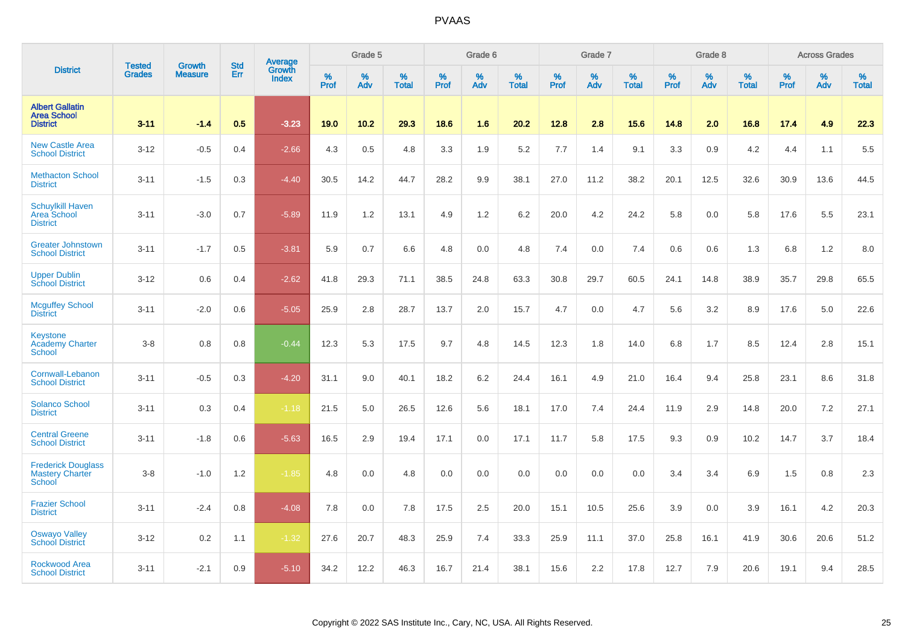|                                                                 |                                | <b>Growth</b>  | <b>Std</b> | Average                |              | Grade 5  |                   |           | Grade 6  |                   |           | Grade 7  |                   |           | Grade 8  |                   |           | <b>Across Grades</b> |                   |
|-----------------------------------------------------------------|--------------------------------|----------------|------------|------------------------|--------------|----------|-------------------|-----------|----------|-------------------|-----------|----------|-------------------|-----------|----------|-------------------|-----------|----------------------|-------------------|
| <b>District</b>                                                 | <b>Tested</b><br><b>Grades</b> | <b>Measure</b> | Err        | Growth<br><b>Index</b> | $\%$<br>Prof | %<br>Adv | %<br><b>Total</b> | %<br>Prof | %<br>Adv | %<br><b>Total</b> | %<br>Prof | %<br>Adv | %<br><b>Total</b> | %<br>Prof | %<br>Adv | %<br><b>Total</b> | %<br>Prof | $\%$<br>Adv          | %<br><b>Total</b> |
| <b>Albert Gallatin</b><br><b>Area School</b><br><b>District</b> | $3 - 11$                       | $-1.4$         | 0.5        | $-3.23$                | 19.0         | 10.2     | 29.3              | 18.6      | 1.6      | 20.2              | 12.8      | 2.8      | 15.6              | 14.8      | 2.0      | 16.8              | 17.4      | 4.9                  | 22.3              |
| <b>New Castle Area</b><br><b>School District</b>                | $3 - 12$                       | $-0.5$         | 0.4        | $-2.66$                | 4.3          | 0.5      | 4.8               | 3.3       | 1.9      | 5.2               | 7.7       | 1.4      | 9.1               | 3.3       | 0.9      | 4.2               | 4.4       | 1.1                  | 5.5               |
| <b>Methacton School</b><br><b>District</b>                      | $3 - 11$                       | $-1.5$         | 0.3        | $-4.40$                | 30.5         | 14.2     | 44.7              | 28.2      | 9.9      | 38.1              | 27.0      | 11.2     | 38.2              | 20.1      | 12.5     | 32.6              | 30.9      | 13.6                 | 44.5              |
| <b>Schuylkill Haven</b><br>Area School<br><b>District</b>       | $3 - 11$                       | $-3.0$         | 0.7        | $-5.89$                | 11.9         | 1.2      | 13.1              | 4.9       | 1.2      | 6.2               | 20.0      | 4.2      | 24.2              | 5.8       | 0.0      | 5.8               | 17.6      | 5.5                  | 23.1              |
| <b>Greater Johnstown</b><br><b>School District</b>              | $3 - 11$                       | $-1.7$         | 0.5        | $-3.81$                | 5.9          | 0.7      | 6.6               | 4.8       | 0.0      | 4.8               | 7.4       | 0.0      | 7.4               | 0.6       | 0.6      | 1.3               | 6.8       | 1.2                  | 8.0               |
| <b>Upper Dublin</b><br><b>School District</b>                   | $3 - 12$                       | 0.6            | 0.4        | $-2.62$                | 41.8         | 29.3     | 71.1              | 38.5      | 24.8     | 63.3              | 30.8      | 29.7     | 60.5              | 24.1      | 14.8     | 38.9              | 35.7      | 29.8                 | 65.5              |
| <b>Mcguffey School</b><br><b>District</b>                       | $3 - 11$                       | $-2.0$         | 0.6        | $-5.05$                | 25.9         | 2.8      | 28.7              | 13.7      | 2.0      | 15.7              | 4.7       | 0.0      | 4.7               | 5.6       | 3.2      | 8.9               | 17.6      | 5.0                  | 22.6              |
| <b>Keystone</b><br><b>Academy Charter</b><br>School             | $3 - 8$                        | 0.8            | 0.8        | $-0.44$                | 12.3         | 5.3      | 17.5              | 9.7       | 4.8      | 14.5              | 12.3      | 1.8      | 14.0              | 6.8       | 1.7      | 8.5               | 12.4      | 2.8                  | 15.1              |
| Cornwall-Lebanon<br><b>School District</b>                      | $3 - 11$                       | $-0.5$         | 0.3        | $-4.20$                | 31.1         | 9.0      | 40.1              | 18.2      | 6.2      | 24.4              | 16.1      | 4.9      | 21.0              | 16.4      | 9.4      | 25.8              | 23.1      | 8.6                  | 31.8              |
| <b>Solanco School</b><br><b>District</b>                        | $3 - 11$                       | 0.3            | 0.4        | $-1.18$                | 21.5         | 5.0      | 26.5              | 12.6      | 5.6      | 18.1              | 17.0      | 7.4      | 24.4              | 11.9      | 2.9      | 14.8              | 20.0      | 7.2                  | 27.1              |
| <b>Central Greene</b><br><b>School District</b>                 | $3 - 11$                       | $-1.8$         | 0.6        | $-5.63$                | 16.5         | 2.9      | 19.4              | 17.1      | 0.0      | 17.1              | 11.7      | 5.8      | 17.5              | 9.3       | 0.9      | 10.2              | 14.7      | 3.7                  | 18.4              |
| <b>Frederick Douglass</b><br><b>Mastery Charter</b><br>School   | $3 - 8$                        | $-1.0$         | 1.2        | $-1.85$                | 4.8          | 0.0      | 4.8               | 0.0       | 0.0      | 0.0               | 0.0       | 0.0      | 0.0               | 3.4       | 3.4      | 6.9               | 1.5       | 0.8                  | 2.3               |
| <b>Frazier School</b><br><b>District</b>                        | $3 - 11$                       | $-2.4$         | 0.8        | $-4.08$                | 7.8          | 0.0      | 7.8               | 17.5      | 2.5      | 20.0              | 15.1      | 10.5     | 25.6              | 3.9       | 0.0      | 3.9               | 16.1      | 4.2                  | 20.3              |
| <b>Oswayo Valley</b><br><b>School District</b>                  | $3 - 12$                       | 0.2            | 1.1        | $-1.32$                | 27.6         | 20.7     | 48.3              | 25.9      | 7.4      | 33.3              | 25.9      | 11.1     | 37.0              | 25.8      | 16.1     | 41.9              | 30.6      | 20.6                 | 51.2              |
| <b>Rockwood Area</b><br><b>School District</b>                  | $3 - 11$                       | $-2.1$         | 0.9        | $-5.10$                | 34.2         | 12.2     | 46.3              | 16.7      | 21.4     | 38.1              | 15.6      | 2.2      | 17.8              | 12.7      | 7.9      | 20.6              | 19.1      | 9.4                  | 28.5              |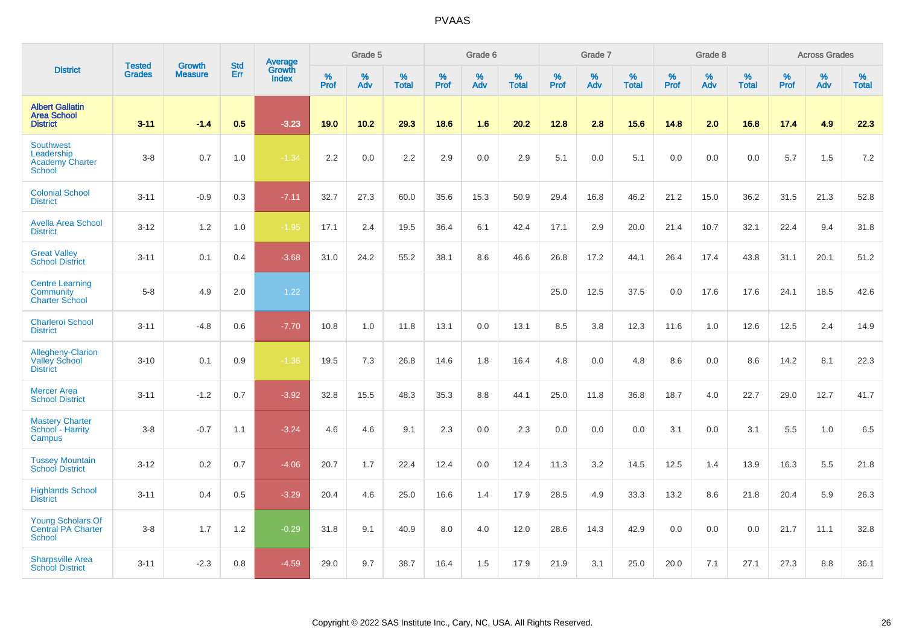|                                                                           | <b>Tested</b> | <b>Growth</b>  | <b>Std</b> | Average                |           | Grade 5  |                   |           | Grade 6  |                   |           | Grade 7  |                   |           | Grade 8  |                   |           | <b>Across Grades</b> |                   |
|---------------------------------------------------------------------------|---------------|----------------|------------|------------------------|-----------|----------|-------------------|-----------|----------|-------------------|-----------|----------|-------------------|-----------|----------|-------------------|-----------|----------------------|-------------------|
| <b>District</b>                                                           | <b>Grades</b> | <b>Measure</b> | Err        | Growth<br><b>Index</b> | %<br>Prof | %<br>Adv | %<br><b>Total</b> | %<br>Prof | %<br>Adv | %<br><b>Total</b> | %<br>Prof | %<br>Adv | %<br><b>Total</b> | %<br>Prof | %<br>Adv | %<br><b>Total</b> | %<br>Prof | %<br>Adv             | %<br><b>Total</b> |
| <b>Albert Gallatin</b><br><b>Area School</b><br><b>District</b>           | $3 - 11$      | $-1.4$         | 0.5        | $-3.23$                | 19.0      | 10.2     | 29.3              | 18.6      | 1.6      | 20.2              | 12.8      | 2.8      | 15.6              | 14.8      | 2.0      | 16.8              | 17.4      | 4.9                  | 22.3              |
| <b>Southwest</b><br>Leadership<br><b>Academy Charter</b><br><b>School</b> | $3-8$         | 0.7            | 1.0        | $-1.34$                | 2.2       | 0.0      | $2.2\,$           | 2.9       | 0.0      | 2.9               | 5.1       | 0.0      | 5.1               | 0.0       | 0.0      | 0.0               | 5.7       | 1.5                  | 7.2               |
| <b>Colonial School</b><br><b>District</b>                                 | $3 - 11$      | $-0.9$         | 0.3        | $-7.11$                | 32.7      | 27.3     | 60.0              | 35.6      | 15.3     | 50.9              | 29.4      | 16.8     | 46.2              | 21.2      | 15.0     | 36.2              | 31.5      | 21.3                 | 52.8              |
| <b>Avella Area School</b><br><b>District</b>                              | $3 - 12$      | 1.2            | 1.0        | $-1.95$                | 17.1      | 2.4      | 19.5              | 36.4      | 6.1      | 42.4              | 17.1      | 2.9      | 20.0              | 21.4      | 10.7     | 32.1              | 22.4      | 9.4                  | 31.8              |
| <b>Great Valley</b><br><b>School District</b>                             | $3 - 11$      | 0.1            | 0.4        | $-3.68$                | 31.0      | 24.2     | 55.2              | 38.1      | 8.6      | 46.6              | 26.8      | 17.2     | 44.1              | 26.4      | 17.4     | 43.8              | 31.1      | 20.1                 | 51.2              |
| <b>Centre Learning</b><br><b>Community</b><br><b>Charter School</b>       | $5-8$         | 4.9            | 2.0        | 1.22                   |           |          |                   |           |          |                   | 25.0      | 12.5     | 37.5              | 0.0       | 17.6     | 17.6              | 24.1      | 18.5                 | 42.6              |
| <b>Charleroi School</b><br><b>District</b>                                | $3 - 11$      | $-4.8$         | 0.6        | $-7.70$                | 10.8      | 1.0      | 11.8              | 13.1      | 0.0      | 13.1              | 8.5       | 3.8      | 12.3              | 11.6      | 1.0      | 12.6              | 12.5      | 2.4                  | 14.9              |
| Allegheny-Clarion<br><b>Valley School</b><br><b>District</b>              | $3 - 10$      | 0.1            | 0.9        | $-1.36$                | 19.5      | 7.3      | 26.8              | 14.6      | 1.8      | 16.4              | 4.8       | 0.0      | 4.8               | 8.6       | 0.0      | 8.6               | 14.2      | 8.1                  | 22.3              |
| <b>Mercer Area</b><br><b>School District</b>                              | $3 - 11$      | $-1.2$         | 0.7        | $-3.92$                | 32.8      | 15.5     | 48.3              | 35.3      | 8.8      | 44.1              | 25.0      | 11.8     | 36.8              | 18.7      | 4.0      | 22.7              | 29.0      | 12.7                 | 41.7              |
| <b>Mastery Charter</b><br>School - Harrity<br>Campus                      | $3-8$         | $-0.7$         | 1.1        | $-3.24$                | 4.6       | 4.6      | 9.1               | 2.3       | 0.0      | 2.3               | $0.0\,$   | 0.0      | 0.0               | 3.1       | 0.0      | 3.1               | 5.5       | 1.0                  | 6.5               |
| <b>Tussey Mountain</b><br><b>School District</b>                          | $3 - 12$      | 0.2            | 0.7        | $-4.06$                | 20.7      | 1.7      | 22.4              | 12.4      | 0.0      | 12.4              | 11.3      | 3.2      | 14.5              | 12.5      | 1.4      | 13.9              | 16.3      | 5.5                  | 21.8              |
| <b>Highlands School</b><br><b>District</b>                                | $3 - 11$      | 0.4            | 0.5        | $-3.29$                | 20.4      | 4.6      | 25.0              | 16.6      | 1.4      | 17.9              | 28.5      | 4.9      | 33.3              | 13.2      | 8.6      | 21.8              | 20.4      | 5.9                  | 26.3              |
| <b>Young Scholars Of</b><br><b>Central PA Charter</b><br><b>School</b>    | $3-8$         | 1.7            | 1.2        | $-0.29$                | 31.8      | 9.1      | 40.9              | 8.0       | 4.0      | 12.0              | 28.6      | 14.3     | 42.9              | 0.0       | 0.0      | 0.0               | 21.7      | 11.1                 | 32.8              |
| <b>Sharpsville Area</b><br><b>School District</b>                         | $3 - 11$      | $-2.3$         | 0.8        | $-4.59$                | 29.0      | 9.7      | 38.7              | 16.4      | 1.5      | 17.9              | 21.9      | 3.1      | 25.0              | 20.0      | 7.1      | 27.1              | 27.3      | 8.8                  | 36.1              |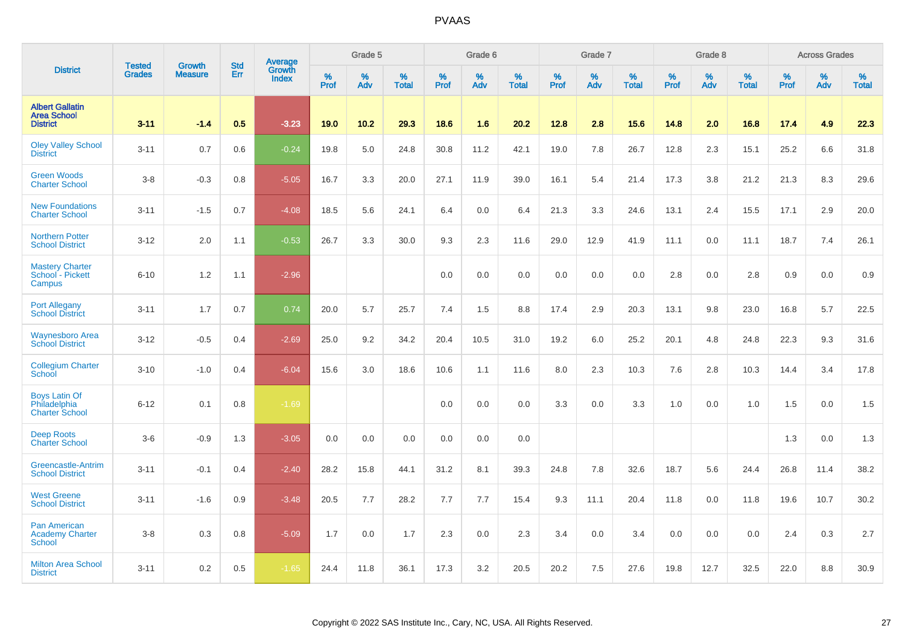|                                                                 |                                | <b>Growth</b>  | <b>Std</b> | Average                |              | Grade 5  |                   |           | Grade 6  |                   |              | Grade 7  |                   |           | Grade 8  |                   |           | <b>Across Grades</b> |                   |
|-----------------------------------------------------------------|--------------------------------|----------------|------------|------------------------|--------------|----------|-------------------|-----------|----------|-------------------|--------------|----------|-------------------|-----------|----------|-------------------|-----------|----------------------|-------------------|
| <b>District</b>                                                 | <b>Tested</b><br><b>Grades</b> | <b>Measure</b> | Err        | Growth<br><b>Index</b> | $\%$<br>Prof | %<br>Adv | %<br><b>Total</b> | %<br>Prof | %<br>Adv | %<br><b>Total</b> | $\%$<br>Prof | %<br>Adv | %<br><b>Total</b> | %<br>Prof | %<br>Adv | %<br><b>Total</b> | %<br>Prof | %<br>Adv             | %<br><b>Total</b> |
| <b>Albert Gallatin</b><br><b>Area School</b><br><b>District</b> | $3 - 11$                       | $-1.4$         | 0.5        | $-3.23$                | 19.0         | 10.2     | 29.3              | 18.6      | 1.6      | 20.2              | 12.8         | 2.8      | 15.6              | 14.8      | 2.0      | 16.8              | 17.4      | 4.9                  | 22.3              |
| <b>Oley Valley School</b><br><b>District</b>                    | $3 - 11$                       | 0.7            | 0.6        | $-0.24$                | 19.8         | 5.0      | 24.8              | 30.8      | 11.2     | 42.1              | 19.0         | 7.8      | 26.7              | 12.8      | 2.3      | 15.1              | 25.2      | 6.6                  | 31.8              |
| <b>Green Woods</b><br><b>Charter School</b>                     | $3-8$                          | $-0.3$         | 0.8        | $-5.05$                | 16.7         | 3.3      | 20.0              | 27.1      | 11.9     | 39.0              | 16.1         | 5.4      | 21.4              | 17.3      | 3.8      | 21.2              | 21.3      | 8.3                  | 29.6              |
| <b>New Foundations</b><br><b>Charter School</b>                 | $3 - 11$                       | $-1.5$         | 0.7        | $-4.08$                | 18.5         | 5.6      | 24.1              | 6.4       | 0.0      | 6.4               | 21.3         | 3.3      | 24.6              | 13.1      | 2.4      | 15.5              | 17.1      | 2.9                  | 20.0              |
| <b>Northern Potter</b><br><b>School District</b>                | $3 - 12$                       | 2.0            | 1.1        | $-0.53$                | 26.7         | 3.3      | 30.0              | 9.3       | 2.3      | 11.6              | 29.0         | 12.9     | 41.9              | 11.1      | 0.0      | 11.1              | 18.7      | 7.4                  | 26.1              |
| <b>Mastery Charter</b><br>School - Pickett<br>Campus            | $6 - 10$                       | 1.2            | 1.1        | $-2.96$                |              |          |                   | 0.0       | 0.0      | 0.0               | 0.0          | 0.0      | 0.0               | 2.8       | 0.0      | 2.8               | 0.9       | 0.0                  | 0.9               |
| <b>Port Allegany</b><br><b>School District</b>                  | $3 - 11$                       | 1.7            | 0.7        | 0.74                   | 20.0         | 5.7      | 25.7              | 7.4       | 1.5      | 8.8               | 17.4         | 2.9      | 20.3              | 13.1      | 9.8      | 23.0              | 16.8      | 5.7                  | 22.5              |
| <b>Waynesboro Area</b><br><b>School District</b>                | $3 - 12$                       | $-0.5$         | 0.4        | $-2.69$                | 25.0         | 9.2      | 34.2              | 20.4      | 10.5     | 31.0              | 19.2         | 6.0      | 25.2              | 20.1      | 4.8      | 24.8              | 22.3      | 9.3                  | 31.6              |
| <b>Collegium Charter</b><br>School                              | $3 - 10$                       | $-1.0$         | 0.4        | $-6.04$                | 15.6         | 3.0      | 18.6              | 10.6      | 1.1      | 11.6              | 8.0          | 2.3      | 10.3              | 7.6       | 2.8      | 10.3              | 14.4      | 3.4                  | 17.8              |
| <b>Boys Latin Of</b><br>Philadelphia<br><b>Charter School</b>   | $6 - 12$                       | 0.1            | 0.8        | $-1.69$                |              |          |                   | 0.0       | 0.0      | 0.0               | 3.3          | 0.0      | 3.3               | 1.0       | 0.0      | 1.0               | 1.5       | 0.0                  | 1.5               |
| <b>Deep Roots</b><br><b>Charter School</b>                      | $3-6$                          | $-0.9$         | 1.3        | $-3.05$                | 0.0          | 0.0      | 0.0               | 0.0       | 0.0      | 0.0               |              |          |                   |           |          |                   | 1.3       | 0.0                  | 1.3               |
| <b>Greencastle-Antrim</b><br><b>School District</b>             | $3 - 11$                       | $-0.1$         | 0.4        | $-2.40$                | 28.2         | 15.8     | 44.1              | 31.2      | 8.1      | 39.3              | 24.8         | 7.8      | 32.6              | 18.7      | 5.6      | 24.4              | 26.8      | 11.4                 | 38.2              |
| <b>West Greene</b><br><b>School District</b>                    | $3 - 11$                       | $-1.6$         | 0.9        | $-3.48$                | 20.5         | 7.7      | 28.2              | 7.7       | 7.7      | 15.4              | 9.3          | 11.1     | 20.4              | 11.8      | 0.0      | 11.8              | 19.6      | 10.7                 | 30.2              |
| <b>Pan American</b><br><b>Academy Charter</b><br><b>School</b>  | $3 - 8$                        | 0.3            | 0.8        | $-5.09$                | 1.7          | 0.0      | 1.7               | 2.3       | 0.0      | 2.3               | 3.4          | 0.0      | 3.4               | 0.0       | 0.0      | 0.0               | 2.4       | 0.3                  | 2.7               |
| <b>Milton Area School</b><br><b>District</b>                    | $3 - 11$                       | 0.2            | 0.5        | $-1.65$                | 24.4         | 11.8     | 36.1              | 17.3      | 3.2      | 20.5              | 20.2         | 7.5      | 27.6              | 19.8      | 12.7     | 32.5              | 22.0      | 8.8                  | 30.9              |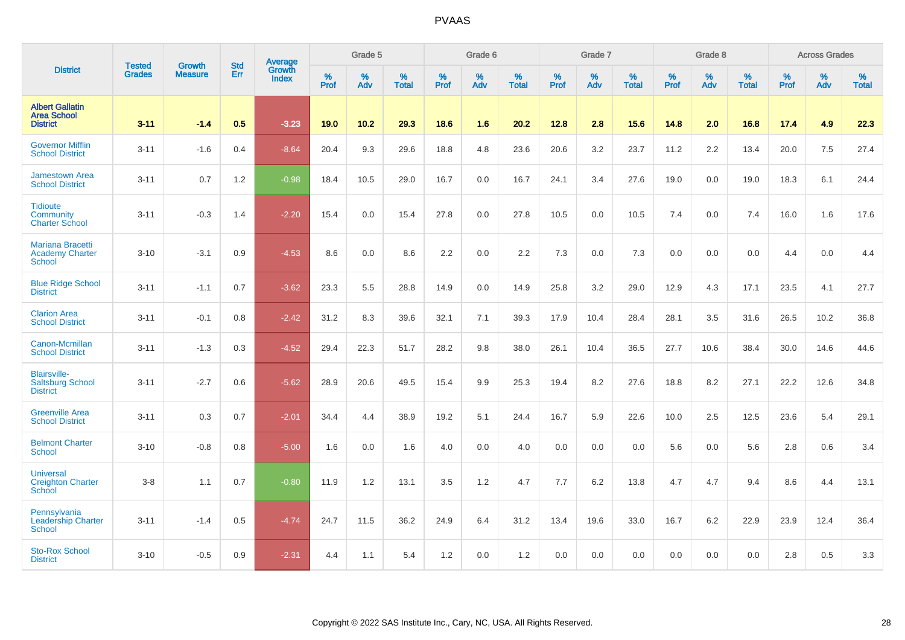|                                                                    |                                | <b>Growth</b>  | <b>Std</b> | Average                |                     | Grade 5  |                   |              | Grade 6  |                   |           | Grade 7  |                   |           | Grade 8  |                   |                  | <b>Across Grades</b> |                   |
|--------------------------------------------------------------------|--------------------------------|----------------|------------|------------------------|---------------------|----------|-------------------|--------------|----------|-------------------|-----------|----------|-------------------|-----------|----------|-------------------|------------------|----------------------|-------------------|
| <b>District</b>                                                    | <b>Tested</b><br><b>Grades</b> | <b>Measure</b> | Err        | Growth<br><b>Index</b> | $\%$<br><b>Prof</b> | %<br>Adv | %<br><b>Total</b> | $\%$<br>Prof | %<br>Adv | %<br><b>Total</b> | %<br>Prof | %<br>Adv | %<br><b>Total</b> | %<br>Prof | %<br>Adv | %<br><b>Total</b> | %<br><b>Prof</b> | %<br>Adv             | %<br><b>Total</b> |
| <b>Albert Gallatin</b><br><b>Area School</b><br><b>District</b>    | $3 - 11$                       | $-1.4$         | 0.5        | $-3.23$                | 19.0                | 10.2     | 29.3              | 18.6         | 1.6      | 20.2              | 12.8      | 2.8      | 15.6              | 14.8      | 2.0      | 16.8              | 17.4             | 4.9                  | 22.3              |
| <b>Governor Mifflin</b><br><b>School District</b>                  | $3 - 11$                       | $-1.6$         | 0.4        | $-8.64$                | 20.4                | 9.3      | 29.6              | 18.8         | 4.8      | 23.6              | 20.6      | 3.2      | 23.7              | 11.2      | 2.2      | 13.4              | 20.0             | 7.5                  | 27.4              |
| <b>Jamestown Area</b><br><b>School District</b>                    | $3 - 11$                       | 0.7            | 1.2        | $-0.98$                | 18.4                | 10.5     | 29.0              | 16.7         | 0.0      | 16.7              | 24.1      | 3.4      | 27.6              | 19.0      | 0.0      | 19.0              | 18.3             | 6.1                  | 24.4              |
| <b>Tidioute</b><br>Community<br><b>Charter School</b>              | $3 - 11$                       | $-0.3$         | 1.4        | $-2.20$                | 15.4                | 0.0      | 15.4              | 27.8         | 0.0      | 27.8              | 10.5      | 0.0      | 10.5              | 7.4       | 0.0      | 7.4               | 16.0             | 1.6                  | 17.6              |
| <b>Mariana Bracetti</b><br><b>Academy Charter</b><br><b>School</b> | $3 - 10$                       | $-3.1$         | 0.9        | $-4.53$                | 8.6                 | 0.0      | 8.6               | 2.2          | 0.0      | 2.2               | 7.3       | 0.0      | 7.3               | $0.0\,$   | 0.0      | 0.0               | 4.4              | $0.0\,$              | 4.4               |
| <b>Blue Ridge School</b><br><b>District</b>                        | $3 - 11$                       | $-1.1$         | 0.7        | $-3.62$                | 23.3                | 5.5      | 28.8              | 14.9         | 0.0      | 14.9              | 25.8      | 3.2      | 29.0              | 12.9      | 4.3      | 17.1              | 23.5             | 4.1                  | 27.7              |
| <b>Clarion Area</b><br><b>School District</b>                      | $3 - 11$                       | $-0.1$         | 0.8        | $-2.42$                | 31.2                | 8.3      | 39.6              | 32.1         | 7.1      | 39.3              | 17.9      | 10.4     | 28.4              | 28.1      | 3.5      | 31.6              | 26.5             | 10.2                 | 36.8              |
| Canon-Mcmillan<br><b>School District</b>                           | $3 - 11$                       | $-1.3$         | 0.3        | $-4.52$                | 29.4                | 22.3     | 51.7              | 28.2         | 9.8      | 38.0              | 26.1      | 10.4     | 36.5              | 27.7      | 10.6     | 38.4              | 30.0             | 14.6                 | 44.6              |
| <b>Blairsville-</b><br><b>Saltsburg School</b><br><b>District</b>  | $3 - 11$                       | $-2.7$         | 0.6        | $-5.62$                | 28.9                | 20.6     | 49.5              | 15.4         | 9.9      | 25.3              | 19.4      | 8.2      | 27.6              | 18.8      | 8.2      | 27.1              | 22.2             | 12.6                 | 34.8              |
| <b>Greenville Area</b><br><b>School District</b>                   | $3 - 11$                       | 0.3            | 0.7        | $-2.01$                | 34.4                | 4.4      | 38.9              | 19.2         | 5.1      | 24.4              | 16.7      | 5.9      | 22.6              | 10.0      | 2.5      | 12.5              | 23.6             | 5.4                  | 29.1              |
| <b>Belmont Charter</b><br><b>School</b>                            | $3 - 10$                       | $-0.8$         | 0.8        | $-5.00$                | 1.6                 | 0.0      | 1.6               | 4.0          | 0.0      | 4.0               | 0.0       | 0.0      | 0.0               | 5.6       | 0.0      | 5.6               | 2.8              | 0.6                  | 3.4               |
| <b>Universal</b><br><b>Creighton Charter</b><br>School             | $3-8$                          | 1.1            | 0.7        | $-0.80$                | 11.9                | 1.2      | 13.1              | 3.5          | 1.2      | 4.7               | 7.7       | $6.2\,$  | 13.8              | 4.7       | 4.7      | 9.4               | 8.6              | 4.4                  | 13.1              |
| Pennsylvania<br><b>Leadership Charter</b><br><b>School</b>         | $3 - 11$                       | $-1.4$         | 0.5        | $-4.74$                | 24.7                | 11.5     | 36.2              | 24.9         | 6.4      | 31.2              | 13.4      | 19.6     | 33.0              | 16.7      | $6.2\,$  | 22.9              | 23.9             | 12.4                 | 36.4              |
| <b>Sto-Rox School</b><br><b>District</b>                           | $3 - 10$                       | $-0.5$         | 0.9        | $-2.31$                | 4.4                 | 1.1      | 5.4               | 1.2          | 0.0      | 1.2               | 0.0       | 0.0      | 0.0               | 0.0       | 0.0      | 0.0               | 2.8              | 0.5                  | 3.3               |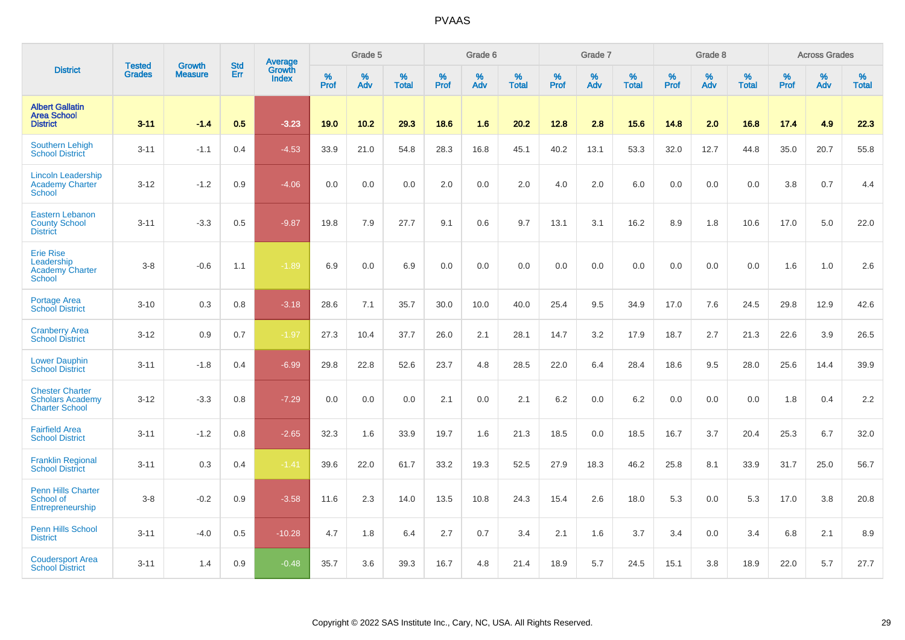|                                                                            |                                |                                 | <b>Std</b> | <b>Average</b>         |              | Grade 5  |                   |           | Grade 6  |                   |           | Grade 7  |                   |           | Grade 8  |                   |           | <b>Across Grades</b> |                   |
|----------------------------------------------------------------------------|--------------------------------|---------------------------------|------------|------------------------|--------------|----------|-------------------|-----------|----------|-------------------|-----------|----------|-------------------|-----------|----------|-------------------|-----------|----------------------|-------------------|
| <b>District</b>                                                            | <b>Tested</b><br><b>Grades</b> | <b>Growth</b><br><b>Measure</b> | Err        | Growth<br><b>Index</b> | $\%$<br>Prof | %<br>Adv | %<br><b>Total</b> | %<br>Prof | %<br>Adv | %<br><b>Total</b> | %<br>Prof | %<br>Adv | %<br><b>Total</b> | %<br>Prof | %<br>Adv | %<br><b>Total</b> | %<br>Prof | %<br>Adv             | %<br><b>Total</b> |
| <b>Albert Gallatin</b><br><b>Area School</b><br><b>District</b>            | $3 - 11$                       | $-1.4$                          | 0.5        | $-3.23$                | 19.0         | $10.2$   | 29.3              | 18.6      | 1.6      | 20.2              | 12.8      | 2.8      | 15.6              | 14.8      | 2.0      | 16.8              | 17.4      | 4.9                  | 22.3              |
| <b>Southern Lehigh</b><br><b>School District</b>                           | $3 - 11$                       | $-1.1$                          | 0.4        | $-4.53$                | 33.9         | 21.0     | 54.8              | 28.3      | 16.8     | 45.1              | 40.2      | 13.1     | 53.3              | 32.0      | 12.7     | 44.8              | 35.0      | 20.7                 | 55.8              |
| <b>Lincoln Leadership</b><br><b>Academy Charter</b><br><b>School</b>       | $3 - 12$                       | $-1.2$                          | 0.9        | $-4.06$                | 0.0          | 0.0      | 0.0               | 2.0       | 0.0      | 2.0               | 4.0       | 2.0      | 6.0               | 0.0       | 0.0      | 0.0               | 3.8       | 0.7                  | 4.4               |
| <b>Eastern Lebanon</b><br><b>County School</b><br><b>District</b>          | $3 - 11$                       | $-3.3$                          | 0.5        | $-9.87$                | 19.8         | 7.9      | 27.7              | 9.1       | 0.6      | 9.7               | 13.1      | 3.1      | 16.2              | 8.9       | 1.8      | 10.6              | 17.0      | 5.0                  | 22.0              |
| <b>Erie Rise</b><br>Leadership<br><b>Academy Charter</b><br>School         | $3-8$                          | $-0.6$                          | 1.1        | $-1.89$                | 6.9          | 0.0      | 6.9               | 0.0       | 0.0      | 0.0               | 0.0       | 0.0      | 0.0               | 0.0       | 0.0      | 0.0               | 1.6       | 1.0                  | 2.6               |
| <b>Portage Area</b><br><b>School District</b>                              | $3 - 10$                       | 0.3                             | 0.8        | $-3.18$                | 28.6         | 7.1      | 35.7              | 30.0      | 10.0     | 40.0              | 25.4      | 9.5      | 34.9              | 17.0      | 7.6      | 24.5              | 29.8      | 12.9                 | 42.6              |
| <b>Cranberry Area</b><br><b>School District</b>                            | $3 - 12$                       | 0.9                             | 0.7        | $-1.97$                | 27.3         | 10.4     | 37.7              | 26.0      | 2.1      | 28.1              | 14.7      | 3.2      | 17.9              | 18.7      | 2.7      | 21.3              | 22.6      | 3.9                  | 26.5              |
| <b>Lower Dauphin</b><br><b>School District</b>                             | $3 - 11$                       | $-1.8$                          | 0.4        | $-6.99$                | 29.8         | 22.8     | 52.6              | 23.7      | 4.8      | 28.5              | 22.0      | 6.4      | 28.4              | 18.6      | 9.5      | 28.0              | 25.6      | 14.4                 | 39.9              |
| <b>Chester Charter</b><br><b>Scholars Academy</b><br><b>Charter School</b> | $3 - 12$                       | $-3.3$                          | 0.8        | $-7.29$                | 0.0          | 0.0      | 0.0               | 2.1       | 0.0      | 2.1               | 6.2       | 0.0      | 6.2               | 0.0       | 0.0      | 0.0               | 1.8       | 0.4                  | 2.2               |
| <b>Fairfield Area</b><br><b>School District</b>                            | $3 - 11$                       | $-1.2$                          | 0.8        | $-2.65$                | 32.3         | 1.6      | 33.9              | 19.7      | 1.6      | 21.3              | 18.5      | 0.0      | 18.5              | 16.7      | 3.7      | 20.4              | 25.3      | 6.7                  | 32.0              |
| <b>Franklin Regional</b><br><b>School District</b>                         | $3 - 11$                       | 0.3                             | 0.4        | $-1.41$                | 39.6         | 22.0     | 61.7              | 33.2      | 19.3     | 52.5              | 27.9      | 18.3     | 46.2              | 25.8      | 8.1      | 33.9              | 31.7      | 25.0                 | 56.7              |
| <b>Penn Hills Charter</b><br>School of<br>Entrepreneurship                 | $3-8$                          | $-0.2$                          | 0.9        | $-3.58$                | 11.6         | 2.3      | 14.0              | 13.5      | 10.8     | 24.3              | 15.4      | 2.6      | 18.0              | 5.3       | 0.0      | 5.3               | 17.0      | 3.8                  | 20.8              |
| <b>Penn Hills School</b><br><b>District</b>                                | $3 - 11$                       | $-4.0$                          | 0.5        | $-10.28$               | 4.7          | 1.8      | 6.4               | 2.7       | 0.7      | 3.4               | 2.1       | 1.6      | 3.7               | 3.4       | 0.0      | 3.4               | 6.8       | 2.1                  | 8.9               |
| <b>Coudersport Area</b><br><b>School District</b>                          | $3 - 11$                       | 1.4                             | 0.9        | $-0.48$                | 35.7         | 3.6      | 39.3              | 16.7      | 4.8      | 21.4              | 18.9      | 5.7      | 24.5              | 15.1      | 3.8      | 18.9              | 22.0      | 5.7                  | 27.7              |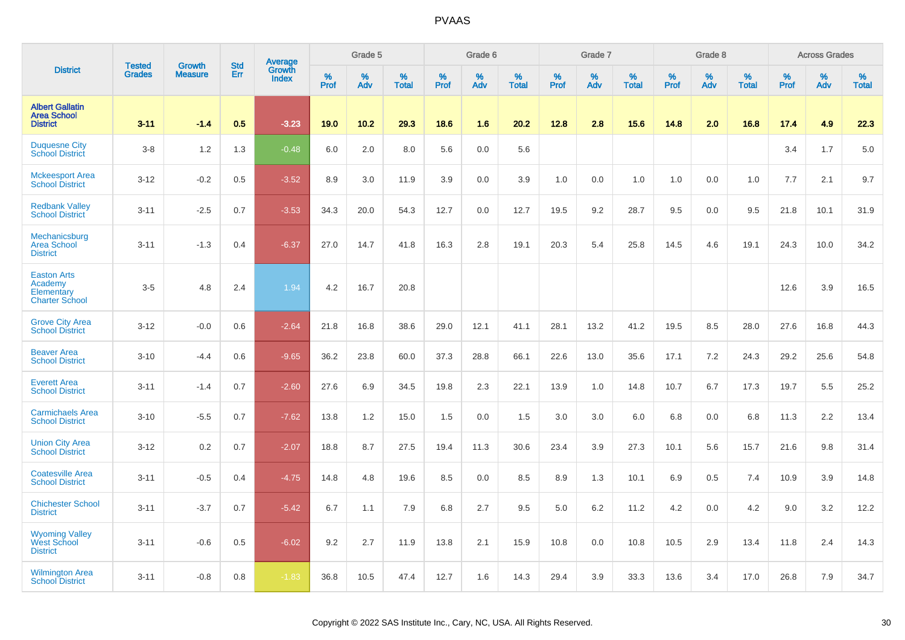|                                                                      |                                |                                 | <b>Std</b> | Average         |                     | Grade 5  |                   |           | Grade 6  |                   |              | Grade 7  |                   |              | Grade 8  |                   |              | <b>Across Grades</b> |                   |
|----------------------------------------------------------------------|--------------------------------|---------------------------------|------------|-----------------|---------------------|----------|-------------------|-----------|----------|-------------------|--------------|----------|-------------------|--------------|----------|-------------------|--------------|----------------------|-------------------|
| <b>District</b>                                                      | <b>Tested</b><br><b>Grades</b> | <b>Growth</b><br><b>Measure</b> | Err        | Growth<br>Index | $\%$<br><b>Prof</b> | %<br>Adv | %<br><b>Total</b> | %<br>Prof | %<br>Adv | %<br><b>Total</b> | $\%$<br>Prof | %<br>Adv | %<br><b>Total</b> | $\%$<br>Prof | %<br>Adv | %<br><b>Total</b> | $\%$<br>Prof | %<br>Adv             | %<br><b>Total</b> |
| <b>Albert Gallatin</b><br><b>Area School</b><br><b>District</b>      | $3 - 11$                       | $-1.4$                          | 0.5        | $-3.23$         | 19.0                | 10.2     | 29.3              | 18.6      | 1.6      | 20.2              | 12.8         | 2.8      | 15.6              | 14.8         | 2.0      | 16.8              | 17.4         | 4.9                  | 22.3              |
| <b>Duquesne City</b><br><b>School District</b>                       | $3-8$                          | 1.2                             | 1.3        | $-0.48$         | 6.0                 | 2.0      | 8.0               | 5.6       | 0.0      | 5.6               |              |          |                   |              |          |                   | 3.4          | 1.7                  | 5.0               |
| <b>Mckeesport Area</b><br><b>School District</b>                     | $3 - 12$                       | $-0.2$                          | 0.5        | $-3.52$         | 8.9                 | 3.0      | 11.9              | 3.9       | 0.0      | 3.9               | 1.0          | 0.0      | 1.0               | 1.0          | 0.0      | 1.0               | 7.7          | 2.1                  | 9.7               |
| <b>Redbank Valley</b><br><b>School District</b>                      | $3 - 11$                       | $-2.5$                          | 0.7        | $-3.53$         | 34.3                | 20.0     | 54.3              | 12.7      | 0.0      | 12.7              | 19.5         | 9.2      | 28.7              | 9.5          | 0.0      | 9.5               | 21.8         | 10.1                 | 31.9              |
| Mechanicsburg<br><b>Area School</b><br><b>District</b>               | $3 - 11$                       | $-1.3$                          | 0.4        | $-6.37$         | 27.0                | 14.7     | 41.8              | 16.3      | 2.8      | 19.1              | 20.3         | 5.4      | 25.8              | 14.5         | 4.6      | 19.1              | 24.3         | 10.0                 | 34.2              |
| <b>Easton Arts</b><br>Academy<br>Elementary<br><b>Charter School</b> | $3-5$                          | 4.8                             | 2.4        | 1.94            | 4.2                 | 16.7     | 20.8              |           |          |                   |              |          |                   |              |          |                   | 12.6         | 3.9                  | 16.5              |
| <b>Grove City Area</b><br><b>School District</b>                     | $3 - 12$                       | $-0.0$                          | 0.6        | $-2.64$         | 21.8                | 16.8     | 38.6              | 29.0      | 12.1     | 41.1              | 28.1         | 13.2     | 41.2              | 19.5         | 8.5      | 28.0              | 27.6         | 16.8                 | 44.3              |
| <b>Beaver Area</b><br><b>School District</b>                         | $3 - 10$                       | $-4.4$                          | 0.6        | $-9.65$         | 36.2                | 23.8     | 60.0              | 37.3      | 28.8     | 66.1              | 22.6         | 13.0     | 35.6              | 17.1         | 7.2      | 24.3              | 29.2         | 25.6                 | 54.8              |
| <b>Everett Area</b><br><b>School District</b>                        | $3 - 11$                       | $-1.4$                          | 0.7        | $-2.60$         | 27.6                | 6.9      | 34.5              | 19.8      | 2.3      | 22.1              | 13.9         | 1.0      | 14.8              | 10.7         | 6.7      | 17.3              | 19.7         | 5.5                  | 25.2              |
| <b>Carmichaels Area</b><br><b>School District</b>                    | $3 - 10$                       | $-5.5$                          | 0.7        | $-7.62$         | 13.8                | 1.2      | 15.0              | 1.5       | 0.0      | 1.5               | 3.0          | 3.0      | 6.0               | 6.8          | 0.0      | 6.8               | 11.3         | 2.2                  | 13.4              |
| <b>Union City Area</b><br><b>School District</b>                     | $3 - 12$                       | 0.2                             | 0.7        | $-2.07$         | 18.8                | 8.7      | 27.5              | 19.4      | 11.3     | 30.6              | 23.4         | 3.9      | 27.3              | 10.1         | 5.6      | 15.7              | 21.6         | 9.8                  | 31.4              |
| <b>Coatesville Area</b><br><b>School District</b>                    | $3 - 11$                       | $-0.5$                          | 0.4        | $-4.75$         | 14.8                | 4.8      | 19.6              | 8.5       | 0.0      | 8.5               | 8.9          | 1.3      | 10.1              | 6.9          | 0.5      | 7.4               | 10.9         | 3.9                  | 14.8              |
| <b>Chichester School</b><br><b>District</b>                          | $3 - 11$                       | $-3.7$                          | 0.7        | $-5.42$         | 6.7                 | 1.1      | 7.9               | 6.8       | 2.7      | 9.5               | 5.0          | 6.2      | 11.2              | 4.2          | 0.0      | 4.2               | 9.0          | 3.2                  | 12.2              |
| <b>Wyoming Valley</b><br><b>West School</b><br><b>District</b>       | $3 - 11$                       | $-0.6$                          | 0.5        | $-6.02$         | 9.2                 | 2.7      | 11.9              | 13.8      | 2.1      | 15.9              | 10.8         | 0.0      | 10.8              | 10.5         | 2.9      | 13.4              | 11.8         | 2.4                  | 14.3              |
| <b>Wilmington Area</b><br><b>School District</b>                     | $3 - 11$                       | $-0.8$                          | 0.8        | $-1.83$         | 36.8                | 10.5     | 47.4              | 12.7      | 1.6      | 14.3              | 29.4         | 3.9      | 33.3              | 13.6         | 3.4      | 17.0              | 26.8         | 7.9                  | 34.7              |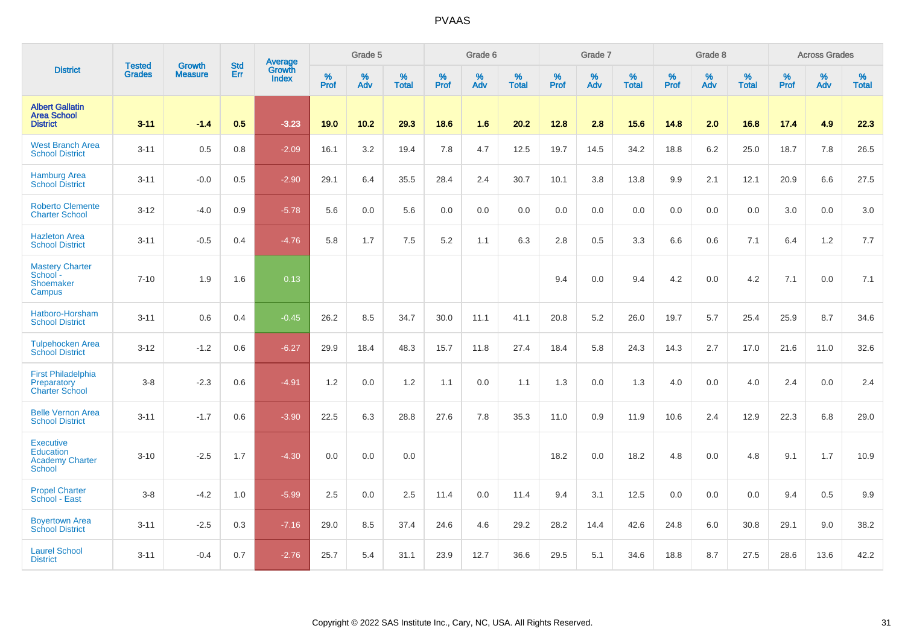|                                                                   |                                |                                 | <b>Std</b> | <b>Average</b>         |           | Grade 5  |                   |           | Grade 6  |                   |           | Grade 7  |                   |           | Grade 8  |                   |           | <b>Across Grades</b> |                   |
|-------------------------------------------------------------------|--------------------------------|---------------------------------|------------|------------------------|-----------|----------|-------------------|-----------|----------|-------------------|-----------|----------|-------------------|-----------|----------|-------------------|-----------|----------------------|-------------------|
| <b>District</b>                                                   | <b>Tested</b><br><b>Grades</b> | <b>Growth</b><br><b>Measure</b> | Err        | Growth<br><b>Index</b> | %<br>Prof | %<br>Adv | %<br><b>Total</b> | %<br>Prof | %<br>Adv | %<br><b>Total</b> | %<br>Prof | %<br>Adv | %<br><b>Total</b> | %<br>Prof | %<br>Adv | %<br><b>Total</b> | %<br>Prof | %<br>Adv             | %<br><b>Total</b> |
| <b>Albert Gallatin</b><br><b>Area School</b><br><b>District</b>   | $3 - 11$                       | $-1.4$                          | 0.5        | $-3.23$                | 19.0      | 10.2     | 29.3              | 18.6      | 1.6      | 20.2              | 12.8      | 2.8      | 15.6              | 14.8      | 2.0      | 16.8              | 17.4      | 4.9                  | 22.3              |
| <b>West Branch Area</b><br><b>School District</b>                 | $3 - 11$                       | 0.5                             | 0.8        | $-2.09$                | 16.1      | 3.2      | 19.4              | 7.8       | 4.7      | 12.5              | 19.7      | 14.5     | 34.2              | 18.8      | 6.2      | 25.0              | 18.7      | 7.8                  | 26.5              |
| <b>Hamburg Area</b><br><b>School District</b>                     | $3 - 11$                       | $-0.0$                          | 0.5        | $-2.90$                | 29.1      | 6.4      | 35.5              | 28.4      | 2.4      | 30.7              | 10.1      | 3.8      | 13.8              | 9.9       | 2.1      | 12.1              | 20.9      | 6.6                  | 27.5              |
| <b>Roberto Clemente</b><br><b>Charter School</b>                  | $3 - 12$                       | $-4.0$                          | 0.9        | $-5.78$                | 5.6       | 0.0      | 5.6               | 0.0       | 0.0      | 0.0               | 0.0       | 0.0      | 0.0               | 0.0       | 0.0      | 0.0               | 3.0       | 0.0                  | 3.0               |
| <b>Hazleton Area</b><br><b>School District</b>                    | $3 - 11$                       | $-0.5$                          | 0.4        | $-4.76$                | 5.8       | 1.7      | 7.5               | 5.2       | 1.1      | 6.3               | 2.8       | 0.5      | 3.3               | 6.6       | 0.6      | 7.1               | 6.4       | 1.2                  | 7.7               |
| <b>Mastery Charter</b><br>School -<br>Shoemaker<br>Campus         | $7 - 10$                       | 1.9                             | 1.6        | 0.13                   |           |          |                   |           |          |                   | 9.4       | 0.0      | 9.4               | 4.2       | 0.0      | 4.2               | 7.1       | 0.0                  | 7.1               |
| Hatboro-Horsham<br><b>School District</b>                         | $3 - 11$                       | 0.6                             | 0.4        | $-0.45$                | 26.2      | 8.5      | 34.7              | 30.0      | 11.1     | 41.1              | 20.8      | 5.2      | 26.0              | 19.7      | 5.7      | 25.4              | 25.9      | 8.7                  | 34.6              |
| <b>Tulpehocken Area</b><br><b>School District</b>                 | $3 - 12$                       | $-1.2$                          | 0.6        | $-6.27$                | 29.9      | 18.4     | 48.3              | 15.7      | 11.8     | 27.4              | 18.4      | 5.8      | 24.3              | 14.3      | 2.7      | 17.0              | 21.6      | 11.0                 | 32.6              |
| <b>First Philadelphia</b><br>Preparatory<br><b>Charter School</b> | $3 - 8$                        | $-2.3$                          | 0.6        | $-4.91$                | 1.2       | 0.0      | 1.2               | 1.1       | 0.0      | 1.1               | 1.3       | 0.0      | 1.3               | 4.0       | 0.0      | 4.0               | 2.4       | 0.0                  | 2.4               |
| <b>Belle Vernon Area</b><br><b>School District</b>                | $3 - 11$                       | $-1.7$                          | 0.6        | $-3.90$                | 22.5      | 6.3      | 28.8              | 27.6      | 7.8      | 35.3              | 11.0      | 0.9      | 11.9              | 10.6      | 2.4      | 12.9              | 22.3      | 6.8                  | 29.0              |
| <b>Executive</b><br>Education<br><b>Academy Charter</b><br>School | $3 - 10$                       | $-2.5$                          | 1.7        | $-4.30$                | 0.0       | 0.0      | 0.0               |           |          |                   | 18.2      | 0.0      | 18.2              | 4.8       | 0.0      | 4.8               | 9.1       | 1.7                  | 10.9              |
| <b>Propel Charter</b><br>School - East                            | $3 - 8$                        | $-4.2$                          | 1.0        | $-5.99$                | 2.5       | 0.0      | 2.5               | 11.4      | 0.0      | 11.4              | 9.4       | 3.1      | 12.5              | 0.0       | 0.0      | 0.0               | 9.4       | 0.5                  | 9.9               |
| <b>Boyertown Area</b><br><b>School District</b>                   | $3 - 11$                       | $-2.5$                          | 0.3        | $-7.16$                | 29.0      | 8.5      | 37.4              | 24.6      | 4.6      | 29.2              | 28.2      | 14.4     | 42.6              | 24.8      | 6.0      | 30.8              | 29.1      | 9.0                  | 38.2              |
| <b>Laurel School</b><br><b>District</b>                           | $3 - 11$                       | $-0.4$                          | 0.7        | $-2.76$                | 25.7      | 5.4      | 31.1              | 23.9      | 12.7     | 36.6              | 29.5      | 5.1      | 34.6              | 18.8      | 8.7      | 27.5              | 28.6      | 13.6                 | 42.2              |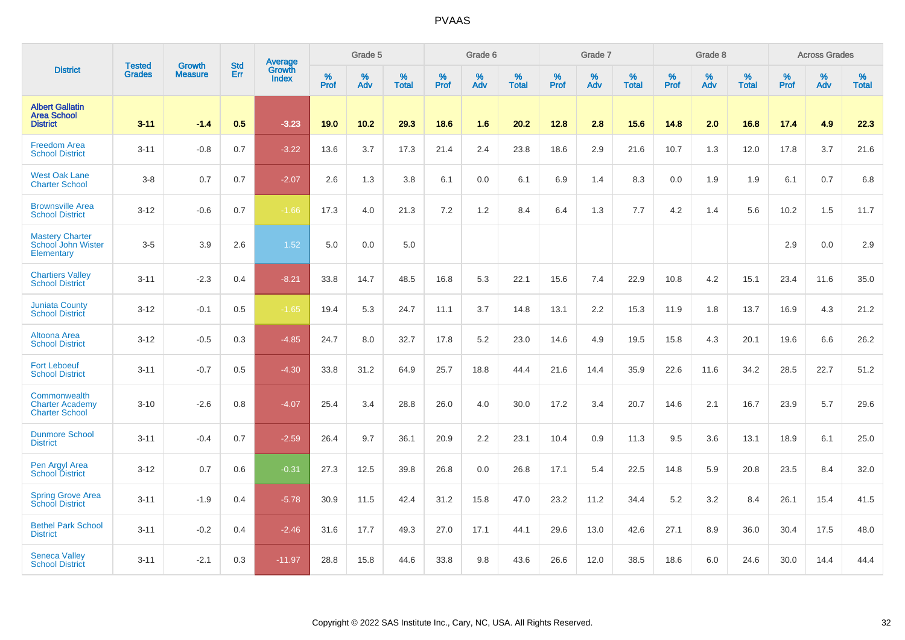|                                                                 | <b>Tested</b> | <b>Growth</b>  | <b>Std</b> | Average                       |              | Grade 5  |                   |           | Grade 6  |                   |           | Grade 7  |                   |           | Grade 8  |                   |           | <b>Across Grades</b> |                   |
|-----------------------------------------------------------------|---------------|----------------|------------|-------------------------------|--------------|----------|-------------------|-----------|----------|-------------------|-----------|----------|-------------------|-----------|----------|-------------------|-----------|----------------------|-------------------|
| <b>District</b>                                                 | <b>Grades</b> | <b>Measure</b> | <b>Err</b> | <b>Growth</b><br><b>Index</b> | $\%$<br>Prof | %<br>Adv | %<br><b>Total</b> | %<br>Prof | %<br>Adv | %<br><b>Total</b> | %<br>Prof | %<br>Adv | %<br><b>Total</b> | %<br>Prof | %<br>Adv | %<br><b>Total</b> | %<br>Prof | %<br>Adv             | %<br><b>Total</b> |
| <b>Albert Gallatin</b><br><b>Area School</b><br><b>District</b> | $3 - 11$      | $-1.4$         | 0.5        | $-3.23$                       | 19.0         | $10.2$   | 29.3              | 18.6      | 1.6      | 20.2              | 12.8      | 2.8      | 15.6              | 14.8      | 2.0      | 16.8              | 17.4      | 4.9                  | 22.3              |
| <b>Freedom Area</b><br><b>School District</b>                   | $3 - 11$      | $-0.8$         | 0.7        | $-3.22$                       | 13.6         | 3.7      | 17.3              | 21.4      | 2.4      | 23.8              | 18.6      | 2.9      | 21.6              | 10.7      | 1.3      | 12.0              | 17.8      | 3.7                  | 21.6              |
| <b>West Oak Lane</b><br><b>Charter School</b>                   | $3-8$         | 0.7            | 0.7        | $-2.07$                       | 2.6          | 1.3      | 3.8               | 6.1       | 0.0      | 6.1               | 6.9       | 1.4      | 8.3               | 0.0       | 1.9      | 1.9               | 6.1       | 0.7                  | 6.8               |
| <b>Brownsville Area</b><br><b>School District</b>               | $3 - 12$      | $-0.6$         | 0.7        | $-1.66$                       | 17.3         | 4.0      | 21.3              | 7.2       | 1.2      | 8.4               | 6.4       | 1.3      | 7.7               | 4.2       | 1.4      | 5.6               | 10.2      | 1.5                  | 11.7              |
| <b>Mastery Charter</b><br>School John Wister<br>Elementary      | $3-5$         | 3.9            | 2.6        | 1.52                          | 5.0          | 0.0      | 5.0               |           |          |                   |           |          |                   |           |          |                   | 2.9       | 0.0                  | 2.9               |
| <b>Chartiers Valley</b><br><b>School District</b>               | $3 - 11$      | $-2.3$         | 0.4        | $-8.21$                       | 33.8         | 14.7     | 48.5              | 16.8      | 5.3      | 22.1              | 15.6      | 7.4      | 22.9              | 10.8      | 4.2      | 15.1              | 23.4      | 11.6                 | 35.0              |
| <b>Juniata County</b><br><b>School District</b>                 | $3 - 12$      | $-0.1$         | 0.5        | $-1.65$                       | 19.4         | 5.3      | 24.7              | 11.1      | 3.7      | 14.8              | 13.1      | 2.2      | 15.3              | 11.9      | 1.8      | 13.7              | 16.9      | 4.3                  | 21.2              |
| Altoona Area<br><b>School District</b>                          | $3 - 12$      | $-0.5$         | 0.3        | $-4.85$                       | 24.7         | 8.0      | 32.7              | 17.8      | 5.2      | 23.0              | 14.6      | 4.9      | 19.5              | 15.8      | 4.3      | 20.1              | 19.6      | 6.6                  | 26.2              |
| <b>Fort Leboeuf</b><br><b>School District</b>                   | $3 - 11$      | $-0.7$         | 0.5        | $-4.30$                       | 33.8         | 31.2     | 64.9              | 25.7      | 18.8     | 44.4              | 21.6      | 14.4     | 35.9              | 22.6      | 11.6     | 34.2              | 28.5      | 22.7                 | 51.2              |
| Commonwealth<br><b>Charter Academy</b><br><b>Charter School</b> | $3 - 10$      | $-2.6$         | 0.8        | $-4.07$                       | 25.4         | 3.4      | 28.8              | 26.0      | 4.0      | 30.0              | 17.2      | 3.4      | 20.7              | 14.6      | 2.1      | 16.7              | 23.9      | 5.7                  | 29.6              |
| <b>Dunmore School</b><br><b>District</b>                        | $3 - 11$      | $-0.4$         | 0.7        | $-2.59$                       | 26.4         | 9.7      | 36.1              | 20.9      | 2.2      | 23.1              | 10.4      | 0.9      | 11.3              | 9.5       | 3.6      | 13.1              | 18.9      | 6.1                  | 25.0              |
| Pen Argyl Area<br><b>School District</b>                        | $3-12$        | 0.7            | 0.6        | $-0.31$                       | 27.3         | 12.5     | 39.8              | 26.8      | 0.0      | 26.8              | 17.1      | 5.4      | 22.5              | 14.8      | 5.9      | 20.8              | 23.5      | 8.4                  | 32.0              |
| <b>Spring Grove Area</b><br><b>School District</b>              | $3 - 11$      | $-1.9$         | 0.4        | $-5.78$                       | 30.9         | 11.5     | 42.4              | 31.2      | 15.8     | 47.0              | 23.2      | 11.2     | 34.4              | 5.2       | 3.2      | 8.4               | 26.1      | 15.4                 | 41.5              |
| <b>Bethel Park School</b><br><b>District</b>                    | $3 - 11$      | $-0.2$         | 0.4        | $-2.46$                       | 31.6         | 17.7     | 49.3              | 27.0      | 17.1     | 44.1              | 29.6      | 13.0     | 42.6              | 27.1      | 8.9      | 36.0              | 30.4      | 17.5                 | 48.0              |
| <b>Seneca Valley</b><br><b>School District</b>                  | $3 - 11$      | $-2.1$         | 0.3        | $-11.97$                      | 28.8         | 15.8     | 44.6              | 33.8      | 9.8      | 43.6              | 26.6      | 12.0     | 38.5              | 18.6      | 6.0      | 24.6              | 30.0      | 14.4                 | 44.4              |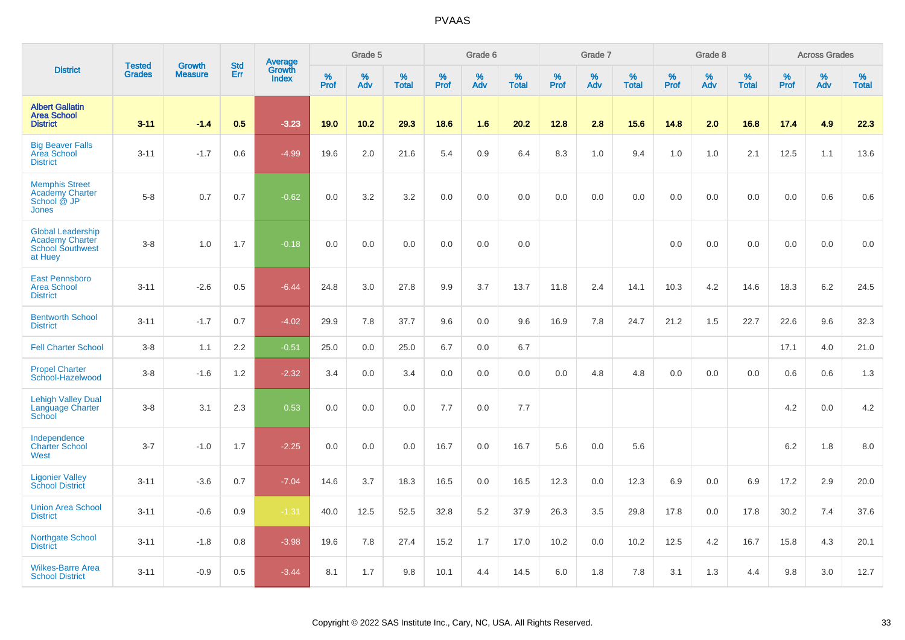|                                                                                   | <b>Tested</b> | <b>Growth</b>  | <b>Std</b> | Average                |                     | Grade 5     |                   |           | Grade 6  |                   |              | Grade 7  |                   |              | Grade 8  |                      |              | <b>Across Grades</b> |                      |
|-----------------------------------------------------------------------------------|---------------|----------------|------------|------------------------|---------------------|-------------|-------------------|-----------|----------|-------------------|--------------|----------|-------------------|--------------|----------|----------------------|--------------|----------------------|----------------------|
| <b>District</b>                                                                   | <b>Grades</b> | <b>Measure</b> | Err        | Growth<br><b>Index</b> | $\%$<br><b>Prof</b> | $\%$<br>Adv | %<br><b>Total</b> | %<br>Prof | %<br>Adv | %<br><b>Total</b> | $\%$<br>Prof | %<br>Adv | %<br><b>Total</b> | $\%$<br>Prof | %<br>Adv | $\%$<br><b>Total</b> | $\%$<br>Prof | $\%$<br>Adv          | $\%$<br><b>Total</b> |
| <b>Albert Gallatin</b><br><b>Area School</b><br><b>District</b>                   | $3 - 11$      | $-1.4$         | 0.5        | $-3.23$                | 19.0                | 10.2        | 29.3              | 18.6      | 1.6      | 20.2              | 12.8         | 2.8      | 15.6              | 14.8         | 2.0      | 16.8                 | 17.4         | 4.9                  | 22.3                 |
| <b>Big Beaver Falls</b><br><b>Area School</b><br><b>District</b>                  | $3 - 11$      | $-1.7$         | 0.6        | $-4.99$                | 19.6                | 2.0         | 21.6              | 5.4       | 0.9      | 6.4               | 8.3          | 1.0      | 9.4               | 1.0          | 1.0      | 2.1                  | 12.5         | 1.1                  | 13.6                 |
| <b>Memphis Street</b><br><b>Academy Charter</b><br>School @ JP<br><b>Jones</b>    | $5 - 8$       | 0.7            | 0.7        | $-0.62$                | 0.0                 | 3.2         | 3.2               | 0.0       | 0.0      | 0.0               | 0.0          | 0.0      | 0.0               | 0.0          | 0.0      | 0.0                  | 0.0          | 0.6                  | 0.6                  |
| <b>Global Leadership</b><br>Academy Charter<br><b>School Southwest</b><br>at Huey | $3 - 8$       | 1.0            | 1.7        | $-0.18$                | 0.0                 | 0.0         | 0.0               | 0.0       | 0.0      | 0.0               |              |          |                   | 0.0          | 0.0      | 0.0                  | 0.0          | 0.0                  | 0.0                  |
| <b>East Pennsboro</b><br><b>Area School</b><br><b>District</b>                    | $3 - 11$      | $-2.6$         | 0.5        | $-6.44$                | 24.8                | 3.0         | 27.8              | 9.9       | 3.7      | 13.7              | 11.8         | 2.4      | 14.1              | 10.3         | 4.2      | 14.6                 | 18.3         | 6.2                  | 24.5                 |
| <b>Bentworth School</b><br><b>District</b>                                        | $3 - 11$      | $-1.7$         | 0.7        | $-4.02$                | 29.9                | 7.8         | 37.7              | 9.6       | 0.0      | 9.6               | 16.9         | 7.8      | 24.7              | 21.2         | 1.5      | 22.7                 | 22.6         | 9.6                  | 32.3                 |
| <b>Fell Charter School</b>                                                        | $3 - 8$       | 1.1            | 2.2        | $-0.51$                | 25.0                | 0.0         | 25.0              | 6.7       | 0.0      | 6.7               |              |          |                   |              |          |                      | 17.1         | 4.0                  | 21.0                 |
| <b>Propel Charter</b><br>School-Hazelwood                                         | $3-8$         | $-1.6$         | 1.2        | $-2.32$                | 3.4                 | 0.0         | 3.4               | 0.0       | 0.0      | 0.0               | 0.0          | 4.8      | 4.8               | 0.0          | 0.0      | 0.0                  | 0.6          | 0.6                  | 1.3                  |
| <b>Lehigh Valley Dual</b><br>Language Charter<br>School                           | $3 - 8$       | 3.1            | 2.3        | 0.53                   | 0.0                 | 0.0         | 0.0               | 7.7       | 0.0      | 7.7               |              |          |                   |              |          |                      | 4.2          | 0.0                  | 4.2                  |
| Independence<br><b>Charter School</b><br>West                                     | $3 - 7$       | $-1.0$         | 1.7        | $-2.25$                | 0.0                 | 0.0         | 0.0               | 16.7      | 0.0      | 16.7              | 5.6          | 0.0      | 5.6               |              |          |                      | 6.2          | 1.8                  | 8.0                  |
| <b>Ligonier Valley</b><br><b>School District</b>                                  | $3 - 11$      | $-3.6$         | 0.7        | $-7.04$                | 14.6                | 3.7         | 18.3              | 16.5      | 0.0      | 16.5              | 12.3         | 0.0      | 12.3              | 6.9          | 0.0      | 6.9                  | 17.2         | 2.9                  | 20.0                 |
| <b>Union Area School</b><br><b>District</b>                                       | $3 - 11$      | $-0.6$         | 0.9        | $-1.31$                | 40.0                | 12.5        | 52.5              | 32.8      | 5.2      | 37.9              | 26.3         | 3.5      | 29.8              | 17.8         | 0.0      | 17.8                 | 30.2         | 7.4                  | 37.6                 |
| <b>Northgate School</b><br><b>District</b>                                        | $3 - 11$      | $-1.8$         | 0.8        | $-3.98$                | 19.6                | 7.8         | 27.4              | 15.2      | 1.7      | 17.0              | 10.2         | 0.0      | 10.2              | 12.5         | 4.2      | 16.7                 | 15.8         | 4.3                  | 20.1                 |
| <b>Wilkes-Barre Area</b><br><b>School District</b>                                | $3 - 11$      | $-0.9$         | 0.5        | $-3.44$                | 8.1                 | 1.7         | 9.8               | 10.1      | 4.4      | 14.5              | 6.0          | 1.8      | 7.8               | 3.1          | 1.3      | 4.4                  | 9.8          | 3.0                  | 12.7                 |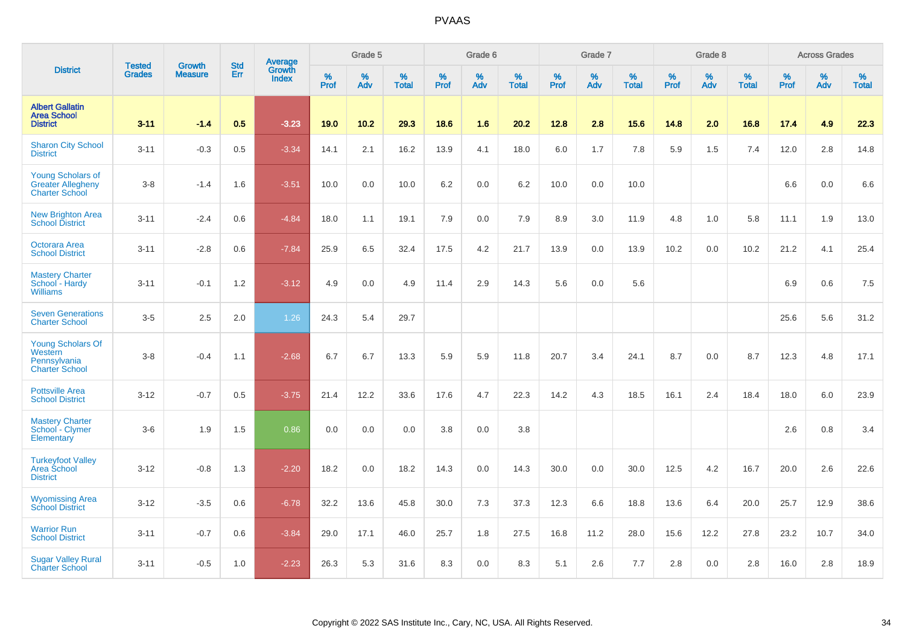|                                                                               | <b>Tested</b> | <b>Growth</b>  | <b>Std</b> | Average                |           | Grade 5  |                   |           | Grade 6  |                   |           | Grade 7  |                   |           | Grade 8  |                   |           | <b>Across Grades</b> |                   |
|-------------------------------------------------------------------------------|---------------|----------------|------------|------------------------|-----------|----------|-------------------|-----------|----------|-------------------|-----------|----------|-------------------|-----------|----------|-------------------|-----------|----------------------|-------------------|
| <b>District</b>                                                               | <b>Grades</b> | <b>Measure</b> | Err        | Growth<br><b>Index</b> | %<br>Prof | %<br>Adv | %<br><b>Total</b> | %<br>Prof | %<br>Adv | %<br><b>Total</b> | %<br>Prof | %<br>Adv | %<br><b>Total</b> | %<br>Prof | %<br>Adv | %<br><b>Total</b> | %<br>Prof | %<br>Adv             | %<br><b>Total</b> |
| <b>Albert Gallatin</b><br><b>Area School</b><br><b>District</b>               | $3 - 11$      | $-1.4$         | 0.5        | $-3.23$                | 19.0      | 10.2     | 29.3              | 18.6      | 1.6      | 20.2              | 12.8      | 2.8      | 15.6              | 14.8      | 2.0      | 16.8              | 17.4      | 4.9                  | 22.3              |
| <b>Sharon City School</b><br><b>District</b>                                  | $3 - 11$      | $-0.3$         | 0.5        | $-3.34$                | 14.1      | 2.1      | 16.2              | 13.9      | 4.1      | 18.0              | 6.0       | 1.7      | 7.8               | 5.9       | 1.5      | 7.4               | 12.0      | 2.8                  | 14.8              |
| <b>Young Scholars of</b><br><b>Greater Allegheny</b><br><b>Charter School</b> | $3-8$         | $-1.4$         | 1.6        | $-3.51$                | 10.0      | 0.0      | 10.0              | 6.2       | 0.0      | 6.2               | 10.0      | 0.0      | 10.0              |           |          |                   | 6.6       | 0.0                  | 6.6               |
| <b>New Brighton Area</b><br><b>School District</b>                            | $3 - 11$      | $-2.4$         | 0.6        | $-4.84$                | 18.0      | 1.1      | 19.1              | 7.9       | 0.0      | 7.9               | 8.9       | 3.0      | 11.9              | 4.8       | 1.0      | 5.8               | 11.1      | 1.9                  | 13.0              |
| <b>Octorara Area</b><br><b>School District</b>                                | $3 - 11$      | $-2.8$         | 0.6        | $-7.84$                | 25.9      | 6.5      | 32.4              | 17.5      | 4.2      | 21.7              | 13.9      | 0.0      | 13.9              | 10.2      | 0.0      | 10.2              | 21.2      | 4.1                  | 25.4              |
| <b>Mastery Charter</b><br>School - Hardy<br><b>Williams</b>                   | $3 - 11$      | $-0.1$         | 1.2        | $-3.12$                | 4.9       | 0.0      | 4.9               | 11.4      | 2.9      | 14.3              | 5.6       | 0.0      | 5.6               |           |          |                   | 6.9       | 0.6                  | 7.5               |
| <b>Seven Generations</b><br><b>Charter School</b>                             | $3-5$         | 2.5            | 2.0        | 1.26                   | 24.3      | 5.4      | 29.7              |           |          |                   |           |          |                   |           |          |                   | 25.6      | 5.6                  | 31.2              |
| <b>Young Scholars Of</b><br>Western<br>Pennsylvania<br><b>Charter School</b>  | $3-8$         | $-0.4$         | 1.1        | $-2.68$                | 6.7       | 6.7      | 13.3              | 5.9       | 5.9      | 11.8              | 20.7      | 3.4      | 24.1              | 8.7       | 0.0      | 8.7               | 12.3      | 4.8                  | 17.1              |
| <b>Pottsville Area</b><br><b>School District</b>                              | $3 - 12$      | $-0.7$         | 0.5        | $-3.75$                | 21.4      | 12.2     | 33.6              | 17.6      | 4.7      | 22.3              | 14.2      | 4.3      | 18.5              | 16.1      | 2.4      | 18.4              | 18.0      | 6.0                  | 23.9              |
| <b>Mastery Charter</b><br>School - Clymer<br>Elementary                       | $3-6$         | 1.9            | 1.5        | 0.86                   | 0.0       | 0.0      | 0.0               | 3.8       | 0.0      | 3.8               |           |          |                   |           |          |                   | 2.6       | 0.8                  | 3.4               |
| <b>Turkeyfoot Valley</b><br>Area School<br><b>District</b>                    | $3 - 12$      | $-0.8$         | 1.3        | $-2.20$                | 18.2      | 0.0      | 18.2              | 14.3      | 0.0      | 14.3              | 30.0      | 0.0      | 30.0              | 12.5      | 4.2      | 16.7              | 20.0      | 2.6                  | 22.6              |
| <b>Wyomissing Area</b><br><b>School District</b>                              | $3 - 12$      | $-3.5$         | 0.6        | $-6.78$                | 32.2      | 13.6     | 45.8              | 30.0      | 7.3      | 37.3              | 12.3      | 6.6      | 18.8              | 13.6      | 6.4      | 20.0              | 25.7      | 12.9                 | 38.6              |
| <b>Warrior Run</b><br><b>School District</b>                                  | $3 - 11$      | $-0.7$         | 0.6        | $-3.84$                | 29.0      | 17.1     | 46.0              | 25.7      | 1.8      | 27.5              | 16.8      | 11.2     | 28.0              | 15.6      | 12.2     | 27.8              | 23.2      | 10.7                 | 34.0              |
| <b>Sugar Valley Rural</b><br><b>Charter School</b>                            | $3 - 11$      | $-0.5$         | 1.0        | $-2.23$                | 26.3      | 5.3      | 31.6              | 8.3       | 0.0      | 8.3               | 5.1       | 2.6      | 7.7               | 2.8       | 0.0      | 2.8               | 16.0      | 2.8                  | 18.9              |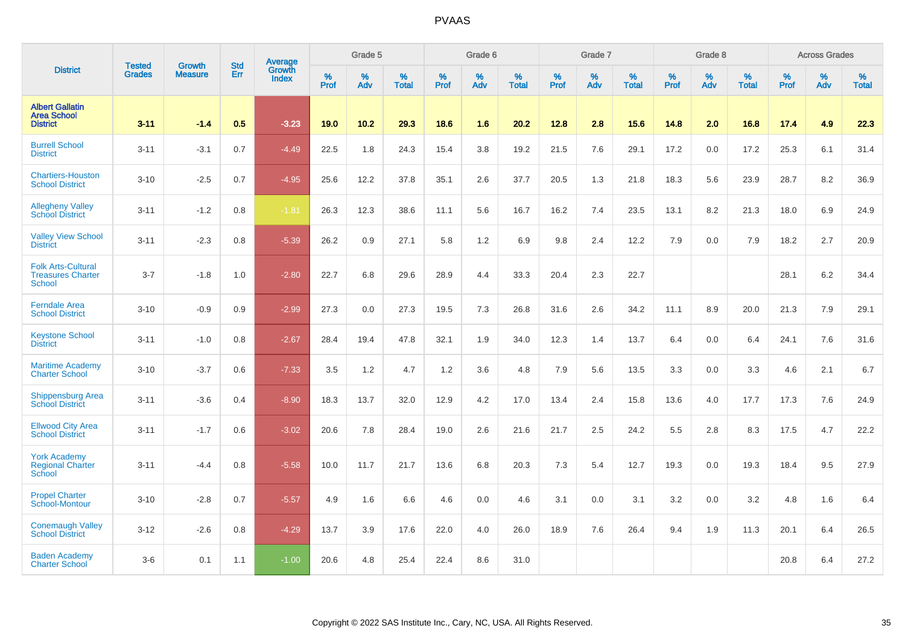|                                                                        | <b>Tested</b> | <b>Growth</b>  | <b>Std</b> | Average                       |           | Grade 5  |                   |           | Grade 6  |                   |           | Grade 7  |                   |           | Grade 8  |                   |           | <b>Across Grades</b> |                   |
|------------------------------------------------------------------------|---------------|----------------|------------|-------------------------------|-----------|----------|-------------------|-----------|----------|-------------------|-----------|----------|-------------------|-----------|----------|-------------------|-----------|----------------------|-------------------|
| <b>District</b>                                                        | <b>Grades</b> | <b>Measure</b> | Err        | <b>Growth</b><br><b>Index</b> | %<br>Prof | %<br>Adv | %<br><b>Total</b> | %<br>Prof | %<br>Adv | %<br><b>Total</b> | %<br>Prof | %<br>Adv | %<br><b>Total</b> | %<br>Prof | %<br>Adv | %<br><b>Total</b> | %<br>Prof | %<br>Adv             | %<br><b>Total</b> |
| <b>Albert Gallatin</b><br><b>Area School</b><br><b>District</b>        | $3 - 11$      | $-1.4$         | 0.5        | $-3.23$                       | 19.0      | 10.2     | 29.3              | 18.6      | 1.6      | 20.2              | 12.8      | 2.8      | 15.6              | 14.8      | 2.0      | 16.8              | 17.4      | 4.9                  | 22.3              |
| <b>Burrell School</b><br><b>District</b>                               | $3 - 11$      | $-3.1$         | 0.7        | $-4.49$                       | 22.5      | 1.8      | 24.3              | 15.4      | 3.8      | 19.2              | 21.5      | 7.6      | 29.1              | 17.2      | 0.0      | 17.2              | 25.3      | 6.1                  | 31.4              |
| <b>Chartiers-Houston</b><br><b>School District</b>                     | $3 - 10$      | $-2.5$         | 0.7        | $-4.95$                       | 25.6      | 12.2     | 37.8              | 35.1      | 2.6      | 37.7              | 20.5      | 1.3      | 21.8              | 18.3      | 5.6      | 23.9              | 28.7      | 8.2                  | 36.9              |
| <b>Allegheny Valley</b><br><b>School District</b>                      | $3 - 11$      | $-1.2$         | 0.8        | $-1.81$                       | 26.3      | 12.3     | 38.6              | 11.1      | 5.6      | 16.7              | 16.2      | 7.4      | 23.5              | 13.1      | 8.2      | 21.3              | 18.0      | 6.9                  | 24.9              |
| <b>Valley View School</b><br><b>District</b>                           | $3 - 11$      | $-2.3$         | 0.8        | $-5.39$                       | 26.2      | 0.9      | 27.1              | 5.8       | 1.2      | 6.9               | 9.8       | 2.4      | 12.2              | 7.9       | 0.0      | 7.9               | 18.2      | 2.7                  | 20.9              |
| <b>Folk Arts-Cultural</b><br><b>Treasures Charter</b><br><b>School</b> | $3 - 7$       | $-1.8$         | 1.0        | $-2.80$                       | 22.7      | 6.8      | 29.6              | 28.9      | 4.4      | 33.3              | 20.4      | 2.3      | 22.7              |           |          |                   | 28.1      | $6.2\,$              | 34.4              |
| <b>Ferndale Area</b><br><b>School District</b>                         | $3 - 10$      | $-0.9$         | 0.9        | $-2.99$                       | 27.3      | 0.0      | 27.3              | 19.5      | 7.3      | 26.8              | 31.6      | 2.6      | 34.2              | 11.1      | 8.9      | 20.0              | 21.3      | 7.9                  | 29.1              |
| <b>Keystone School</b><br><b>District</b>                              | $3 - 11$      | $-1.0$         | 0.8        | $-2.67$                       | 28.4      | 19.4     | 47.8              | 32.1      | 1.9      | 34.0              | 12.3      | 1.4      | 13.7              | 6.4       | 0.0      | 6.4               | 24.1      | 7.6                  | 31.6              |
| <b>Maritime Academy</b><br><b>Charter School</b>                       | $3 - 10$      | $-3.7$         | 0.6        | $-7.33$                       | 3.5       | 1.2      | 4.7               | 1.2       | 3.6      | 4.8               | 7.9       | 5.6      | 13.5              | 3.3       | 0.0      | 3.3               | 4.6       | 2.1                  | 6.7               |
| <b>Shippensburg Area</b><br><b>School District</b>                     | $3 - 11$      | $-3.6$         | 0.4        | $-8.90$                       | 18.3      | 13.7     | 32.0              | 12.9      | 4.2      | 17.0              | 13.4      | 2.4      | 15.8              | 13.6      | 4.0      | 17.7              | 17.3      | 7.6                  | 24.9              |
| <b>Ellwood City Area</b><br><b>School District</b>                     | $3 - 11$      | $-1.7$         | 0.6        | $-3.02$                       | 20.6      | 7.8      | 28.4              | 19.0      | 2.6      | 21.6              | 21.7      | 2.5      | 24.2              | 5.5       | 2.8      | 8.3               | 17.5      | 4.7                  | 22.2              |
| <b>York Academy</b><br><b>Regional Charter</b><br>School               | $3 - 11$      | $-4.4$         | 0.8        | $-5.58$                       | 10.0      | 11.7     | 21.7              | 13.6      | 6.8      | 20.3              | 7.3       | 5.4      | 12.7              | 19.3      | 0.0      | 19.3              | 18.4      | 9.5                  | 27.9              |
| <b>Propel Charter</b><br>School-Montour                                | $3 - 10$      | $-2.8$         | 0.7        | $-5.57$                       | 4.9       | 1.6      | 6.6               | 4.6       | 0.0      | 4.6               | 3.1       | 0.0      | 3.1               | 3.2       | 0.0      | 3.2               | 4.8       | 1.6                  | 6.4               |
| <b>Conemaugh Valley</b><br><b>School District</b>                      | $3 - 12$      | $-2.6$         | 0.8        | $-4.29$                       | 13.7      | 3.9      | 17.6              | 22.0      | 4.0      | 26.0              | 18.9      | 7.6      | 26.4              | 9.4       | 1.9      | 11.3              | 20.1      | 6.4                  | 26.5              |
| <b>Baden Academy</b><br><b>Charter School</b>                          | $3-6$         | 0.1            | 1.1        | $-1.00$                       | 20.6      | 4.8      | 25.4              | 22.4      | 8.6      | 31.0              |           |          |                   |           |          |                   | 20.8      | 6.4                  | 27.2              |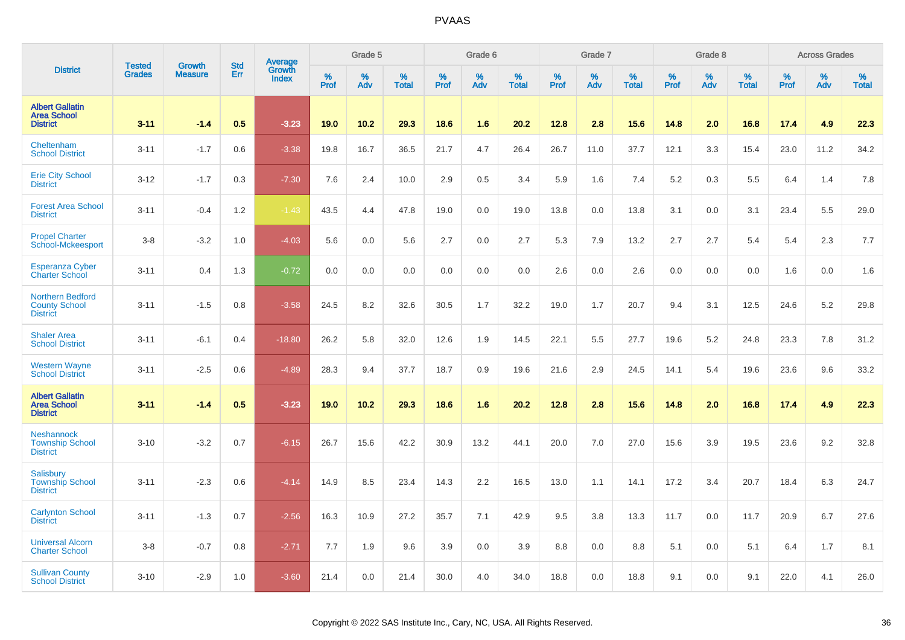|                                                                    | <b>Tested</b> | <b>Growth</b>  | <b>Std</b> | <b>Average</b><br>Growth |              | Grade 5  |                   |           | Grade 6  |                   |           | Grade 7  |                   |                  | Grade 8  |                   |           | <b>Across Grades</b> |                   |
|--------------------------------------------------------------------|---------------|----------------|------------|--------------------------|--------------|----------|-------------------|-----------|----------|-------------------|-----------|----------|-------------------|------------------|----------|-------------------|-----------|----------------------|-------------------|
| <b>District</b>                                                    | <b>Grades</b> | <b>Measure</b> | Err        | <b>Index</b>             | $\%$<br>Prof | %<br>Adv | %<br><b>Total</b> | %<br>Prof | %<br>Adv | %<br><b>Total</b> | %<br>Prof | %<br>Adv | %<br><b>Total</b> | %<br><b>Prof</b> | %<br>Adv | %<br><b>Total</b> | %<br>Prof | %<br>Adv             | %<br><b>Total</b> |
| <b>Albert Gallatin</b><br><b>Area School</b><br><b>District</b>    | $3 - 11$      | $-1.4$         | 0.5        | $-3.23$                  | 19.0         | 10.2     | 29.3              | 18.6      | 1.6      | 20.2              | 12.8      | 2.8      | 15.6              | 14.8             | 2.0      | 16.8              | 17.4      | 4.9                  | 22.3              |
| Cheltenham<br><b>School District</b>                               | $3 - 11$      | $-1.7$         | 0.6        | $-3.38$                  | 19.8         | 16.7     | 36.5              | 21.7      | 4.7      | 26.4              | 26.7      | 11.0     | 37.7              | 12.1             | 3.3      | 15.4              | 23.0      | 11.2                 | 34.2              |
| <b>Erie City School</b><br><b>District</b>                         | $3 - 12$      | $-1.7$         | 0.3        | $-7.30$                  | 7.6          | 2.4      | 10.0              | 2.9       | 0.5      | 3.4               | 5.9       | 1.6      | 7.4               | 5.2              | 0.3      | 5.5               | 6.4       | 1.4                  | 7.8               |
| <b>Forest Area School</b><br><b>District</b>                       | $3 - 11$      | $-0.4$         | 1.2        | $-1.43$                  | 43.5         | 4.4      | 47.8              | 19.0      | 0.0      | 19.0              | 13.8      | 0.0      | 13.8              | 3.1              | 0.0      | 3.1               | 23.4      | 5.5                  | 29.0              |
| <b>Propel Charter</b><br>School-Mckeesport                         | $3-8$         | $-3.2$         | 1.0        | $-4.03$                  | 5.6          | 0.0      | 5.6               | 2.7       | 0.0      | 2.7               | 5.3       | 7.9      | 13.2              | 2.7              | 2.7      | 5.4               | 5.4       | 2.3                  | 7.7               |
| <b>Esperanza Cyber</b><br><b>Charter School</b>                    | $3 - 11$      | 0.4            | 1.3        | $-0.72$                  | 0.0          | 0.0      | 0.0               | 0.0       | 0.0      | 0.0               | 2.6       | 0.0      | 2.6               | 0.0              | 0.0      | 0.0               | 1.6       | 0.0                  | 1.6               |
| <b>Northern Bedford</b><br><b>County School</b><br><b>District</b> | $3 - 11$      | $-1.5$         | 0.8        | $-3.58$                  | 24.5         | 8.2      | 32.6              | 30.5      | 1.7      | 32.2              | 19.0      | 1.7      | 20.7              | 9.4              | 3.1      | 12.5              | 24.6      | 5.2                  | 29.8              |
| <b>Shaler Area</b><br><b>School District</b>                       | $3 - 11$      | $-6.1$         | 0.4        | $-18.80$                 | 26.2         | 5.8      | 32.0              | 12.6      | 1.9      | 14.5              | 22.1      | 5.5      | 27.7              | 19.6             | 5.2      | 24.8              | 23.3      | 7.8                  | 31.2              |
| <b>Western Wayne</b><br><b>School District</b>                     | $3 - 11$      | $-2.5$         | 0.6        | $-4.89$                  | 28.3         | 9.4      | 37.7              | 18.7      | 0.9      | 19.6              | 21.6      | 2.9      | 24.5              | 14.1             | 5.4      | 19.6              | 23.6      | 9.6                  | 33.2              |
| <b>Albert Gallatin</b><br><b>Area School</b><br><b>District</b>    | 3.11          | $-1.4$         | 0.5        | $-3.23$                  | 19.0         | 10.2     | 29.3              | 18.6      | 1.6      | 20.2              | 12.8      | 2.8      | 15.6              | 14.8             | 2.0      | 16.8              | 17.4      | 4.9                  | 22.3              |
| <b>Neshannock</b><br><b>Township School</b><br><b>District</b>     | $3 - 10$      | $-3.2$         | 0.7        | $-6.15$                  | 26.7         | 15.6     | 42.2              | 30.9      | 13.2     | 44.1              | 20.0      | 7.0      | 27.0              | 15.6             | 3.9      | 19.5              | 23.6      | 9.2                  | 32.8              |
| Salisbury<br><b>Township School</b><br><b>District</b>             | $3 - 11$      | $-2.3$         | 0.6        | $-4.14$                  | 14.9         | 8.5      | 23.4              | 14.3      | 2.2      | 16.5              | 13.0      | 1.1      | 14.1              | 17.2             | 3.4      | 20.7              | 18.4      | 6.3                  | 24.7              |
| <b>Carlynton School</b><br><b>District</b>                         | $3 - 11$      | $-1.3$         | 0.7        | $-2.56$                  | 16.3         | 10.9     | 27.2              | 35.7      | 7.1      | 42.9              | 9.5       | 3.8      | 13.3              | 11.7             | 0.0      | 11.7              | 20.9      | 6.7                  | 27.6              |
| <b>Universal Alcorn</b><br><b>Charter School</b>                   | $3 - 8$       | $-0.7$         | 0.8        | $-2.71$                  | 7.7          | 1.9      | 9.6               | 3.9       | 0.0      | 3.9               | 8.8       | 0.0      | 8.8               | 5.1              | 0.0      | 5.1               | 6.4       | 1.7                  | 8.1               |
| <b>Sullivan County</b><br><b>School District</b>                   | $3 - 10$      | $-2.9$         | 1.0        | $-3.60$                  | 21.4         | 0.0      | 21.4              | 30.0      | 4.0      | 34.0              | 18.8      | 0.0      | 18.8              | 9.1              | 0.0      | 9.1               | 22.0      | 4.1                  | 26.0              |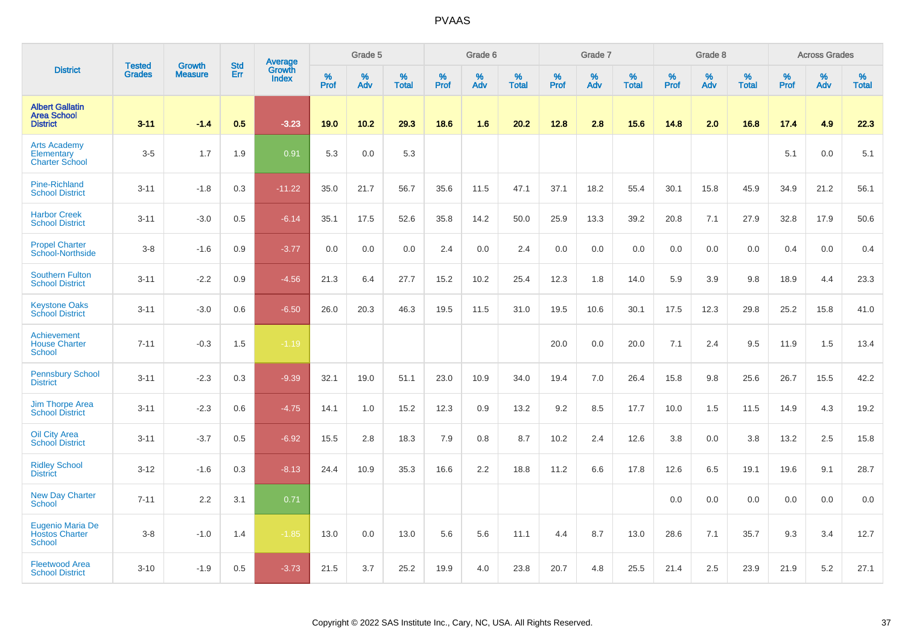|                                                                   |                                | <b>Growth</b>  | <b>Std</b> | Average                |              | Grade 5  |                   |           | Grade 6  |                   |           | Grade 7         |                   |           | Grade 8  |                   |           | <b>Across Grades</b> |                   |
|-------------------------------------------------------------------|--------------------------------|----------------|------------|------------------------|--------------|----------|-------------------|-----------|----------|-------------------|-----------|-----------------|-------------------|-----------|----------|-------------------|-----------|----------------------|-------------------|
| <b>District</b>                                                   | <b>Tested</b><br><b>Grades</b> | <b>Measure</b> | Err        | Growth<br><b>Index</b> | $\%$<br>Prof | %<br>Adv | %<br><b>Total</b> | %<br>Prof | %<br>Adv | %<br><b>Total</b> | %<br>Prof | %<br><b>Adv</b> | %<br><b>Total</b> | %<br>Prof | %<br>Adv | %<br><b>Total</b> | %<br>Prof | %<br>Adv             | %<br><b>Total</b> |
| <b>Albert Gallatin</b><br><b>Area School</b><br><b>District</b>   | $3 - 11$                       | $-1.4$         | 0.5        | $-3.23$                | 19.0         | 10.2     | 29.3              | 18.6      | 1.6      | 20.2              | 12.8      | 2.8             | 15.6              | 14.8      | 2.0      | 16.8              | 17.4      | 4.9                  | 22.3              |
| <b>Arts Academy</b><br>Elementary<br><b>Charter School</b>        | $3-5$                          | 1.7            | 1.9        | 0.91                   | 5.3          | 0.0      | 5.3               |           |          |                   |           |                 |                   |           |          |                   | 5.1       | 0.0                  | 5.1               |
| <b>Pine-Richland</b><br><b>School District</b>                    | $3 - 11$                       | $-1.8$         | 0.3        | $-11.22$               | 35.0         | 21.7     | 56.7              | 35.6      | 11.5     | 47.1              | 37.1      | 18.2            | 55.4              | 30.1      | 15.8     | 45.9              | 34.9      | 21.2                 | 56.1              |
| <b>Harbor Creek</b><br><b>School District</b>                     | $3 - 11$                       | $-3.0$         | 0.5        | $-6.14$                | 35.1         | 17.5     | 52.6              | 35.8      | 14.2     | 50.0              | 25.9      | 13.3            | 39.2              | 20.8      | 7.1      | 27.9              | 32.8      | 17.9                 | 50.6              |
| <b>Propel Charter</b><br>School-Northside                         | $3-8$                          | $-1.6$         | 0.9        | $-3.77$                | 0.0          | 0.0      | 0.0               | 2.4       | 0.0      | 2.4               | 0.0       | 0.0             | 0.0               | 0.0       | 0.0      | 0.0               | 0.4       | 0.0                  | 0.4               |
| <b>Southern Fulton</b><br><b>School District</b>                  | $3 - 11$                       | $-2.2$         | 0.9        | $-4.56$                | 21.3         | 6.4      | 27.7              | 15.2      | 10.2     | 25.4              | 12.3      | 1.8             | 14.0              | 5.9       | 3.9      | 9.8               | 18.9      | 4.4                  | 23.3              |
| <b>Keystone Oaks</b><br><b>School District</b>                    | $3 - 11$                       | $-3.0$         | 0.6        | $-6.50$                | 26.0         | 20.3     | 46.3              | 19.5      | 11.5     | 31.0              | 19.5      | 10.6            | 30.1              | 17.5      | 12.3     | 29.8              | 25.2      | 15.8                 | 41.0              |
| Achievement<br><b>House Charter</b><br>School                     | $7 - 11$                       | $-0.3$         | 1.5        | $-1.19$                |              |          |                   |           |          |                   | 20.0      | 0.0             | 20.0              | 7.1       | 2.4      | 9.5               | 11.9      | 1.5                  | 13.4              |
| <b>Pennsbury School</b><br><b>District</b>                        | $3 - 11$                       | $-2.3$         | 0.3        | $-9.39$                | 32.1         | 19.0     | 51.1              | 23.0      | 10.9     | 34.0              | 19.4      | 7.0             | 26.4              | 15.8      | 9.8      | 25.6              | 26.7      | 15.5                 | 42.2              |
| <b>Jim Thorpe Area</b><br><b>School District</b>                  | $3 - 11$                       | $-2.3$         | 0.6        | $-4.75$                | 14.1         | 1.0      | 15.2              | 12.3      | 0.9      | 13.2              | 9.2       | 8.5             | 17.7              | 10.0      | 1.5      | 11.5              | 14.9      | 4.3                  | 19.2              |
| Oil City Area<br><b>School District</b>                           | $3 - 11$                       | $-3.7$         | 0.5        | $-6.92$                | 15.5         | 2.8      | 18.3              | 7.9       | 0.8      | 8.7               | 10.2      | 2.4             | 12.6              | 3.8       | 0.0      | 3.8               | 13.2      | 2.5                  | 15.8              |
| <b>Ridley School</b><br><b>District</b>                           | $3 - 12$                       | $-1.6$         | 0.3        | $-8.13$                | 24.4         | 10.9     | 35.3              | 16.6      | 2.2      | 18.8              | 11.2      | 6.6             | 17.8              | 12.6      | 6.5      | 19.1              | 19.6      | 9.1                  | 28.7              |
| <b>New Day Charter</b><br><b>School</b>                           | $7 - 11$                       | 2.2            | 3.1        | 0.71                   |              |          |                   |           |          |                   |           |                 |                   | 0.0       | 0.0      | 0.0               | 0.0       | 0.0                  | 0.0               |
| <b>Eugenio Maria De</b><br><b>Hostos Charter</b><br><b>School</b> | $3 - 8$                        | $-1.0$         | 1.4        | $-1.85$                | 13.0         | 0.0      | 13.0              | 5.6       | 5.6      | 11.1              | 4.4       | 8.7             | 13.0              | 28.6      | 7.1      | 35.7              | 9.3       | 3.4                  | 12.7              |
| <b>Fleetwood Area</b><br><b>School District</b>                   | $3 - 10$                       | $-1.9$         | 0.5        | $-3.73$                | 21.5         | 3.7      | 25.2              | 19.9      | 4.0      | 23.8              | 20.7      | 4.8             | 25.5              | 21.4      | 2.5      | 23.9              | 21.9      | 5.2                  | 27.1              |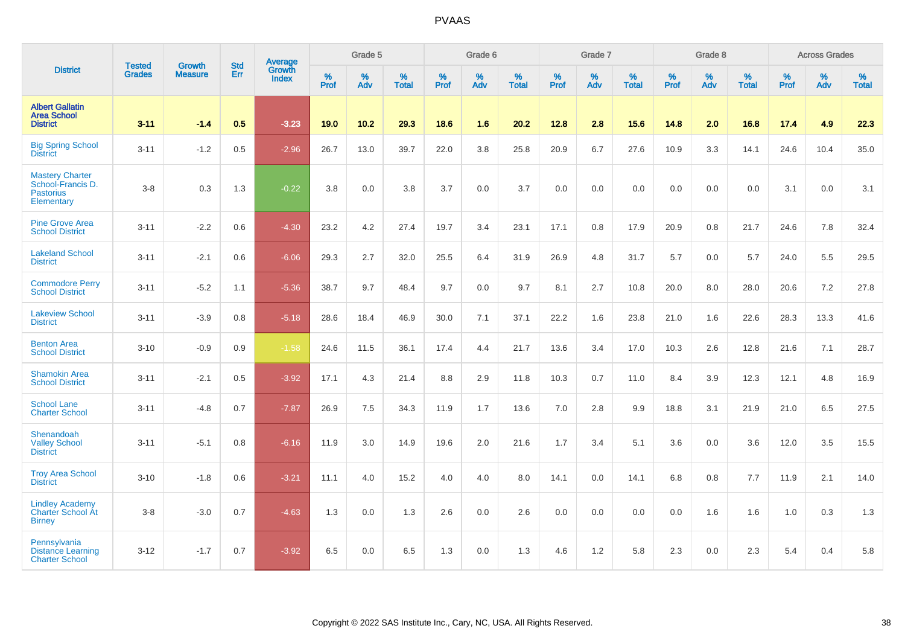|                                                                               |                                |                                 | <b>Std</b> | Average                       |           | Grade 5  |                   |           | Grade 6  |                   |           | Grade 7  |                   |           | Grade 8  |                   |           | <b>Across Grades</b> |                   |
|-------------------------------------------------------------------------------|--------------------------------|---------------------------------|------------|-------------------------------|-----------|----------|-------------------|-----------|----------|-------------------|-----------|----------|-------------------|-----------|----------|-------------------|-----------|----------------------|-------------------|
| <b>District</b>                                                               | <b>Tested</b><br><b>Grades</b> | <b>Growth</b><br><b>Measure</b> | Err        | <b>Growth</b><br><b>Index</b> | %<br>Prof | %<br>Adv | %<br><b>Total</b> | %<br>Prof | %<br>Adv | %<br><b>Total</b> | %<br>Prof | %<br>Adv | %<br><b>Total</b> | %<br>Prof | %<br>Adv | %<br><b>Total</b> | %<br>Prof | %<br>Adv             | %<br><b>Total</b> |
| <b>Albert Gallatin</b><br><b>Area School</b><br><b>District</b>               | $3 - 11$                       | $-1.4$                          | 0.5        | $-3.23$                       | 19.0      | 10.2     | 29.3              | 18.6      | 1.6      | 20.2              | 12.8      | 2.8      | 15.6              | 14.8      | 2.0      | 16.8              | 17.4      | 4.9                  | 22.3              |
| <b>Big Spring School</b><br><b>District</b>                                   | $3 - 11$                       | $-1.2$                          | 0.5        | $-2.96$                       | 26.7      | 13.0     | 39.7              | 22.0      | 3.8      | 25.8              | 20.9      | 6.7      | 27.6              | 10.9      | 3.3      | 14.1              | 24.6      | 10.4                 | 35.0              |
| <b>Mastery Charter</b><br>School-Francis D.<br><b>Pastorius</b><br>Elementary | $3 - 8$                        | 0.3                             | 1.3        | $-0.22$                       | 3.8       | 0.0      | 3.8               | 3.7       | 0.0      | 3.7               | 0.0       | 0.0      | 0.0               | 0.0       | 0.0      | 0.0               | 3.1       | 0.0                  | 3.1               |
| <b>Pine Grove Area</b><br><b>School District</b>                              | $3 - 11$                       | $-2.2$                          | 0.6        | $-4.30$                       | 23.2      | 4.2      | 27.4              | 19.7      | 3.4      | 23.1              | 17.1      | 0.8      | 17.9              | 20.9      | 0.8      | 21.7              | 24.6      | 7.8                  | 32.4              |
| <b>Lakeland School</b><br><b>District</b>                                     | $3 - 11$                       | $-2.1$                          | 0.6        | $-6.06$                       | 29.3      | 2.7      | 32.0              | 25.5      | 6.4      | 31.9              | 26.9      | 4.8      | 31.7              | 5.7       | 0.0      | 5.7               | 24.0      | 5.5                  | 29.5              |
| <b>Commodore Perry</b><br><b>School District</b>                              | $3 - 11$                       | $-5.2$                          | 1.1        | $-5.36$                       | 38.7      | 9.7      | 48.4              | 9.7       | 0.0      | 9.7               | 8.1       | 2.7      | 10.8              | 20.0      | 8.0      | 28.0              | 20.6      | 7.2                  | 27.8              |
| <b>Lakeview School</b><br><b>District</b>                                     | $3 - 11$                       | $-3.9$                          | 0.8        | $-5.18$                       | 28.6      | 18.4     | 46.9              | 30.0      | 7.1      | 37.1              | 22.2      | 1.6      | 23.8              | 21.0      | 1.6      | 22.6              | 28.3      | 13.3                 | 41.6              |
| <b>Benton Area</b><br><b>School District</b>                                  | $3 - 10$                       | $-0.9$                          | 0.9        | $-1.58$                       | 24.6      | 11.5     | 36.1              | 17.4      | 4.4      | 21.7              | 13.6      | 3.4      | 17.0              | 10.3      | 2.6      | 12.8              | 21.6      | 7.1                  | 28.7              |
| <b>Shamokin Area</b><br><b>School District</b>                                | $3 - 11$                       | $-2.1$                          | 0.5        | $-3.92$                       | 17.1      | 4.3      | 21.4              | 8.8       | 2.9      | 11.8              | 10.3      | 0.7      | 11.0              | 8.4       | 3.9      | 12.3              | 12.1      | 4.8                  | 16.9              |
| <b>School Lane</b><br><b>Charter School</b>                                   | $3 - 11$                       | $-4.8$                          | 0.7        | $-7.87$                       | 26.9      | 7.5      | 34.3              | 11.9      | 1.7      | 13.6              | 7.0       | 2.8      | 9.9               | 18.8      | 3.1      | 21.9              | 21.0      | 6.5                  | 27.5              |
| Shenandoah<br><b>Valley School</b><br><b>District</b>                         | $3 - 11$                       | $-5.1$                          | 0.8        | $-6.16$                       | 11.9      | 3.0      | 14.9              | 19.6      | 2.0      | 21.6              | 1.7       | 3.4      | 5.1               | 3.6       | 0.0      | 3.6               | 12.0      | 3.5                  | 15.5              |
| <b>Troy Area School</b><br><b>District</b>                                    | $3 - 10$                       | $-1.8$                          | 0.6        | $-3.21$                       | 11.1      | 4.0      | 15.2              | 4.0       | 4.0      | 8.0               | 14.1      | 0.0      | 14.1              | 6.8       | 0.8      | 7.7               | 11.9      | 2.1                  | 14.0              |
| <b>Lindley Academy</b><br><b>Charter School At</b><br><b>Birney</b>           | $3 - 8$                        | $-3.0$                          | 0.7        | $-4.63$                       | 1.3       | 0.0      | 1.3               | 2.6       | 0.0      | 2.6               | 0.0       | 0.0      | 0.0               | 0.0       | 1.6      | 1.6               | 1.0       | 0.3                  | 1.3               |
| Pennsylvania<br><b>Distance Learning</b><br><b>Charter School</b>             | $3 - 12$                       | $-1.7$                          | 0.7        | $-3.92$                       | 6.5       | 0.0      | 6.5               | 1.3       | 0.0      | 1.3               | 4.6       | 1.2      | 5.8               | 2.3       | 0.0      | 2.3               | 5.4       | 0.4                  | 5.8               |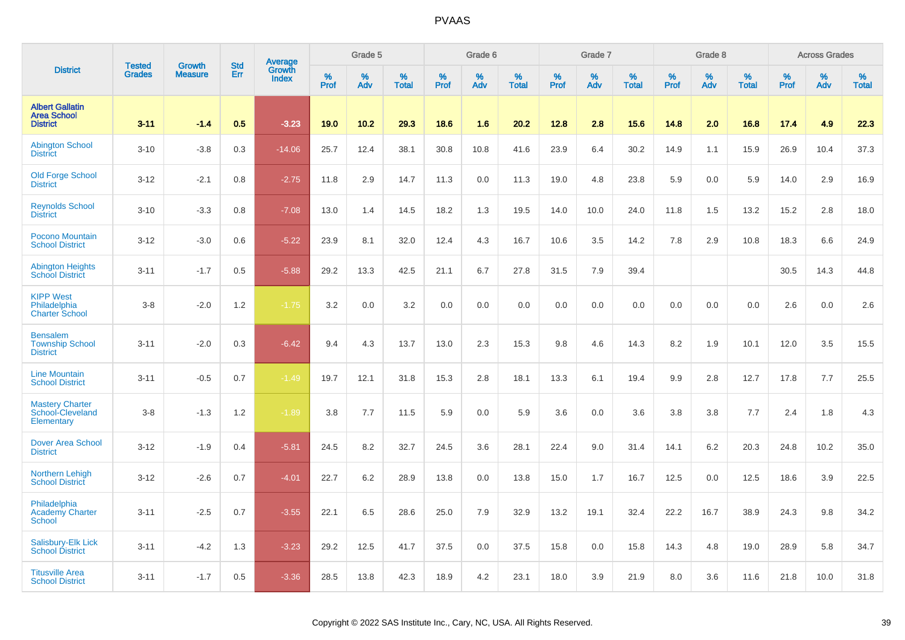|                                                                 | <b>Tested</b> | <b>Growth</b>  | <b>Std</b> |                                          |              | Grade 5  |                   |           | Grade 6  |                   |           | Grade 7  |                   |           | Grade 8  |                   |              | <b>Across Grades</b> |                   |
|-----------------------------------------------------------------|---------------|----------------|------------|------------------------------------------|--------------|----------|-------------------|-----------|----------|-------------------|-----------|----------|-------------------|-----------|----------|-------------------|--------------|----------------------|-------------------|
| <b>District</b>                                                 | <b>Grades</b> | <b>Measure</b> | Err        | <b>Average</b><br>Growth<br><b>Index</b> | $\%$<br>Prof | %<br>Adv | %<br><b>Total</b> | %<br>Prof | %<br>Adv | %<br><b>Total</b> | %<br>Prof | %<br>Adv | %<br><b>Total</b> | %<br>Prof | %<br>Adv | %<br><b>Total</b> | $\%$<br>Prof | %<br>Adv             | %<br><b>Total</b> |
| <b>Albert Gallatin</b><br><b>Area School</b><br><b>District</b> | $3 - 11$      | $-1.4$         | 0.5        | $-3.23$                                  | 19.0         | 10.2     | 29.3              | 18.6      | 1.6      | 20.2              | 12.8      | 2.8      | 15.6              | 14.8      | 2.0      | 16.8              | 17.4         | 4.9                  | 22.3              |
| <b>Abington School</b><br><b>District</b>                       | $3 - 10$      | $-3.8$         | 0.3        | $-14.06$                                 | 25.7         | 12.4     | 38.1              | 30.8      | 10.8     | 41.6              | 23.9      | 6.4      | 30.2              | 14.9      | 1.1      | 15.9              | 26.9         | 10.4                 | 37.3              |
| <b>Old Forge School</b><br><b>District</b>                      | $3 - 12$      | $-2.1$         | 0.8        | $-2.75$                                  | 11.8         | 2.9      | 14.7              | 11.3      | 0.0      | 11.3              | 19.0      | 4.8      | 23.8              | 5.9       | 0.0      | 5.9               | 14.0         | 2.9                  | 16.9              |
| <b>Reynolds School</b><br><b>District</b>                       | $3 - 10$      | $-3.3$         | 0.8        | $-7.08$                                  | 13.0         | 1.4      | 14.5              | 18.2      | 1.3      | 19.5              | 14.0      | 10.0     | 24.0              | 11.8      | 1.5      | 13.2              | 15.2         | 2.8                  | 18.0              |
| Pocono Mountain<br><b>School District</b>                       | $3 - 12$      | $-3.0$         | 0.6        | $-5.22$                                  | 23.9         | 8.1      | 32.0              | 12.4      | 4.3      | 16.7              | 10.6      | 3.5      | 14.2              | 7.8       | 2.9      | 10.8              | 18.3         | 6.6                  | 24.9              |
| <b>Abington Heights</b><br><b>School District</b>               | $3 - 11$      | $-1.7$         | 0.5        | $-5.88$                                  | 29.2         | 13.3     | 42.5              | 21.1      | 6.7      | 27.8              | 31.5      | 7.9      | 39.4              |           |          |                   | 30.5         | 14.3                 | 44.8              |
| <b>KIPP West</b><br>Philadelphia<br><b>Charter School</b>       | $3-8$         | $-2.0$         | 1.2        | $-1.75$                                  | 3.2          | 0.0      | 3.2               | 0.0       | 0.0      | 0.0               | 0.0       | 0.0      | 0.0               | 0.0       | 0.0      | 0.0               | 2.6          | 0.0                  | 2.6               |
| <b>Bensalem</b><br><b>Township School</b><br><b>District</b>    | $3 - 11$      | $-2.0$         | 0.3        | $-6.42$                                  | 9.4          | 4.3      | 13.7              | 13.0      | 2.3      | 15.3              | 9.8       | 4.6      | 14.3              | 8.2       | 1.9      | 10.1              | 12.0         | 3.5                  | 15.5              |
| <b>Line Mountain</b><br><b>School District</b>                  | $3 - 11$      | $-0.5$         | 0.7        | $-1.49$                                  | 19.7         | 12.1     | 31.8              | 15.3      | 2.8      | 18.1              | 13.3      | 6.1      | 19.4              | 9.9       | 2.8      | 12.7              | 17.8         | 7.7                  | 25.5              |
| <b>Mastery Charter</b><br>School-Cleveland<br>Elementary        | $3 - 8$       | $-1.3$         | 1.2        | $-1.89$                                  | 3.8          | 7.7      | 11.5              | 5.9       | 0.0      | 5.9               | 3.6       | 0.0      | 3.6               | 3.8       | 3.8      | 7.7               | 2.4          | 1.8                  | 4.3               |
| <b>Dover Area School</b><br><b>District</b>                     | $3 - 12$      | $-1.9$         | 0.4        | $-5.81$                                  | 24.5         | 8.2      | 32.7              | 24.5      | 3.6      | 28.1              | 22.4      | 9.0      | 31.4              | 14.1      | 6.2      | 20.3              | 24.8         | 10.2                 | 35.0              |
| <b>Northern Lehigh</b><br><b>School District</b>                | $3 - 12$      | $-2.6$         | 0.7        | $-4.01$                                  | 22.7         | 6.2      | 28.9              | 13.8      | 0.0      | 13.8              | 15.0      | 1.7      | 16.7              | 12.5      | 0.0      | 12.5              | 18.6         | 3.9                  | 22.5              |
| Philadelphia<br><b>Academy Charter</b><br><b>School</b>         | $3 - 11$      | $-2.5$         | 0.7        | $-3.55$                                  | 22.1         | 6.5      | 28.6              | 25.0      | 7.9      | 32.9              | 13.2      | 19.1     | 32.4              | 22.2      | 16.7     | 38.9              | 24.3         | 9.8                  | 34.2              |
| Salisbury-Elk Lick<br><b>School District</b>                    | $3 - 11$      | $-4.2$         | 1.3        | $-3.23$                                  | 29.2         | 12.5     | 41.7              | 37.5      | 0.0      | 37.5              | 15.8      | 0.0      | 15.8              | 14.3      | 4.8      | 19.0              | 28.9         | 5.8                  | 34.7              |
| <b>Titusville Area</b><br><b>School District</b>                | $3 - 11$      | $-1.7$         | 0.5        | $-3.36$                                  | 28.5         | 13.8     | 42.3              | 18.9      | 4.2      | 23.1              | 18.0      | 3.9      | 21.9              | 8.0       | 3.6      | 11.6              | 21.8         | 10.0                 | 31.8              |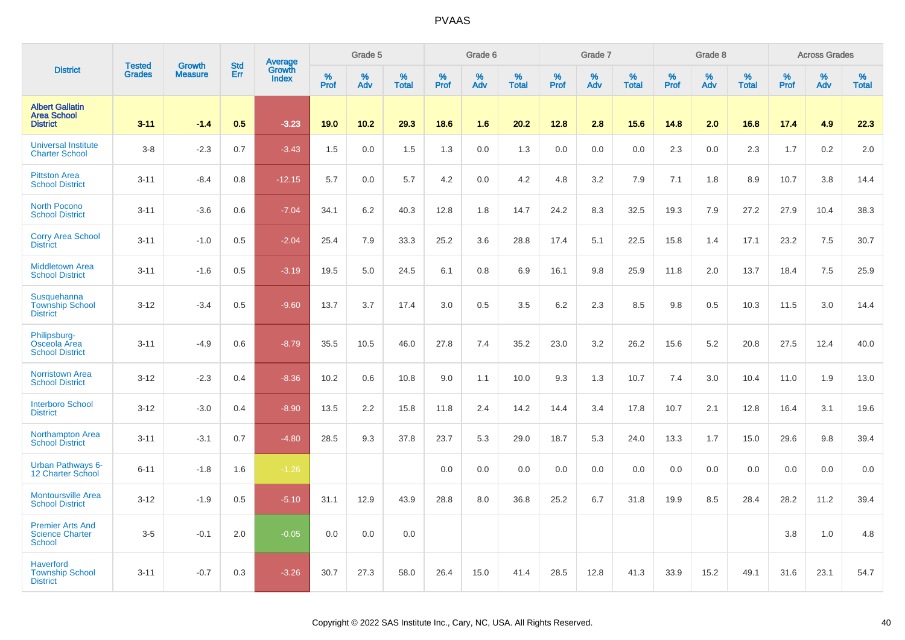|                                                                    | <b>Tested</b> | <b>Growth</b>  | <b>Std</b> |                                          |                     | Grade 5  |                   |                  | Grade 6  |                   |           | Grade 7  |                   |                  | Grade 8  |                   |           | <b>Across Grades</b> |                   |
|--------------------------------------------------------------------|---------------|----------------|------------|------------------------------------------|---------------------|----------|-------------------|------------------|----------|-------------------|-----------|----------|-------------------|------------------|----------|-------------------|-----------|----------------------|-------------------|
| <b>District</b>                                                    | <b>Grades</b> | <b>Measure</b> | Err        | <b>Average</b><br>Growth<br><b>Index</b> | $\%$<br><b>Prof</b> | %<br>Adv | %<br><b>Total</b> | %<br><b>Prof</b> | %<br>Adv | %<br><b>Total</b> | %<br>Prof | %<br>Adv | %<br><b>Total</b> | %<br><b>Prof</b> | %<br>Adv | %<br><b>Total</b> | %<br>Prof | %<br>Adv             | %<br><b>Total</b> |
| <b>Albert Gallatin</b><br><b>Area School</b><br><b>District</b>    | $3 - 11$      | $-1.4$         | 0.5        | $-3.23$                                  | 19.0                | 10.2     | 29.3              | 18.6             | 1.6      | 20.2              | 12.8      | 2.8      | 15.6              | 14.8             | 2.0      | 16.8              | 17.4      | 4.9                  | 22.3              |
| <b>Universal Institute</b><br><b>Charter School</b>                | $3-8$         | $-2.3$         | 0.7        | $-3.43$                                  | 1.5                 | 0.0      | 1.5               | 1.3              | 0.0      | 1.3               | 0.0       | 0.0      | 0.0               | 2.3              | $0.0\,$  | 2.3               | 1.7       | $0.2\,$              | 2.0               |
| <b>Pittston Area</b><br><b>School District</b>                     | $3 - 11$      | $-8.4$         | 0.8        | $-12.15$                                 | 5.7                 | 0.0      | 5.7               | 4.2              | 0.0      | 4.2               | 4.8       | 3.2      | 7.9               | 7.1              | 1.8      | 8.9               | 10.7      | 3.8                  | 14.4              |
| <b>North Pocono</b><br><b>School District</b>                      | $3 - 11$      | $-3.6$         | 0.6        | $-7.04$                                  | 34.1                | 6.2      | 40.3              | 12.8             | 1.8      | 14.7              | 24.2      | 8.3      | 32.5              | 19.3             | 7.9      | 27.2              | 27.9      | 10.4                 | 38.3              |
| <b>Corry Area School</b><br><b>District</b>                        | $3 - 11$      | $-1.0$         | 0.5        | $-2.04$                                  | 25.4                | 7.9      | 33.3              | 25.2             | 3.6      | 28.8              | 17.4      | 5.1      | 22.5              | 15.8             | 1.4      | 17.1              | 23.2      | 7.5                  | 30.7              |
| <b>Middletown Area</b><br><b>School District</b>                   | $3 - 11$      | $-1.6$         | 0.5        | $-3.19$                                  | 19.5                | 5.0      | 24.5              | 6.1              | 0.8      | 6.9               | 16.1      | 9.8      | 25.9              | 11.8             | 2.0      | 13.7              | 18.4      | 7.5                  | 25.9              |
| Susquehanna<br><b>Township School</b><br><b>District</b>           | $3 - 12$      | $-3.4$         | 0.5        | $-9.60$                                  | 13.7                | 3.7      | 17.4              | 3.0              | 0.5      | 3.5               | $6.2\,$   | 2.3      | 8.5               | 9.8              | 0.5      | 10.3              | 11.5      | 3.0                  | 14.4              |
| Philipsburg-<br>Osceola Area<br><b>School District</b>             | $3 - 11$      | $-4.9$         | 0.6        | $-8.79$                                  | 35.5                | 10.5     | 46.0              | 27.8             | 7.4      | 35.2              | 23.0      | 3.2      | 26.2              | 15.6             | 5.2      | 20.8              | 27.5      | 12.4                 | 40.0              |
| <b>Norristown Area</b><br><b>School District</b>                   | $3 - 12$      | $-2.3$         | 0.4        | $-8.36$                                  | 10.2                | 0.6      | 10.8              | 9.0              | 1.1      | 10.0              | 9.3       | 1.3      | 10.7              | 7.4              | 3.0      | 10.4              | 11.0      | 1.9                  | 13.0              |
| <b>Interboro School</b><br><b>District</b>                         | $3 - 12$      | $-3.0$         | 0.4        | $-8.90$                                  | 13.5                | 2.2      | 15.8              | 11.8             | 2.4      | 14.2              | 14.4      | 3.4      | 17.8              | 10.7             | 2.1      | 12.8              | 16.4      | 3.1                  | 19.6              |
| <b>Northampton Area</b><br><b>School District</b>                  | $3 - 11$      | $-3.1$         | 0.7        | $-4.80$                                  | 28.5                | 9.3      | 37.8              | 23.7             | 5.3      | 29.0              | 18.7      | 5.3      | 24.0              | 13.3             | 1.7      | 15.0              | 29.6      | 9.8                  | 39.4              |
| <b>Urban Pathways 6-</b><br><b>12 Charter School</b>               | $6 - 11$      | $-1.8$         | 1.6        | $-1.26$                                  |                     |          |                   | 0.0              | 0.0      | 0.0               | 0.0       | 0.0      | 0.0               | 0.0              | 0.0      | 0.0               | 0.0       | 0.0                  | 0.0               |
| <b>Montoursville Area</b><br><b>School District</b>                | $3 - 12$      | $-1.9$         | 0.5        | $-5.10$                                  | 31.1                | 12.9     | 43.9              | 28.8             | 8.0      | 36.8              | 25.2      | 6.7      | 31.8              | 19.9             | 8.5      | 28.4              | 28.2      | 11.2                 | 39.4              |
| <b>Premier Arts And</b><br><b>Science Charter</b><br><b>School</b> | $3-5$         | $-0.1$         | 2.0        | $-0.05$                                  | 0.0                 | 0.0      | $0.0\,$           |                  |          |                   |           |          |                   |                  |          |                   | 3.8       | $1.0$                | 4.8               |
| <b>Haverford</b><br><b>Township School</b><br><b>District</b>      | $3 - 11$      | $-0.7$         | 0.3        | $-3.26$                                  | 30.7                | 27.3     | 58.0              | 26.4             | 15.0     | 41.4              | 28.5      | 12.8     | 41.3              | 33.9             | 15.2     | 49.1              | 31.6      | 23.1                 | 54.7              |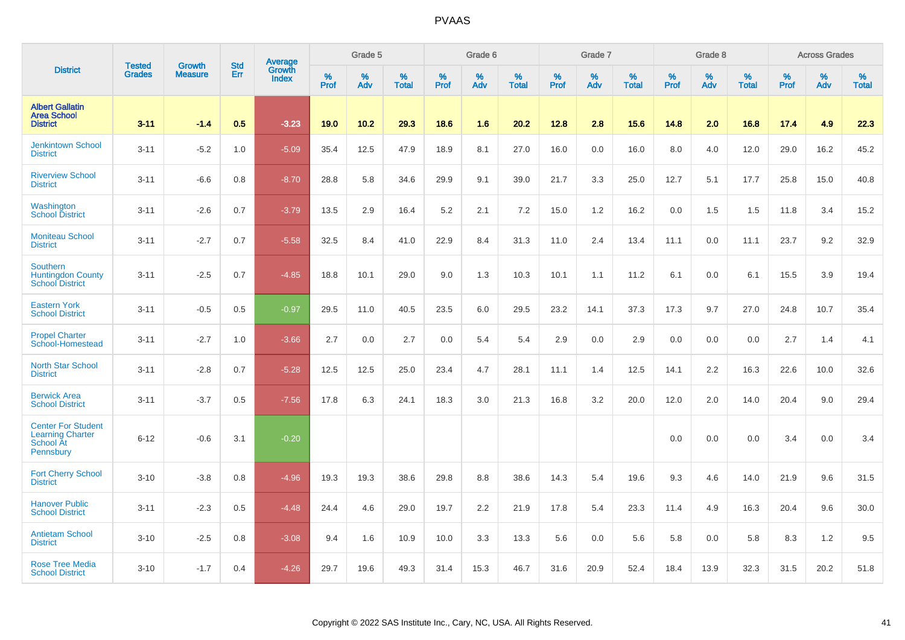|                                                                                |                                |                                 | <b>Std</b> | Average                |              | Grade 5  |                   |           | Grade 6  |                   |              | Grade 7  |                   |           | Grade 8  |                   |           | <b>Across Grades</b> |                   |
|--------------------------------------------------------------------------------|--------------------------------|---------------------------------|------------|------------------------|--------------|----------|-------------------|-----------|----------|-------------------|--------------|----------|-------------------|-----------|----------|-------------------|-----------|----------------------|-------------------|
| <b>District</b>                                                                | <b>Tested</b><br><b>Grades</b> | <b>Growth</b><br><b>Measure</b> | Err        | Growth<br><b>Index</b> | $\%$<br>Prof | %<br>Adv | %<br><b>Total</b> | %<br>Prof | %<br>Adv | %<br><b>Total</b> | $\%$<br>Prof | %<br>Adv | %<br><b>Total</b> | %<br>Prof | %<br>Adv | %<br><b>Total</b> | %<br>Prof | %<br>Adv             | %<br><b>Total</b> |
| <b>Albert Gallatin</b><br><b>Area School</b><br><b>District</b>                | $3 - 11$                       | $-1.4$                          | 0.5        | $-3.23$                | 19.0         | 10.2     | 29.3              | 18.6      | 1.6      | 20.2              | 12.8         | 2.8      | 15.6              | 14.8      | 2.0      | 16.8              | 17.4      | 4.9                  | 22.3              |
| <b>Jenkintown School</b><br><b>District</b>                                    | $3 - 11$                       | $-5.2$                          | 1.0        | $-5.09$                | 35.4         | 12.5     | 47.9              | 18.9      | 8.1      | 27.0              | 16.0         | 0.0      | 16.0              | 8.0       | 4.0      | 12.0              | 29.0      | 16.2                 | 45.2              |
| <b>Riverview School</b><br><b>District</b>                                     | $3 - 11$                       | $-6.6$                          | 0.8        | $-8.70$                | 28.8         | 5.8      | 34.6              | 29.9      | 9.1      | 39.0              | 21.7         | 3.3      | 25.0              | 12.7      | 5.1      | 17.7              | 25.8      | 15.0                 | 40.8              |
| Washington<br><b>School District</b>                                           | $3 - 11$                       | $-2.6$                          | 0.7        | $-3.79$                | 13.5         | 2.9      | 16.4              | 5.2       | 2.1      | 7.2               | 15.0         | 1.2      | 16.2              | 0.0       | 1.5      | 1.5               | 11.8      | 3.4                  | 15.2              |
| <b>Moniteau School</b><br><b>District</b>                                      | $3 - 11$                       | $-2.7$                          | 0.7        | $-5.58$                | 32.5         | 8.4      | 41.0              | 22.9      | 8.4      | 31.3              | 11.0         | 2.4      | 13.4              | 11.1      | 0.0      | 11.1              | 23.7      | 9.2                  | 32.9              |
| <b>Southern</b><br><b>Huntingdon County</b><br><b>School District</b>          | $3 - 11$                       | $-2.5$                          | 0.7        | $-4.85$                | 18.8         | 10.1     | 29.0              | 9.0       | 1.3      | 10.3              | 10.1         | 1.1      | 11.2              | 6.1       | 0.0      | 6.1               | 15.5      | 3.9                  | 19.4              |
| <b>Eastern York</b><br><b>School District</b>                                  | $3 - 11$                       | $-0.5$                          | 0.5        | $-0.97$                | 29.5         | 11.0     | 40.5              | 23.5      | 6.0      | 29.5              | 23.2         | 14.1     | 37.3              | 17.3      | 9.7      | 27.0              | 24.8      | 10.7                 | 35.4              |
| <b>Propel Charter</b><br>School-Homestead                                      | $3 - 11$                       | $-2.7$                          | 1.0        | $-3.66$                | 2.7          | 0.0      | 2.7               | 0.0       | 5.4      | 5.4               | 2.9          | 0.0      | 2.9               | 0.0       | 0.0      | 0.0               | 2.7       | 1.4                  | 4.1               |
| North Star School<br><b>District</b>                                           | $3 - 11$                       | $-2.8$                          | 0.7        | $-5.28$                | 12.5         | 12.5     | 25.0              | 23.4      | 4.7      | 28.1              | 11.1         | 1.4      | 12.5              | 14.1      | 2.2      | 16.3              | 22.6      | 10.0                 | 32.6              |
| <b>Berwick Area</b><br><b>School District</b>                                  | $3 - 11$                       | $-3.7$                          | 0.5        | $-7.56$                | 17.8         | 6.3      | 24.1              | 18.3      | 3.0      | 21.3              | 16.8         | 3.2      | 20.0              | 12.0      | 2.0      | 14.0              | 20.4      | 9.0                  | 29.4              |
| <b>Center For Student</b><br><b>Learning Charter</b><br>School At<br>Pennsbury | $6 - 12$                       | $-0.6$                          | 3.1        | $-0.20$                |              |          |                   |           |          |                   |              |          |                   | 0.0       | 0.0      | 0.0               | 3.4       | 0.0                  | 3.4               |
| <b>Fort Cherry School</b><br><b>District</b>                                   | $3 - 10$                       | $-3.8$                          | 0.8        | $-4.96$                | 19.3         | 19.3     | 38.6              | 29.8      | 8.8      | 38.6              | 14.3         | 5.4      | 19.6              | 9.3       | 4.6      | 14.0              | 21.9      | 9.6                  | 31.5              |
| <b>Hanover Public</b><br><b>School District</b>                                | $3 - 11$                       | $-2.3$                          | 0.5        | $-4.48$                | 24.4         | 4.6      | 29.0              | 19.7      | 2.2      | 21.9              | 17.8         | 5.4      | 23.3              | 11.4      | 4.9      | 16.3              | 20.4      | 9.6                  | 30.0              |
| <b>Antietam School</b><br><b>District</b>                                      | $3 - 10$                       | $-2.5$                          | 0.8        | $-3.08$                | 9.4          | 1.6      | 10.9              | 10.0      | 3.3      | 13.3              | 5.6          | 0.0      | 5.6               | 5.8       | 0.0      | 5.8               | 8.3       | 1.2                  | 9.5               |
| <b>Rose Tree Media</b><br><b>School District</b>                               | $3 - 10$                       | $-1.7$                          | 0.4        | $-4.26$                | 29.7         | 19.6     | 49.3              | 31.4      | 15.3     | 46.7              | 31.6         | 20.9     | 52.4              | 18.4      | 13.9     | 32.3              | 31.5      | 20.2                 | 51.8              |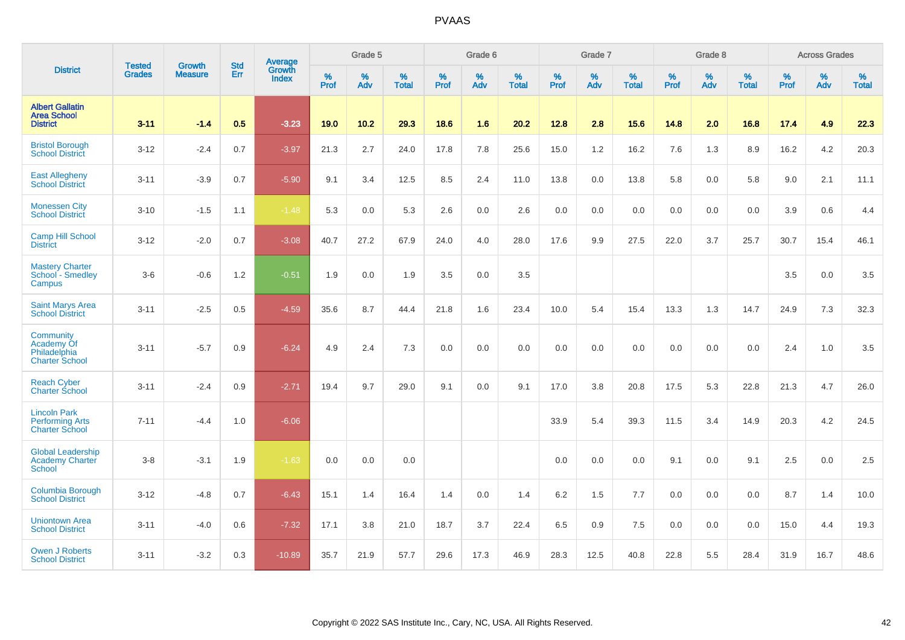|                                                                        |                                |                                 | <b>Std</b> | Average                |           | Grade 5  |                   |           | Grade 6  |                   |           | Grade 7  |                   |           | Grade 8  |                   |           | <b>Across Grades</b> |                   |
|------------------------------------------------------------------------|--------------------------------|---------------------------------|------------|------------------------|-----------|----------|-------------------|-----------|----------|-------------------|-----------|----------|-------------------|-----------|----------|-------------------|-----------|----------------------|-------------------|
| <b>District</b>                                                        | <b>Tested</b><br><b>Grades</b> | <b>Growth</b><br><b>Measure</b> | Err        | Growth<br><b>Index</b> | %<br>Prof | %<br>Adv | %<br><b>Total</b> | %<br>Prof | %<br>Adv | %<br><b>Total</b> | %<br>Prof | %<br>Adv | %<br><b>Total</b> | %<br>Prof | %<br>Adv | %<br><b>Total</b> | %<br>Prof | %<br>Adv             | %<br><b>Total</b> |
| <b>Albert Gallatin</b><br><b>Area School</b><br><b>District</b>        | $3 - 11$                       | $-1.4$                          | 0.5        | $-3.23$                | 19.0      | 10.2     | 29.3              | 18.6      | 1.6      | 20.2              | 12.8      | 2.8      | 15.6              | 14.8      | 2.0      | 16.8              | 17.4      | 4.9                  | 22.3              |
| <b>Bristol Borough</b><br><b>School District</b>                       | $3 - 12$                       | $-2.4$                          | 0.7        | $-3.97$                | 21.3      | 2.7      | 24.0              | 17.8      | 7.8      | 25.6              | 15.0      | 1.2      | 16.2              | 7.6       | 1.3      | 8.9               | 16.2      | 4.2                  | 20.3              |
| <b>East Allegheny</b><br><b>School District</b>                        | $3 - 11$                       | $-3.9$                          | 0.7        | $-5.90$                | 9.1       | 3.4      | 12.5              | 8.5       | 2.4      | 11.0              | 13.8      | 0.0      | 13.8              | 5.8       | 0.0      | 5.8               | 9.0       | 2.1                  | 11.1              |
| <b>Monessen City</b><br><b>School District</b>                         | $3 - 10$                       | $-1.5$                          | 1.1        | $-1.48$                | 5.3       | 0.0      | 5.3               | 2.6       | 0.0      | 2.6               | 0.0       | 0.0      | 0.0               | 0.0       | 0.0      | 0.0               | 3.9       | 0.6                  | 4.4               |
| <b>Camp Hill School</b><br><b>District</b>                             | $3 - 12$                       | $-2.0$                          | 0.7        | $-3.08$                | 40.7      | 27.2     | 67.9              | 24.0      | 4.0      | 28.0              | 17.6      | 9.9      | 27.5              | 22.0      | 3.7      | 25.7              | 30.7      | 15.4                 | 46.1              |
| <b>Mastery Charter</b><br>School - Smedley<br>Campus                   | $3-6$                          | $-0.6$                          | 1.2        | $-0.51$                | 1.9       | 0.0      | 1.9               | 3.5       | 0.0      | 3.5               |           |          |                   |           |          |                   | 3.5       | 0.0                  | 3.5               |
| <b>Saint Marys Area</b><br>School District                             | $3 - 11$                       | $-2.5$                          | 0.5        | $-4.59$                | 35.6      | 8.7      | 44.4              | 21.8      | 1.6      | 23.4              | 10.0      | 5.4      | 15.4              | 13.3      | 1.3      | 14.7              | 24.9      | 7.3                  | 32.3              |
| Community<br>Academy Of<br>Philadelphia<br><b>Charter School</b>       | $3 - 11$                       | $-5.7$                          | 0.9        | $-6.24$                | 4.9       | 2.4      | 7.3               | 0.0       | 0.0      | 0.0               | 0.0       | 0.0      | 0.0               | 0.0       | 0.0      | 0.0               | 2.4       | 1.0                  | 3.5               |
| <b>Reach Cyber</b><br><b>Charter School</b>                            | $3 - 11$                       | $-2.4$                          | 0.9        | $-2.71$                | 19.4      | 9.7      | 29.0              | 9.1       | 0.0      | 9.1               | 17.0      | 3.8      | 20.8              | 17.5      | 5.3      | 22.8              | 21.3      | 4.7                  | 26.0              |
| <b>Lincoln Park</b><br><b>Performing Arts</b><br><b>Charter School</b> | $7 - 11$                       | $-4.4$                          | 1.0        | $-6.06$                |           |          |                   |           |          |                   | 33.9      | 5.4      | 39.3              | 11.5      | 3.4      | 14.9              | 20.3      | 4.2                  | 24.5              |
| <b>Global Leadership</b><br><b>Academy Charter</b><br><b>School</b>    | $3 - 8$                        | $-3.1$                          | 1.9        | $-1.63$                | 0.0       | 0.0      | 0.0               |           |          |                   | 0.0       | 0.0      | 0.0               | 9.1       | 0.0      | 9.1               | 2.5       | 0.0                  | 2.5               |
| Columbia Borough<br><b>School District</b>                             | $3 - 12$                       | $-4.8$                          | 0.7        | $-6.43$                | 15.1      | 1.4      | 16.4              | 1.4       | 0.0      | 1.4               | 6.2       | 1.5      | 7.7               | 0.0       | 0.0      | 0.0               | 8.7       | 1.4                  | 10.0              |
| <b>Uniontown Area</b><br><b>School District</b>                        | $3 - 11$                       | $-4.0$                          | 0.6        | $-7.32$                | 17.1      | 3.8      | 21.0              | 18.7      | 3.7      | 22.4              | 6.5       | 0.9      | 7.5               | 0.0       | 0.0      | 0.0               | 15.0      | 4.4                  | 19.3              |
| <b>Owen J Roberts</b><br><b>School District</b>                        | $3 - 11$                       | $-3.2$                          | 0.3        | $-10.89$               | 35.7      | 21.9     | 57.7              | 29.6      | 17.3     | 46.9              | 28.3      | 12.5     | 40.8              | 22.8      | 5.5      | 28.4              | 31.9      | 16.7                 | 48.6              |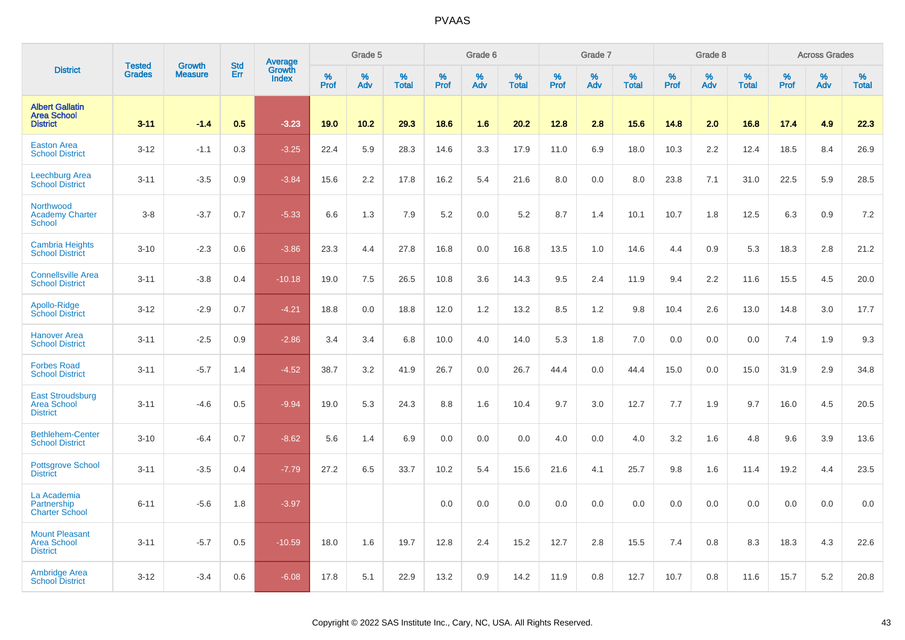|                                                                  |                                | <b>Growth</b>  | <b>Std</b> | Average<br>Growth |           | Grade 5  |                   |           | Grade 6  |                   |           | Grade 7  |                   |           | Grade 8  |                   |           | <b>Across Grades</b> |                   |
|------------------------------------------------------------------|--------------------------------|----------------|------------|-------------------|-----------|----------|-------------------|-----------|----------|-------------------|-----------|----------|-------------------|-----------|----------|-------------------|-----------|----------------------|-------------------|
| <b>District</b>                                                  | <b>Tested</b><br><b>Grades</b> | <b>Measure</b> | Err        | <b>Index</b>      | %<br>Prof | %<br>Adv | %<br><b>Total</b> | %<br>Prof | %<br>Adv | %<br><b>Total</b> | %<br>Prof | %<br>Adv | %<br><b>Total</b> | %<br>Prof | %<br>Adv | %<br><b>Total</b> | %<br>Prof | %<br>Adv             | %<br><b>Total</b> |
| <b>Albert Gallatin</b><br><b>Area School</b><br><b>District</b>  | $3 - 11$                       | $-1.4$         | 0.5        | $-3.23$           | 19.0      | 10.2     | 29.3              | 18.6      | 1.6      | 20.2              | 12.8      | 2.8      | 15.6              | 14.8      | 2.0      | 16.8              | 17.4      | 4.9                  | 22.3              |
| <b>Easton Area</b><br><b>School District</b>                     | $3 - 12$                       | $-1.1$         | 0.3        | $-3.25$           | 22.4      | 5.9      | 28.3              | 14.6      | 3.3      | 17.9              | 11.0      | 6.9      | 18.0              | 10.3      | 2.2      | 12.4              | 18.5      | 8.4                  | 26.9              |
| <b>Leechburg Area</b><br><b>School District</b>                  | $3 - 11$                       | $-3.5$         | 0.9        | $-3.84$           | 15.6      | 2.2      | 17.8              | 16.2      | 5.4      | 21.6              | 8.0       | 0.0      | 8.0               | 23.8      | 7.1      | 31.0              | 22.5      | 5.9                  | 28.5              |
| Northwood<br><b>Academy Charter</b><br>School                    | $3-8$                          | $-3.7$         | 0.7        | $-5.33$           | 6.6       | 1.3      | 7.9               | 5.2       | 0.0      | 5.2               | 8.7       | 1.4      | 10.1              | 10.7      | 1.8      | 12.5              | 6.3       | 0.9                  | 7.2               |
| <b>Cambria Heights</b><br><b>School District</b>                 | $3 - 10$                       | $-2.3$         | 0.6        | $-3.86$           | 23.3      | 4.4      | 27.8              | 16.8      | 0.0      | 16.8              | 13.5      | 1.0      | 14.6              | 4.4       | 0.9      | 5.3               | 18.3      | 2.8                  | 21.2              |
| <b>Connellsville Area</b><br><b>School District</b>              | $3 - 11$                       | $-3.8$         | 0.4        | $-10.18$          | 19.0      | 7.5      | 26.5              | 10.8      | 3.6      | 14.3              | 9.5       | 2.4      | 11.9              | 9.4       | 2.2      | 11.6              | 15.5      | 4.5                  | 20.0              |
| Apollo-Ridge<br><b>School District</b>                           | $3-12$                         | $-2.9$         | 0.7        | $-4.21$           | 18.8      | 0.0      | 18.8              | 12.0      | 1.2      | 13.2              | 8.5       | 1.2      | 9.8               | 10.4      | 2.6      | 13.0              | 14.8      | 3.0                  | 17.7              |
| <b>Hanover Area</b><br><b>School District</b>                    | $3 - 11$                       | $-2.5$         | 0.9        | $-2.86$           | 3.4       | 3.4      | 6.8               | 10.0      | 4.0      | 14.0              | 5.3       | 1.8      | 7.0               | 0.0       | 0.0      | 0.0               | 7.4       | 1.9                  | 9.3               |
| <b>Forbes Road</b><br><b>School District</b>                     | $3 - 11$                       | $-5.7$         | 1.4        | $-4.52$           | 38.7      | 3.2      | 41.9              | 26.7      | 0.0      | 26.7              | 44.4      | 0.0      | 44.4              | 15.0      | 0.0      | 15.0              | 31.9      | 2.9                  | 34.8              |
| <b>East Stroudsburg</b><br><b>Area School</b><br><b>District</b> | $3 - 11$                       | $-4.6$         | 0.5        | $-9.94$           | 19.0      | 5.3      | 24.3              | 8.8       | 1.6      | 10.4              | 9.7       | 3.0      | 12.7              | 7.7       | 1.9      | 9.7               | 16.0      | 4.5                  | 20.5              |
| <b>Bethlehem-Center</b><br><b>School District</b>                | $3 - 10$                       | $-6.4$         | 0.7        | $-8.62$           | 5.6       | 1.4      | 6.9               | 0.0       | 0.0      | 0.0               | 4.0       | 0.0      | 4.0               | 3.2       | 1.6      | 4.8               | 9.6       | 3.9                  | 13.6              |
| <b>Pottsgrove School</b><br><b>District</b>                      | $3 - 11$                       | $-3.5$         | 0.4        | $-7.79$           | 27.2      | 6.5      | 33.7              | 10.2      | 5.4      | 15.6              | 21.6      | 4.1      | 25.7              | 9.8       | 1.6      | 11.4              | 19.2      | 4.4                  | 23.5              |
| La Academia<br>Partnership<br><b>Charter School</b>              | $6 - 11$                       | $-5.6$         | 1.8        | $-3.97$           |           |          |                   | 0.0       | 0.0      | 0.0               | 0.0       | 0.0      | 0.0               | 0.0       | 0.0      | 0.0               | 0.0       | 0.0                  | 0.0               |
| <b>Mount Pleasant</b><br><b>Area School</b><br><b>District</b>   | $3 - 11$                       | $-5.7$         | 0.5        | $-10.59$          | 18.0      | 1.6      | 19.7              | 12.8      | 2.4      | 15.2              | 12.7      | 2.8      | 15.5              | 7.4       | 0.8      | 8.3               | 18.3      | 4.3                  | 22.6              |
| <b>Ambridge Area</b><br><b>School District</b>                   | $3 - 12$                       | $-3.4$         | 0.6        | $-6.08$           | 17.8      | 5.1      | 22.9              | 13.2      | 0.9      | 14.2              | 11.9      | 0.8      | 12.7              | 10.7      | 0.8      | 11.6              | 15.7      | 5.2                  | 20.8              |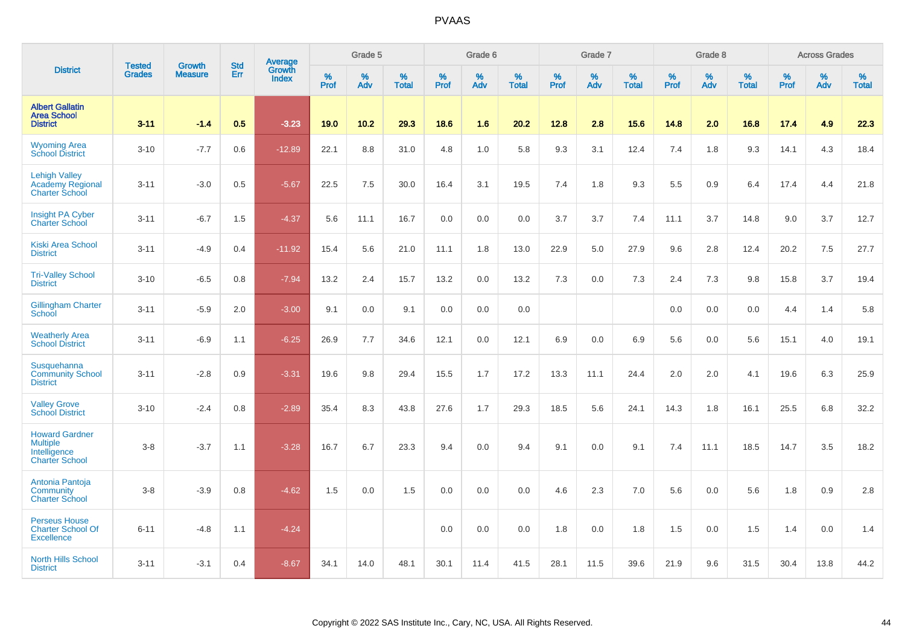|                                                                                   |                                | <b>Growth</b>  | <b>Std</b> |                            |              | Grade 5  |                      |              | Grade 6  |                      |              | Grade 7  |                   |              | Grade 8  |                   |              | <b>Across Grades</b> |                      |
|-----------------------------------------------------------------------------------|--------------------------------|----------------|------------|----------------------------|--------------|----------|----------------------|--------------|----------|----------------------|--------------|----------|-------------------|--------------|----------|-------------------|--------------|----------------------|----------------------|
| <b>District</b>                                                                   | <b>Tested</b><br><b>Grades</b> | <b>Measure</b> | Err        | Average<br>Growth<br>Index | $\%$<br>Prof | %<br>Adv | $\%$<br><b>Total</b> | $\%$<br>Prof | %<br>Adv | $\%$<br><b>Total</b> | $\%$<br>Prof | %<br>Adv | %<br><b>Total</b> | $\%$<br>Prof | %<br>Adv | %<br><b>Total</b> | $\%$<br>Prof | $\%$<br>Adv          | $\%$<br><b>Total</b> |
| <b>Albert Gallatin</b><br><b>Area School</b><br><b>District</b>                   | $3 - 11$                       | $-1.4$         | 0.5        | $-3.23$                    | 19.0         | 10.2     | 29.3                 | 18.6         | 1.6      | 20.2                 | 12.8         | 2.8      | 15.6              | 14.8         | 2.0      | 16.8              | 17.4         | 4.9                  | 22.3                 |
| <b>Wyoming Area</b><br><b>School District</b>                                     | $3 - 10$                       | $-7.7$         | 0.6        | $-12.89$                   | 22.1         | 8.8      | 31.0                 | 4.8          | 1.0      | 5.8                  | 9.3          | 3.1      | 12.4              | 7.4          | 1.8      | 9.3               | 14.1         | 4.3                  | 18.4                 |
| <b>Lehigh Valley</b><br><b>Academy Regional</b><br><b>Charter School</b>          | $3 - 11$                       | $-3.0$         | 0.5        | $-5.67$                    | 22.5         | 7.5      | 30.0                 | 16.4         | 3.1      | 19.5                 | 7.4          | 1.8      | 9.3               | 5.5          | 0.9      | 6.4               | 17.4         | 4.4                  | 21.8                 |
| <b>Insight PA Cyber</b><br><b>Charter School</b>                                  | $3 - 11$                       | $-6.7$         | 1.5        | $-4.37$                    | 5.6          | 11.1     | 16.7                 | 0.0          | 0.0      | 0.0                  | 3.7          | 3.7      | 7.4               | 11.1         | 3.7      | 14.8              | 9.0          | 3.7                  | 12.7                 |
| <b>Kiski Area School</b><br><b>District</b>                                       | $3 - 11$                       | $-4.9$         | 0.4        | $-11.92$                   | 15.4         | 5.6      | 21.0                 | 11.1         | 1.8      | 13.0                 | 22.9         | 5.0      | 27.9              | 9.6          | 2.8      | 12.4              | 20.2         | 7.5                  | 27.7                 |
| <b>Tri-Valley School</b><br><b>District</b>                                       | $3 - 10$                       | $-6.5$         | 0.8        | $-7.94$                    | 13.2         | 2.4      | 15.7                 | 13.2         | 0.0      | 13.2                 | 7.3          | 0.0      | 7.3               | 2.4          | 7.3      | 9.8               | 15.8         | 3.7                  | 19.4                 |
| <b>Gillingham Charter</b><br>School                                               | $3 - 11$                       | $-5.9$         | 2.0        | $-3.00$                    | 9.1          | 0.0      | 9.1                  | 0.0          | 0.0      | 0.0                  |              |          |                   | 0.0          | 0.0      | 0.0               | 4.4          | 1.4                  | 5.8                  |
| <b>Weatherly Area</b><br><b>School District</b>                                   | $3 - 11$                       | $-6.9$         | 1.1        | $-6.25$                    | 26.9         | 7.7      | 34.6                 | 12.1         | 0.0      | 12.1                 | 6.9          | 0.0      | 6.9               | 5.6          | 0.0      | 5.6               | 15.1         | 4.0                  | 19.1                 |
| Susquehanna<br><b>Community School</b><br><b>District</b>                         | $3 - 11$                       | $-2.8$         | 0.9        | $-3.31$                    | 19.6         | 9.8      | 29.4                 | 15.5         | 1.7      | 17.2                 | 13.3         | 11.1     | 24.4              | 2.0          | 2.0      | 4.1               | 19.6         | 6.3                  | 25.9                 |
| <b>Valley Grove</b><br><b>School District</b>                                     | $3 - 10$                       | $-2.4$         | 0.8        | $-2.89$                    | 35.4         | 8.3      | 43.8                 | 27.6         | 1.7      | 29.3                 | 18.5         | 5.6      | 24.1              | 14.3         | 1.8      | 16.1              | 25.5         | 6.8                  | 32.2                 |
| <b>Howard Gardner</b><br><b>Multiple</b><br>Intelligence<br><b>Charter School</b> | $3-8$                          | $-3.7$         | 1.1        | $-3.28$                    | 16.7         | 6.7      | 23.3                 | 9.4          | 0.0      | 9.4                  | 9.1          | 0.0      | 9.1               | 7.4          | 11.1     | 18.5              | 14.7         | 3.5                  | 18.2                 |
| Antonia Pantoja<br>Community<br><b>Charter School</b>                             | $3-8$                          | $-3.9$         | 0.8        | $-4.62$                    | 1.5          | 0.0      | 1.5                  | 0.0          | 0.0      | 0.0                  | 4.6          | 2.3      | 7.0               | 5.6          | 0.0      | 5.6               | 1.8          | 0.9                  | 2.8                  |
| <b>Perseus House</b><br><b>Charter School Of</b><br><b>Excellence</b>             | $6 - 11$                       | $-4.8$         | 1.1        | $-4.24$                    |              |          |                      | 0.0          | 0.0      | 0.0                  | 1.8          | 0.0      | 1.8               | 1.5          | 0.0      | 1.5               | 1.4          | 0.0                  | 1.4                  |
| <b>North Hills School</b><br><b>District</b>                                      | $3 - 11$                       | $-3.1$         | 0.4        | $-8.67$                    | 34.1         | 14.0     | 48.1                 | 30.1         | 11.4     | 41.5                 | 28.1         | 11.5     | 39.6              | 21.9         | 9.6      | 31.5              | 30.4         | 13.8                 | 44.2                 |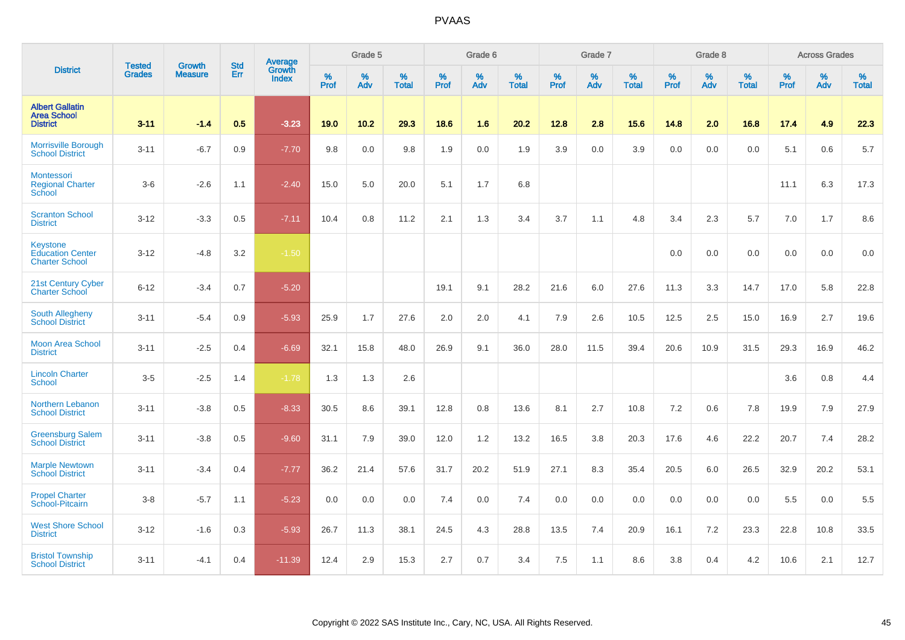|                                                                 | <b>Tested</b> | <b>Growth</b>  | <b>Std</b> | Average                       |              | Grade 5  |                   |           | Grade 6  |                   |           | Grade 7  |                   |           | Grade 8  |                   |           | <b>Across Grades</b> |                   |
|-----------------------------------------------------------------|---------------|----------------|------------|-------------------------------|--------------|----------|-------------------|-----------|----------|-------------------|-----------|----------|-------------------|-----------|----------|-------------------|-----------|----------------------|-------------------|
| <b>District</b>                                                 | <b>Grades</b> | <b>Measure</b> | Err        | <b>Growth</b><br><b>Index</b> | $\%$<br>Prof | %<br>Adv | %<br><b>Total</b> | %<br>Prof | %<br>Adv | %<br><b>Total</b> | %<br>Prof | %<br>Adv | %<br><b>Total</b> | %<br>Prof | %<br>Adv | %<br><b>Total</b> | %<br>Prof | %<br>Adv             | %<br><b>Total</b> |
| <b>Albert Gallatin</b><br><b>Area School</b><br><b>District</b> | $3 - 11$      | $-1.4$         | 0.5        | $-3.23$                       | 19.0         | 10.2     | 29.3              | 18.6      | 1.6      | 20.2              | 12.8      | 2.8      | 15.6              | 14.8      | 2.0      | 16.8              | 17.4      | 4.9                  | 22.3              |
| <b>Morrisville Borough</b><br><b>School District</b>            | $3 - 11$      | $-6.7$         | 0.9        | $-7.70$                       | 9.8          | 0.0      | 9.8               | 1.9       | 0.0      | 1.9               | 3.9       | 0.0      | 3.9               | 0.0       | 0.0      | 0.0               | 5.1       | 0.6                  | 5.7               |
| Montessori<br><b>Regional Charter</b><br>School                 | $3-6$         | $-2.6$         | 1.1        | $-2.40$                       | 15.0         | 5.0      | 20.0              | 5.1       | 1.7      | 6.8               |           |          |                   |           |          |                   | 11.1      | 6.3                  | 17.3              |
| <b>Scranton School</b><br><b>District</b>                       | $3 - 12$      | $-3.3$         | 0.5        | $-7.11$                       | 10.4         | 0.8      | 11.2              | 2.1       | 1.3      | 3.4               | 3.7       | 1.1      | 4.8               | 3.4       | 2.3      | 5.7               | 7.0       | 1.7                  | 8.6               |
| Keystone<br><b>Education Center</b><br><b>Charter School</b>    | $3 - 12$      | $-4.8$         | 3.2        | $-1.50$                       |              |          |                   |           |          |                   |           |          |                   | 0.0       | 0.0      | 0.0               | 0.0       | 0.0                  | 0.0               |
| 21st Century Cyber<br><b>Charter School</b>                     | $6 - 12$      | $-3.4$         | 0.7        | $-5.20$                       |              |          |                   | 19.1      | 9.1      | 28.2              | 21.6      | 6.0      | 27.6              | 11.3      | 3.3      | 14.7              | 17.0      | 5.8                  | 22.8              |
| South Allegheny<br><b>School District</b>                       | $3 - 11$      | $-5.4$         | 0.9        | $-5.93$                       | 25.9         | 1.7      | 27.6              | 2.0       | 2.0      | 4.1               | 7.9       | 2.6      | 10.5              | 12.5      | 2.5      | 15.0              | 16.9      | 2.7                  | 19.6              |
| <b>Moon Area School</b><br><b>District</b>                      | $3 - 11$      | $-2.5$         | 0.4        | $-6.69$                       | 32.1         | 15.8     | 48.0              | 26.9      | 9.1      | 36.0              | 28.0      | 11.5     | 39.4              | 20.6      | 10.9     | 31.5              | 29.3      | 16.9                 | 46.2              |
| <b>Lincoln Charter</b><br><b>School</b>                         | $3-5$         | $-2.5$         | 1.4        | $-1.78$                       | 1.3          | 1.3      | 2.6               |           |          |                   |           |          |                   |           |          |                   | 3.6       | 0.8                  | 4.4               |
| <b>Northern Lebanon</b><br><b>School District</b>               | $3 - 11$      | $-3.8$         | 0.5        | $-8.33$                       | 30.5         | 8.6      | 39.1              | 12.8      | 0.8      | 13.6              | 8.1       | 2.7      | 10.8              | 7.2       | 0.6      | 7.8               | 19.9      | 7.9                  | 27.9              |
| <b>Greensburg Salem</b><br><b>School District</b>               | $3 - 11$      | $-3.8$         | 0.5        | $-9.60$                       | 31.1         | 7.9      | 39.0              | 12.0      | 1.2      | 13.2              | 16.5      | 3.8      | 20.3              | 17.6      | 4.6      | 22.2              | 20.7      | 7.4                  | 28.2              |
| <b>Marple Newtown</b><br><b>School District</b>                 | $3 - 11$      | $-3.4$         | 0.4        | $-7.77$                       | 36.2         | 21.4     | 57.6              | 31.7      | 20.2     | 51.9              | 27.1      | 8.3      | 35.4              | 20.5      | 6.0      | 26.5              | 32.9      | 20.2                 | 53.1              |
| <b>Propel Charter</b><br>School-Pitcairn                        | $3-8$         | $-5.7$         | 1.1        | $-5.23$                       | 0.0          | 0.0      | 0.0               | 7.4       | 0.0      | 7.4               | 0.0       | 0.0      | 0.0               | 0.0       | 0.0      | 0.0               | 5.5       | 0.0                  | 5.5               |
| <b>West Shore School</b><br><b>District</b>                     | $3 - 12$      | $-1.6$         | 0.3        | $-5.93$                       | 26.7         | 11.3     | 38.1              | 24.5      | 4.3      | 28.8              | 13.5      | 7.4      | 20.9              | 16.1      | 7.2      | 23.3              | 22.8      | 10.8                 | 33.5              |
| <b>Bristol Township</b><br><b>School District</b>               | $3 - 11$      | $-4.1$         | 0.4        | $-11.39$                      | 12.4         | 2.9      | 15.3              | 2.7       | 0.7      | 3.4               | 7.5       | 1.1      | 8.6               | 3.8       | 0.4      | 4.2               | 10.6      | 2.1                  | 12.7              |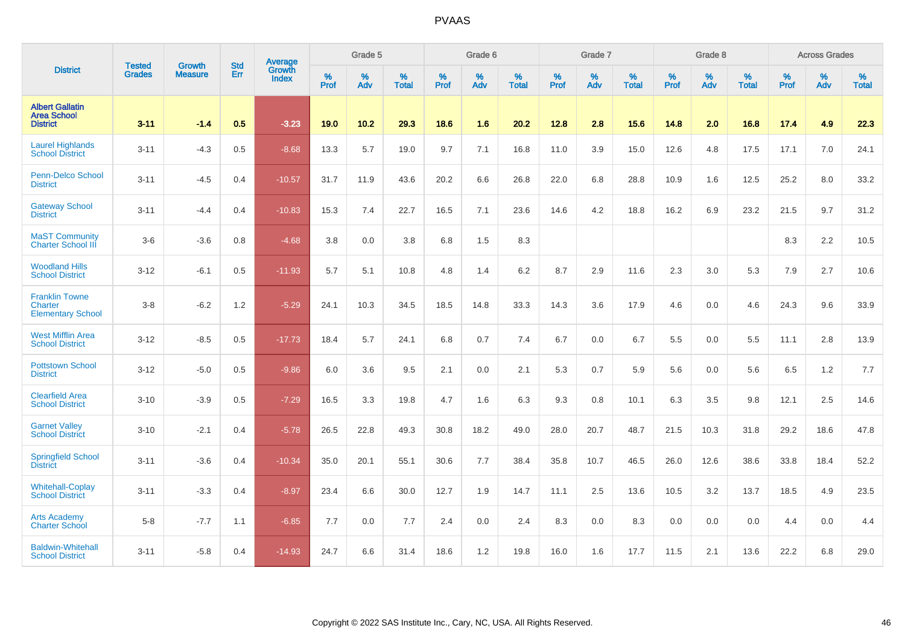|                                                                 | <b>Tested</b> | <b>Growth</b>  | <b>Std</b> | Average         |           | Grade 5  |                   |           | Grade 6  |                   |           | Grade 7         |                   |           | Grade 8  |                   |                  | <b>Across Grades</b> |                   |
|-----------------------------------------------------------------|---------------|----------------|------------|-----------------|-----------|----------|-------------------|-----------|----------|-------------------|-----------|-----------------|-------------------|-----------|----------|-------------------|------------------|----------------------|-------------------|
| <b>District</b>                                                 | <b>Grades</b> | <b>Measure</b> | Err        | Growth<br>Index | %<br>Prof | %<br>Adv | %<br><b>Total</b> | %<br>Prof | %<br>Adv | %<br><b>Total</b> | %<br>Prof | %<br><b>Adv</b> | %<br><b>Total</b> | %<br>Prof | %<br>Adv | %<br><b>Total</b> | %<br><b>Prof</b> | %<br>Adv             | %<br><b>Total</b> |
| <b>Albert Gallatin</b><br><b>Area School</b><br><b>District</b> | $3 - 11$      | $-1.4$         | 0.5        | $-3.23$         | 19.0      | 10.2     | 29.3              | 18.6      | 1.6      | 20.2              | 12.8      | 2.8             | 15.6              | 14.8      | 2.0      | 16.8              | 17.4             | 4.9                  | 22.3              |
| <b>Laurel Highlands</b><br><b>School District</b>               | $3 - 11$      | $-4.3$         | 0.5        | $-8.68$         | 13.3      | 5.7      | 19.0              | 9.7       | 7.1      | 16.8              | 11.0      | 3.9             | 15.0              | 12.6      | 4.8      | 17.5              | 17.1             | 7.0                  | 24.1              |
| <b>Penn-Delco School</b><br><b>District</b>                     | $3 - 11$      | $-4.5$         | 0.4        | $-10.57$        | 31.7      | 11.9     | 43.6              | 20.2      | 6.6      | 26.8              | 22.0      | 6.8             | 28.8              | 10.9      | 1.6      | 12.5              | 25.2             | 8.0                  | 33.2              |
| <b>Gateway School</b><br><b>District</b>                        | $3 - 11$      | $-4.4$         | 0.4        | $-10.83$        | 15.3      | 7.4      | 22.7              | 16.5      | 7.1      | 23.6              | 14.6      | 4.2             | 18.8              | 16.2      | 6.9      | 23.2              | 21.5             | 9.7                  | 31.2              |
| <b>MaST Community</b><br><b>Charter School III</b>              | $3-6$         | $-3.6$         | 0.8        | $-4.68$         | 3.8       | 0.0      | 3.8               | 6.8       | 1.5      | 8.3               |           |                 |                   |           |          |                   | 8.3              | 2.2                  | 10.5              |
| <b>Woodland Hills</b><br><b>School District</b>                 | $3 - 12$      | $-6.1$         | 0.5        | $-11.93$        | 5.7       | 5.1      | 10.8              | 4.8       | 1.4      | 6.2               | 8.7       | 2.9             | 11.6              | 2.3       | 3.0      | 5.3               | 7.9              | 2.7                  | 10.6              |
| <b>Franklin Towne</b><br>Charter<br><b>Elementary School</b>    | $3 - 8$       | $-6.2$         | 1.2        | $-5.29$         | 24.1      | 10.3     | 34.5              | 18.5      | 14.8     | 33.3              | 14.3      | 3.6             | 17.9              | 4.6       | 0.0      | 4.6               | 24.3             | 9.6                  | 33.9              |
| <b>West Mifflin Area</b><br><b>School District</b>              | $3 - 12$      | $-8.5$         | 0.5        | $-17.73$        | 18.4      | 5.7      | 24.1              | 6.8       | 0.7      | 7.4               | 6.7       | 0.0             | 6.7               | 5.5       | 0.0      | 5.5               | 11.1             | 2.8                  | 13.9              |
| <b>Pottstown School</b><br><b>District</b>                      | $3 - 12$      | $-5.0$         | 0.5        | $-9.86$         | 6.0       | 3.6      | 9.5               | 2.1       | 0.0      | 2.1               | 5.3       | 0.7             | 5.9               | 5.6       | 0.0      | 5.6               | 6.5              | $1.2$                | 7.7               |
| <b>Clearfield Area</b><br><b>School District</b>                | $3 - 10$      | $-3.9$         | 0.5        | $-7.29$         | 16.5      | 3.3      | 19.8              | 4.7       | 1.6      | 6.3               | 9.3       | 0.8             | 10.1              | 6.3       | 3.5      | 9.8               | 12.1             | 2.5                  | 14.6              |
| <b>Garnet Valley</b><br><b>School District</b>                  | $3 - 10$      | $-2.1$         | 0.4        | $-5.78$         | 26.5      | 22.8     | 49.3              | 30.8      | 18.2     | 49.0              | 28.0      | 20.7            | 48.7              | 21.5      | 10.3     | 31.8              | 29.2             | 18.6                 | 47.8              |
| <b>Springfield School</b><br><b>District</b>                    | $3 - 11$      | $-3.6$         | 0.4        | $-10.34$        | 35.0      | 20.1     | 55.1              | 30.6      | 7.7      | 38.4              | 35.8      | 10.7            | 46.5              | 26.0      | 12.6     | 38.6              | 33.8             | 18.4                 | 52.2              |
| <b>Whitehall-Coplay</b><br><b>School District</b>               | $3 - 11$      | $-3.3$         | 0.4        | $-8.97$         | 23.4      | 6.6      | 30.0              | 12.7      | 1.9      | 14.7              | 11.1      | 2.5             | 13.6              | 10.5      | 3.2      | 13.7              | 18.5             | 4.9                  | 23.5              |
| <b>Arts Academy</b><br><b>Charter School</b>                    | $5 - 8$       | $-7.7$         | 1.1        | $-6.85$         | 7.7       | 0.0      | 7.7               | 2.4       | 0.0      | 2.4               | 8.3       | 0.0             | 8.3               | 0.0       | 0.0      | 0.0               | 4.4              | 0.0                  | 4.4               |
| <b>Baldwin-Whitehall</b><br><b>School District</b>              | $3 - 11$      | $-5.8$         | 0.4        | $-14.93$        | 24.7      | 6.6      | 31.4              | 18.6      | 1.2      | 19.8              | 16.0      | 1.6             | 17.7              | 11.5      | 2.1      | 13.6              | 22.2             | 6.8                  | 29.0              |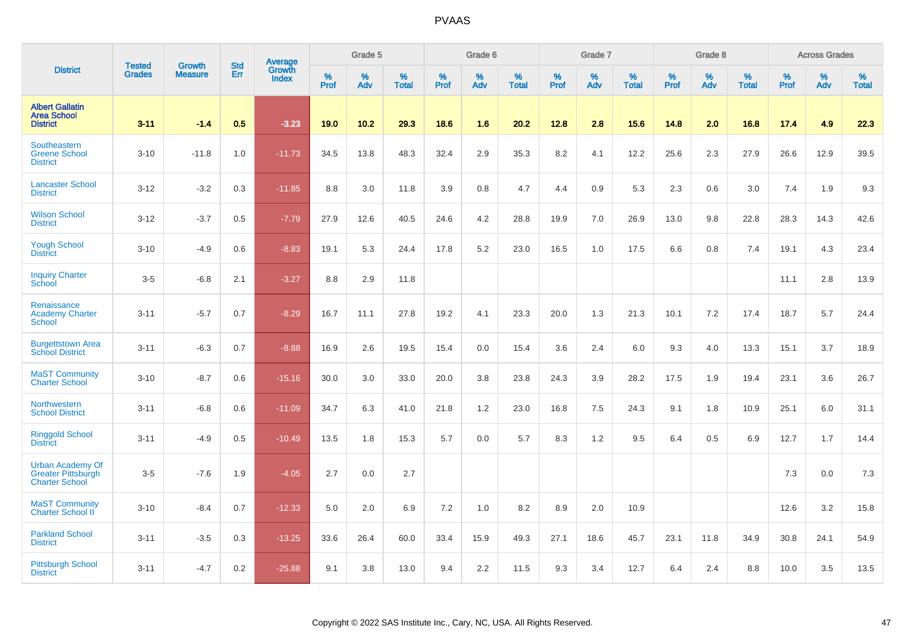|                                                                               |                                | <b>Growth</b>  | <b>Std</b> | <b>Average</b><br>Growth |                     | Grade 5  |                   |              | Grade 6  |                   |              | Grade 7  |                   |           | Grade 8  |                   |              | <b>Across Grades</b> |                   |
|-------------------------------------------------------------------------------|--------------------------------|----------------|------------|--------------------------|---------------------|----------|-------------------|--------------|----------|-------------------|--------------|----------|-------------------|-----------|----------|-------------------|--------------|----------------------|-------------------|
| <b>District</b>                                                               | <b>Tested</b><br><b>Grades</b> | <b>Measure</b> | <b>Err</b> | <b>Index</b>             | $\%$<br><b>Prof</b> | %<br>Adv | %<br><b>Total</b> | $\%$<br>Prof | %<br>Adv | %<br><b>Total</b> | $\%$<br>Prof | %<br>Adv | %<br><b>Total</b> | %<br>Prof | %<br>Adv | %<br><b>Total</b> | $\%$<br>Prof | $\%$<br>Adv          | %<br><b>Total</b> |
| <b>Albert Gallatin</b><br><b>Area School</b><br><b>District</b>               | $3 - 11$                       | $-1.4$         | 0.5        | $-3.23$                  | 19.0                | 10.2     | 29.3              | 18.6         | 1.6      | 20.2              | 12.8         | 2.8      | 15.6              | 14.8      | 2.0      | 16.8              | 17.4         | 4.9                  | 22.3              |
| Southeastern<br><b>Greene School</b><br><b>District</b>                       | $3 - 10$                       | $-11.8$        | 1.0        | $-11.73$                 | 34.5                | 13.8     | 48.3              | 32.4         | 2.9      | 35.3              | 8.2          | 4.1      | 12.2              | 25.6      | 2.3      | 27.9              | 26.6         | 12.9                 | 39.5              |
| <b>Lancaster School</b><br><b>District</b>                                    | $3 - 12$                       | $-3.2$         | 0.3        | $-11.85$                 | 8.8                 | 3.0      | 11.8              | 3.9          | 0.8      | 4.7               | 4.4          | 0.9      | 5.3               | 2.3       | 0.6      | 3.0               | 7.4          | 1.9                  | 9.3               |
| <b>Wilson School</b><br><b>District</b>                                       | $3 - 12$                       | $-3.7$         | 0.5        | $-7.79$                  | 27.9                | 12.6     | 40.5              | 24.6         | 4.2      | 28.8              | 19.9         | 7.0      | 26.9              | 13.0      | 9.8      | 22.8              | 28.3         | 14.3                 | 42.6              |
| <b>Yough School</b><br><b>District</b>                                        | $3 - 10$                       | $-4.9$         | 0.6        | $-8.83$                  | 19.1                | 5.3      | 24.4              | 17.8         | 5.2      | 23.0              | 16.5         | 1.0      | 17.5              | 6.6       | 0.8      | 7.4               | 19.1         | 4.3                  | 23.4              |
| <b>Inquiry Charter</b><br>School                                              | $3-5$                          | $-6.8$         | 2.1        | $-3.27$                  | 8.8                 | 2.9      | 11.8              |              |          |                   |              |          |                   |           |          |                   | 11.1         | 2.8                  | 13.9              |
| Renaissance<br><b>Academy Charter</b><br>School                               | $3 - 11$                       | $-5.7$         | 0.7        | $-8.29$                  | 16.7                | 11.1     | 27.8              | 19.2         | 4.1      | 23.3              | 20.0         | 1.3      | 21.3              | 10.1      | 7.2      | 17.4              | 18.7         | 5.7                  | 24.4              |
| <b>Burgettstown Area</b><br><b>School District</b>                            | $3 - 11$                       | $-6.3$         | 0.7        | $-8.88$                  | 16.9                | 2.6      | 19.5              | 15.4         | 0.0      | 15.4              | 3.6          | 2.4      | 6.0               | 9.3       | 4.0      | 13.3              | 15.1         | 3.7                  | 18.9              |
| <b>MaST Community</b><br><b>Charter School</b>                                | $3 - 10$                       | $-8.7$         | 0.6        | $-15.16$                 | 30.0                | 3.0      | 33.0              | 20.0         | 3.8      | 23.8              | 24.3         | 3.9      | 28.2              | 17.5      | 1.9      | 19.4              | 23.1         | 3.6                  | 26.7              |
| Northwestern<br><b>School District</b>                                        | $3 - 11$                       | $-6.8$         | 0.6        | $-11.09$                 | 34.7                | 6.3      | 41.0              | 21.8         | 1.2      | 23.0              | 16.8         | 7.5      | 24.3              | 9.1       | 1.8      | 10.9              | 25.1         | 6.0                  | 31.1              |
| <b>Ringgold School</b><br><b>District</b>                                     | $3 - 11$                       | $-4.9$         | 0.5        | $-10.49$                 | 13.5                | 1.8      | 15.3              | 5.7          | 0.0      | 5.7               | 8.3          | 1.2      | 9.5               | 6.4       | 0.5      | 6.9               | 12.7         | 1.7                  | 14.4              |
| <b>Urban Academy Of</b><br><b>Greater Pittsburgh</b><br><b>Charter School</b> | $3-5$                          | $-7.6$         | 1.9        | $-4.05$                  | 2.7                 | 0.0      | 2.7               |              |          |                   |              |          |                   |           |          |                   | 7.3          | 0.0                  | 7.3               |
| <b>MaST Community</b><br>Charter School II                                    | $3 - 10$                       | $-8.4$         | 0.7        | $-12.33$                 | 5.0                 | 2.0      | 6.9               | 7.2          | 1.0      | 8.2               | 8.9          | 2.0      | 10.9              |           |          |                   | 12.6         | 3.2                  | 15.8              |
| <b>Parkland School</b><br><b>District</b>                                     | $3 - 11$                       | $-3.5$         | 0.3        | $-13.25$                 | 33.6                | 26.4     | 60.0              | 33.4         | 15.9     | 49.3              | 27.1         | 18.6     | 45.7              | 23.1      | 11.8     | 34.9              | 30.8         | 24.1                 | 54.9              |
| <b>Pittsburgh School</b><br><b>District</b>                                   | $3 - 11$                       | $-4.7$         | 0.2        | $-25.88$                 | 9.1                 | 3.8      | 13.0              | 9.4          | 2.2      | 11.5              | 9.3          | 3.4      | 12.7              | 6.4       | 2.4      | 8.8               | 10.0         | 3.5                  | 13.5              |